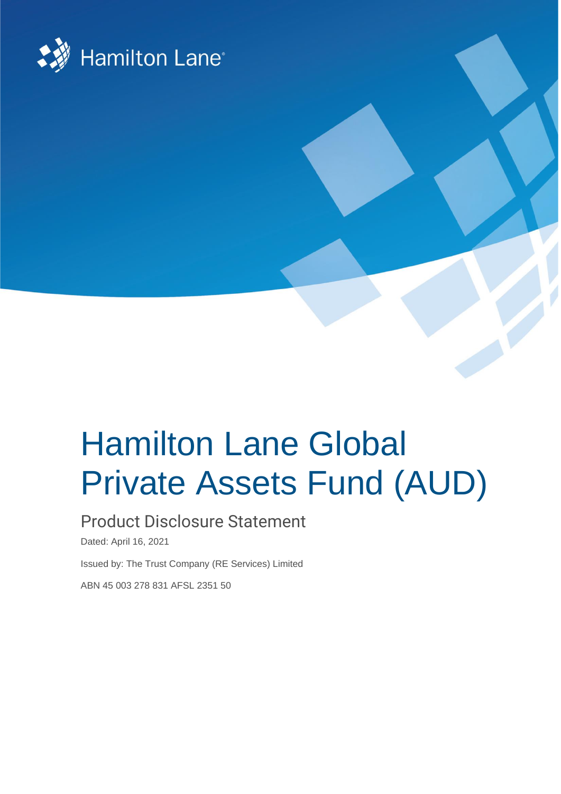

# Hamilton Lane Global Private Assets Fund (AUD)

# Product Disclosure Statement

Dated: April 16, 2021

Issued by: The Trust Company (RE Services) Limited

ABN 45 003 278 831 AFSL 2351 50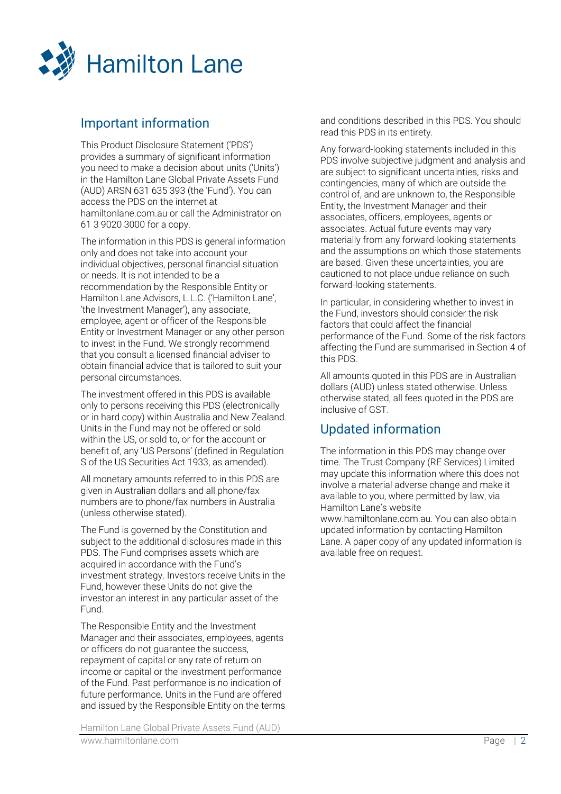

# Important information

This Product Disclosure Statement ('PDS') provides a summary of significant information you need to make a decision about units ('Units') in the Hamilton Lane Global Private Assets Fund (AUD) ARSN 631 635 393 (the 'Fund'). You can access the PDS on the internet at hamiltonlane.com.au or call the Administrator on 61 3 9020 3000 for a copy.

The information in this PDS is general information only and does not take into account your individual objectives, personal financial situation or needs. It is not intended to be a recommendation by the Responsible Entity or Hamilton Lane Advisors, L.L.C. ('Hamilton Lane', 'the Investment Manager'), any associate, employee, agent or officer of the Responsible Entity or Investment Manager or any other person to invest in the Fund. We strongly recommend that you consult a licensed financial adviser to obtain financial advice that is tailored to suit your personal circumstances.

The investment offered in this PDS is available only to persons receiving this PDS (electronically or in hard copy) within Australia and New Zealand. Units in the Fund may not be offered or sold within the US, or sold to, or for the account or benefit of, any 'US Persons' (defined in Regulation S of the US Securities Act 1933, as amended).

All monetary amounts referred to in this PDS are given in Australian dollars and all phone/fax numbers are to phone/fax numbers in Australia (unless otherwise stated).

The Fund is governed by the Constitution and subject to the additional disclosures made in this PDS. The Fund comprises assets which are acquired in accordance with the Fund's investment strategy. Investors receive Units in the Fund, however these Units do not give the investor an interest in any particular asset of the Fund.

The Responsible Entity and the Investment Manager and their associates, employees, agents or officers do not guarantee the success, repayment of capital or any rate of return on income or capital or the investment performance of the Fund. Past performance is no indication of future performance. Units in the Fund are offered and issued by the Responsible Entity on the terms

Hamilton Lane Global Private Assets Fund (AUD) www.hamiltonlane.com Page | 2

and conditions described in this PDS. You should read this PDS in its entirety.

Any forward-looking statements included in this PDS involve subjective judgment and analysis and are subject to significant uncertainties, risks and contingencies, many of which are outside the control of, and are unknown to, the Responsible Entity, the Investment Manager and their associates, officers, employees, agents or associates. Actual future events may vary materially from any forward-looking statements and the assumptions on which those statements are based. Given these uncertainties, you are cautioned to not place undue reliance on such forward-looking statements.

In particular, in considering whether to invest in the Fund, investors should consider the risk factors that could affect the financial performance of the Fund. Some of the risk factors affecting the Fund are summarised in Section [4](#page-12-0) of this PDS.

All amounts quoted in this PDS are in Australian dollars (AUD) unless stated otherwise. Unless otherwise stated, all fees quoted in the PDS are inclusive of GST.

# Updated information

The information in this PDS may change over time. The Trust Company (RE Services) Limited may update this information where this does not involve a material adverse change and make it available to you, where permitted by law, via Hamilton Lane's website www.hamiltonlane.com.au. You can also obtain updated information by contacting Hamilton Lane. A paper copy of any updated information is available free on request.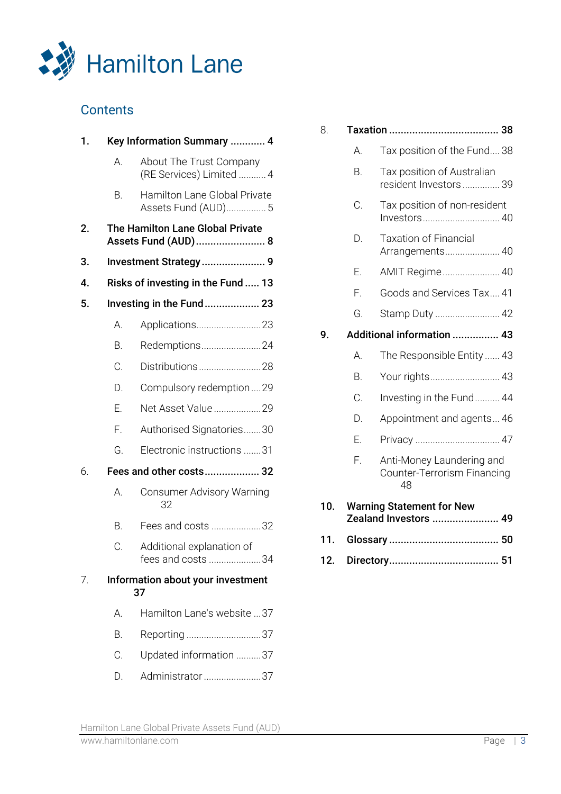

# **Contents**

| 1. |    | Key Information Summary  4                              |
|----|----|---------------------------------------------------------|
|    | А. | About The Trust Company<br>(RE Services) Limited  4     |
|    | В. | Hamilton Lane Global Private<br>Assets Fund (AUD) 5     |
| 2. |    | The Hamilton Lane Global Private<br>Assets Fund (AUD) 8 |
| 3. |    | Investment Strategy 9                                   |
| 4. |    | Risks of investing in the Fund  13                      |
| 5. |    | Investing in the Fund 23                                |
|    | А. | Applications23                                          |
|    | Β. | Redemptions24                                           |
|    | C. | Distributions28                                         |
|    | D. | Compulsory redemption29                                 |
|    | Е. | Net Asset Value29                                       |
|    | F. | Authorised Signatories30                                |
|    | G. | Electronic instructions 31                              |
| 6. |    | Fees and other costs 32                                 |
|    | А. | Consumer Advisory Warning<br>32                         |
|    | В. | Fees and costs 32                                       |
|    | С. | Additional explanation of<br>fees and costs 34          |
| 7. |    | Information about your investment<br>37                 |
|    | А. | Hamilton Lane's website 37                              |
|    | В. | Reporting 37                                            |
|    | C. | Updated information 37                                  |
|    | D. | Administrator 37                                        |

| 8.  |    | 38<br>Taxation                                                 |
|-----|----|----------------------------------------------------------------|
|     | А. | Tax position of the Fund 38                                    |
|     | B. | Tax position of Australian<br>resident Investors  39           |
|     | С. | Tax position of non-resident<br>Investors 40                   |
|     | D. | <b>Taxation of Financial</b><br>Arrangements 40                |
|     | Е. | AMIT Regime 40                                                 |
|     | F. | Goods and Services Tax 41                                      |
|     | G. | Stamp Duty  42                                                 |
| 9.  |    | Additional information  43                                     |
|     | А. | The Responsible Entity  43                                     |
|     | B. | Your rights 43                                                 |
|     | C. | Investing in the Fund 44                                       |
|     | D. | Appointment and agents 46                                      |
|     | Ε. |                                                                |
|     | F. | Anti-Money Laundering and<br>Counter-Terrorism Financing<br>48 |
| 10. |    | <b>Warning Statement for New</b><br>Zealand Investors  49      |
| 11. |    |                                                                |
| 12. |    |                                                                |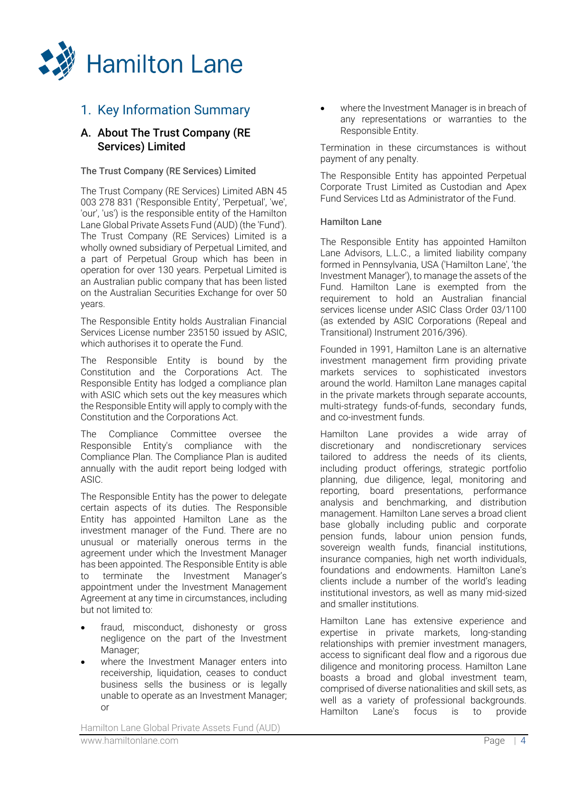

## <span id="page-3-0"></span>1. Key Information Summary

## <span id="page-3-1"></span>A. About The Trust Company (RE Services) Limited

#### The Trust Company (RE Services) Limited

The Trust Company (RE Services) Limited ABN 45 003 278 831 ('Responsible Entity', 'Perpetual', 'we', 'our', 'us') is the responsible entity of the Hamilton Lane Global Private Assets Fund (AUD) (the 'Fund'). The Trust Company (RE Services) Limited is a wholly owned subsidiary of Perpetual Limited, and a part of Perpetual Group which has been in operation for over 130 years. Perpetual Limited is an Australian public company that has been listed on the Australian Securities Exchange for over 50 years.

The Responsible Entity holds Australian Financial Services License number 235150 issued by ASIC, which authorises it to operate the Fund.

The Responsible Entity is bound by the Constitution and the Corporations Act. The Responsible Entity has lodged a compliance plan with ASIC which sets out the key measures which the Responsible Entity will apply to comply with the Constitution and the Corporations Act.

The Compliance Committee oversee the Responsible Entity's compliance with the Compliance Plan. The Compliance Plan is audited annually with the audit report being lodged with ASIC.

The Responsible Entity has the power to delegate certain aspects of its duties. The Responsible Entity has appointed Hamilton Lane as the investment manager of the Fund. There are no unusual or materially onerous terms in the agreement under which the Investment Manager has been appointed. The Responsible Entity is able<br>to terminate the Investment Manager's to terminate the Investment appointment under the Investment Management Agreement at any time in circumstances, including but not limited to:

- fraud, misconduct, dishonesty or gross negligence on the part of the Investment Manager;
- where the Investment Manager enters into receivership, liquidation, ceases to conduct business sells the business or is legally unable to operate as an Investment Manager; or

where the Investment Manager is in breach of any representations or warranties to the Responsible Entity.

Termination in these circumstances is without payment of any penalty.

The Responsible Entity has appointed Perpetual Corporate Trust Limited as Custodian and Apex Fund Services Ltd as Administrator of the Fund.

#### Hamilton Lane

The Responsible Entity has appointed Hamilton Lane Advisors, L.L.C., a limited liability company formed in Pennsylvania, USA ('Hamilton Lane', 'the Investment Manager'), to manage the assets of the Fund. Hamilton Lane is exempted from the requirement to hold an Australian financial services license under ASIC Class Order 03/1100 (as extended by ASIC Corporations (Repeal and Transitional) Instrument 2016/396).

Founded in 1991, Hamilton Lane is an alternative investment management firm providing private markets services to sophisticated investors around the world. Hamilton Lane manages capital in the private markets through separate accounts, multi-strategy funds-of-funds, secondary funds, and co-investment funds.

Hamilton Lane provides a wide array of discretionary and nondiscretionary services tailored to address the needs of its clients, including product offerings, strategic portfolio planning, due diligence, legal, monitoring and reporting, board presentations, performance analysis and benchmarking, and distribution management. Hamilton Lane serves a broad client base globally including public and corporate pension funds, labour union pension funds, sovereign wealth funds, financial institutions, insurance companies, high net worth individuals, foundations and endowments. Hamilton Lane's clients include a number of the world's leading institutional investors, as well as many mid-sized and smaller institutions.

Hamilton Lane has extensive experience and expertise in private markets, long-standing relationships with premier investment managers, access to significant deal flow and a rigorous due diligence and monitoring process. Hamilton Lane boasts a broad and global investment team, comprised of diverse nationalities and skill sets, as well as a variety of professional backgrounds.<br>Hamilton Lane's focus is to provide Hamilton Lane's focus is to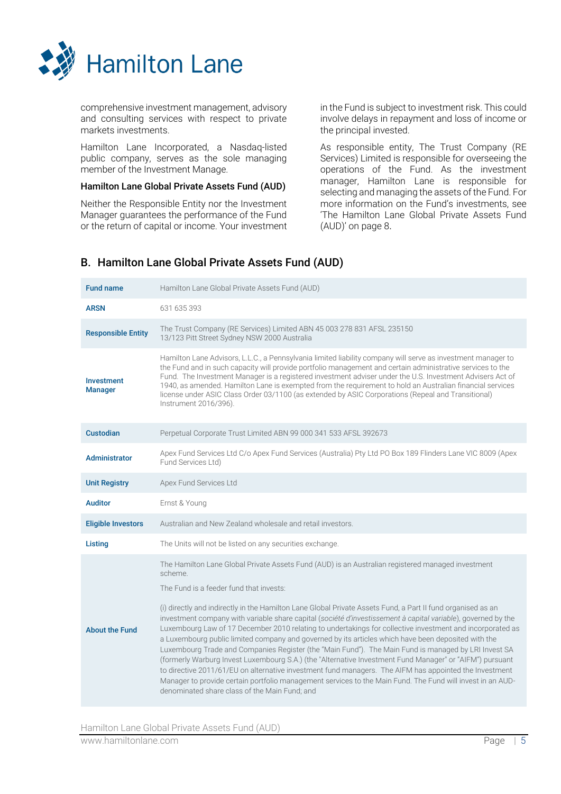

comprehensive investment management, advisory and consulting services with respect to private markets investments.

Hamilton Lane Incorporated, a Nasdaq-listed public company, serves as the sole managing member of the Investment Manage.

#### Hamilton Lane Global Private Assets Fund (AUD)

Neither the Responsible Entity nor the Investment Manager guarantees the performance of the Fund or the return of capital or income. Your investment in the Fund is subject to investment risk. This could involve delays in repayment and loss of income or the principal invested.

As responsible entity, The Trust Company (RE Services) Limited is responsible for overseeing the operations of the Fund. As the investment manager, Hamilton Lane is responsible for selecting and managing the assets of the Fund. For more information on the Fund's investments, see 'The Hamilton Lane Global Private Assets Fund (AUD)' on page 8.

## <span id="page-4-0"></span>B. Hamilton Lane Global Private Assets Fund (AUD)

| <b>Fund name</b>                    | Hamilton Lane Global Private Assets Fund (AUD)                                                                                                                                                                                                                                                                                                                                                                                                                                                                                                                                                   |
|-------------------------------------|--------------------------------------------------------------------------------------------------------------------------------------------------------------------------------------------------------------------------------------------------------------------------------------------------------------------------------------------------------------------------------------------------------------------------------------------------------------------------------------------------------------------------------------------------------------------------------------------------|
| <b>ARSN</b>                         | 631 635 393                                                                                                                                                                                                                                                                                                                                                                                                                                                                                                                                                                                      |
| <b>Responsible Entity</b>           | The Trust Company (RE Services) Limited ABN 45 003 278 831 AFSL 235150<br>13/123 Pitt Street Sydney NSW 2000 Australia                                                                                                                                                                                                                                                                                                                                                                                                                                                                           |
| <b>Investment</b><br><b>Manager</b> | Hamilton Lane Advisors, L.L.C., a Pennsylvania limited liability company will serve as investment manager to<br>the Fund and in such capacity will provide portfolio management and certain administrative services to the<br>Fund. The Investment Manager is a registered investment adviser under the U.S. Investment Advisers Act of<br>1940, as amended. Hamilton Lane is exempted from the requirement to hold an Australian financial services<br>license under ASIC Class Order 03/1100 (as extended by ASIC Corporations (Repeal and Transitional)<br>Instrument 2016/396).              |
| <b>Custodian</b>                    | Perpetual Corporate Trust Limited ABN 99 000 341 533 AFSL 392673                                                                                                                                                                                                                                                                                                                                                                                                                                                                                                                                 |
| Administrator                       | Apex Fund Services Ltd C/o Apex Fund Services (Australia) Pty Ltd PO Box 189 Flinders Lane VIC 8009 (Apex<br>Fund Services Ltd)                                                                                                                                                                                                                                                                                                                                                                                                                                                                  |
| <b>Unit Registry</b>                | Apex Fund Services Ltd                                                                                                                                                                                                                                                                                                                                                                                                                                                                                                                                                                           |
| <b>Auditor</b>                      | Ernst & Young                                                                                                                                                                                                                                                                                                                                                                                                                                                                                                                                                                                    |
| <b>Eligible Investors</b>           | Australian and New Zealand wholesale and retail investors.                                                                                                                                                                                                                                                                                                                                                                                                                                                                                                                                       |
| Listing                             | The Units will not be listed on any securities exchange.                                                                                                                                                                                                                                                                                                                                                                                                                                                                                                                                         |
|                                     | The Hamilton Lane Global Private Assets Fund (AUD) is an Australian registered managed investment<br>scheme.                                                                                                                                                                                                                                                                                                                                                                                                                                                                                     |
| <b>About the Fund</b>               | The Fund is a feeder fund that invests:<br>(i) directly and indirectly in the Hamilton Lane Global Private Assets Fund, a Part II fund organised as an<br>investment company with variable share capital (société d'investissement à capital variable), governed by the<br>Luxembourg Law of 17 December 2010 relating to undertakings for collective investment and incorporated as                                                                                                                                                                                                             |
|                                     | a Luxembourg public limited company and governed by its articles which have been deposited with the<br>Luxembourg Trade and Companies Register (the "Main Fund"). The Main Fund is managed by LRI Invest SA<br>(formerly Warburg Invest Luxembourg S.A.) (the "Alternative Investment Fund Manager" or "AIFM") pursuant<br>to directive 2011/61/EU on alternative investment fund managers. The AIFM has appointed the Investment<br>Manager to provide certain portfolio management services to the Main Fund. The Fund will invest in an AUD-<br>denominated share class of the Main Fund; and |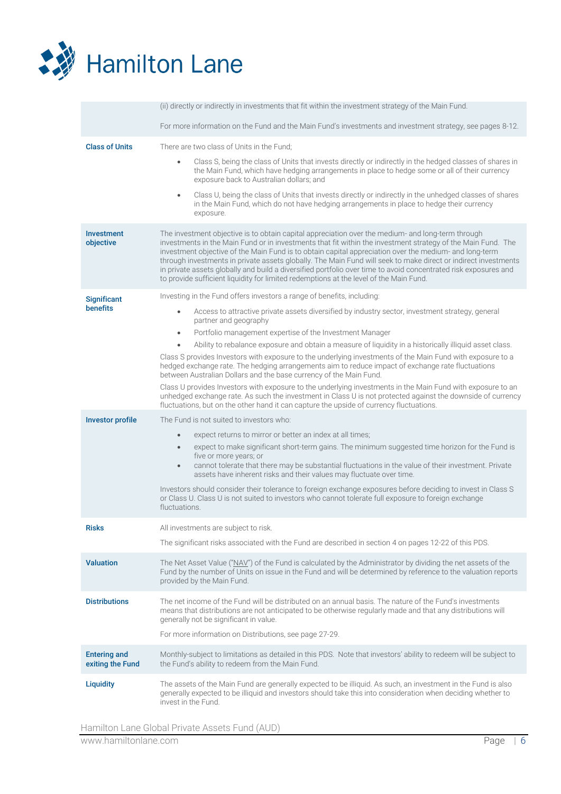

|                                         | (ii) directly or indirectly in investments that fit within the investment strategy of the Main Fund.                                                                                                                                                                                                                                                                                                                                                                                                                                                                                                                                                       |
|-----------------------------------------|------------------------------------------------------------------------------------------------------------------------------------------------------------------------------------------------------------------------------------------------------------------------------------------------------------------------------------------------------------------------------------------------------------------------------------------------------------------------------------------------------------------------------------------------------------------------------------------------------------------------------------------------------------|
|                                         | For more information on the Fund and the Main Fund's investments and investment strategy, see pages 8-12.                                                                                                                                                                                                                                                                                                                                                                                                                                                                                                                                                  |
| <b>Class of Units</b>                   | There are two class of Units in the Fund;                                                                                                                                                                                                                                                                                                                                                                                                                                                                                                                                                                                                                  |
|                                         | Class S, being the class of Units that invests directly or indirectly in the hedged classes of shares in<br>$\bullet$<br>the Main Fund, which have hedging arrangements in place to hedge some or all of their currency<br>exposure back to Australian dollars; and                                                                                                                                                                                                                                                                                                                                                                                        |
|                                         | Class U, being the class of Units that invests directly or indirectly in the unhedged classes of shares<br>$\bullet$<br>in the Main Fund, which do not have hedging arrangements in place to hedge their currency<br>exposure.                                                                                                                                                                                                                                                                                                                                                                                                                             |
| Investment<br>objective                 | The investment objective is to obtain capital appreciation over the medium- and long-term through<br>investments in the Main Fund or in investments that fit within the investment strategy of the Main Fund. The<br>investment objective of the Main Fund is to obtain capital appreciation over the medium- and long-term<br>through investments in private assets globally. The Main Fund will seek to make direct or indirect investments<br>in private assets globally and build a diversified portfolio over time to avoid concentrated risk exposures and<br>to provide sufficient liquidity for limited redemptions at the level of the Main Fund. |
| <b>Significant</b>                      | Investing in the Fund offers investors a range of benefits, including:                                                                                                                                                                                                                                                                                                                                                                                                                                                                                                                                                                                     |
| <b>benefits</b>                         | Access to attractive private assets diversified by industry sector, investment strategy, general<br>$\bullet$<br>partner and geography                                                                                                                                                                                                                                                                                                                                                                                                                                                                                                                     |
|                                         | Portfolio management expertise of the Investment Manager<br>$\bullet$                                                                                                                                                                                                                                                                                                                                                                                                                                                                                                                                                                                      |
|                                         | Ability to rebalance exposure and obtain a measure of liquidity in a historically illiquid asset class.<br>$\bullet$                                                                                                                                                                                                                                                                                                                                                                                                                                                                                                                                       |
|                                         | Class S provides Investors with exposure to the underlying investments of the Main Fund with exposure to a<br>hedged exchange rate. The hedging arrangements aim to reduce impact of exchange rate fluctuations<br>between Australian Dollars and the base currency of the Main Fund.                                                                                                                                                                                                                                                                                                                                                                      |
|                                         | Class U provides Investors with exposure to the underlying investments in the Main Fund with exposure to an<br>unhedged exchange rate. As such the investment in Class U is not protected against the downside of currency<br>fluctuations, but on the other hand it can capture the upside of currency fluctuations.                                                                                                                                                                                                                                                                                                                                      |
| <b>Investor profile</b>                 | The Fund is not suited to investors who:                                                                                                                                                                                                                                                                                                                                                                                                                                                                                                                                                                                                                   |
|                                         | expect returns to mirror or better an index at all times;<br>$\bullet$<br>expect to make significant short-term gains. The minimum suggested time horizon for the Fund is<br>$\bullet$<br>five or more years; or<br>cannot tolerate that there may be substantial fluctuations in the value of their investment. Private<br>$\bullet$<br>assets have inherent risks and their values may fluctuate over time.                                                                                                                                                                                                                                              |
|                                         | Investors should consider their tolerance to foreign exchange exposures before deciding to invest in Class S<br>or Class U. Class U is not suited to investors who cannot tolerate full exposure to foreign exchange<br>fluctuations.                                                                                                                                                                                                                                                                                                                                                                                                                      |
| <b>Risks</b>                            | All investments are subject to risk.                                                                                                                                                                                                                                                                                                                                                                                                                                                                                                                                                                                                                       |
|                                         | The significant risks associated with the Fund are described in section 4 on pages 12-22 of this PDS.                                                                                                                                                                                                                                                                                                                                                                                                                                                                                                                                                      |
| <b>Valuation</b>                        | The Net Asset Value ("NAV") of the Fund is calculated by the Administrator by dividing the net assets of the<br>Fund by the number of Units on issue in the Fund and will be determined by reference to the valuation reports<br>provided by the Main Fund.                                                                                                                                                                                                                                                                                                                                                                                                |
| <b>Distributions</b>                    | The net income of the Fund will be distributed on an annual basis. The nature of the Fund's investments<br>means that distributions are not anticipated to be otherwise regularly made and that any distributions will<br>generally not be significant in value.                                                                                                                                                                                                                                                                                                                                                                                           |
|                                         | For more information on Distributions, see page 27-29.                                                                                                                                                                                                                                                                                                                                                                                                                                                                                                                                                                                                     |
| <b>Entering and</b><br>exiting the Fund | Monthly-subject to limitations as detailed in this PDS. Note that investors' ability to redeem will be subject to<br>the Fund's ability to redeem from the Main Fund.                                                                                                                                                                                                                                                                                                                                                                                                                                                                                      |
| <b>Liquidity</b>                        | The assets of the Main Fund are generally expected to be illiquid. As such, an investment in the Fund is also<br>generally expected to be illiquid and investors should take this into consideration when deciding whether to<br>invest in the Fund.                                                                                                                                                                                                                                                                                                                                                                                                       |

Hamilton Lane Global Private Assets Fund (AUD)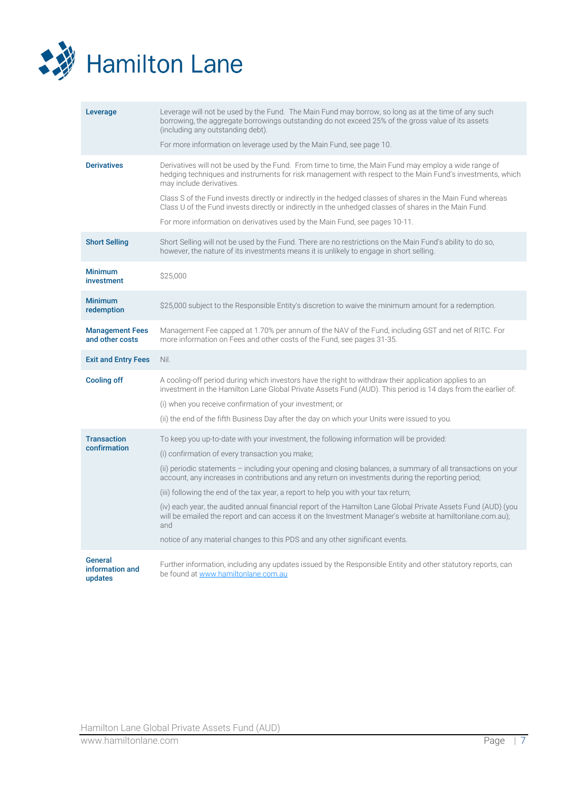

| Leverage                                  | Leverage will not be used by the Fund. The Main Fund may borrow, so long as at the time of any such<br>borrowing, the aggregate borrowings outstanding do not exceed 25% of the gross value of its assets<br>(including any outstanding debt).<br>For more information on leverage used by the Main Fund, see page 10.                                        |
|-------------------------------------------|---------------------------------------------------------------------------------------------------------------------------------------------------------------------------------------------------------------------------------------------------------------------------------------------------------------------------------------------------------------|
| <b>Derivatives</b>                        | Derivatives will not be used by the Fund. From time to time, the Main Fund may employ a wide range of<br>hedging techniques and instruments for risk management with respect to the Main Fund's investments, which<br>may include derivatives.<br>Class S of the Fund invests directly or indirectly in the hedged classes of shares in the Main Fund whereas |
|                                           | Class U of the Fund invests directly or indirectly in the unhedged classes of shares in the Main Fund.                                                                                                                                                                                                                                                        |
|                                           | For more information on derivatives used by the Main Fund, see pages 10-11.                                                                                                                                                                                                                                                                                   |
| <b>Short Selling</b>                      | Short Selling will not be used by the Fund. There are no restrictions on the Main Fund's ability to do so,<br>however, the nature of its investments means it is unlikely to engage in short selling.                                                                                                                                                         |
| <b>Minimum</b><br>investment              | \$25,000                                                                                                                                                                                                                                                                                                                                                      |
| <b>Minimum</b><br>redemption              | \$25,000 subject to the Responsible Entity's discretion to waive the minimum amount for a redemption.                                                                                                                                                                                                                                                         |
| <b>Management Fees</b><br>and other costs | Management Fee capped at 1.70% per annum of the NAV of the Fund, including GST and net of RITC. For<br>more information on Fees and other costs of the Fund, see pages 31-35.                                                                                                                                                                                 |
| <b>Exit and Entry Fees</b>                | Nil.                                                                                                                                                                                                                                                                                                                                                          |
| <b>Cooling off</b>                        | A cooling-off period during which investors have the right to withdraw their application applies to an<br>investment in the Hamilton Lane Global Private Assets Fund (AUD). This period is 14 days from the earlier of:                                                                                                                                       |
|                                           | (i) when you receive confirmation of your investment; or                                                                                                                                                                                                                                                                                                      |
|                                           | (ii) the end of the fifth Business Day after the day on which your Units were issued to you.                                                                                                                                                                                                                                                                  |
| <b>Transaction</b><br>confirmation        | To keep you up-to-date with your investment, the following information will be provided:                                                                                                                                                                                                                                                                      |
|                                           | (i) confirmation of every transaction you make;                                                                                                                                                                                                                                                                                                               |
|                                           | (ii) periodic statements - including your opening and closing balances, a summary of all transactions on your<br>account, any increases in contributions and any return on investments during the reporting period;                                                                                                                                           |
|                                           | (iii) following the end of the tax year, a report to help you with your tax return;                                                                                                                                                                                                                                                                           |
|                                           | (iv) each year, the audited annual financial report of the Hamilton Lane Global Private Assets Fund (AUD) (you<br>will be emailed the report and can access it on the Investment Manager's website at hamiltonlane.com.au);<br>and                                                                                                                            |
|                                           | notice of any material changes to this PDS and any other significant events.                                                                                                                                                                                                                                                                                  |
|                                           |                                                                                                                                                                                                                                                                                                                                                               |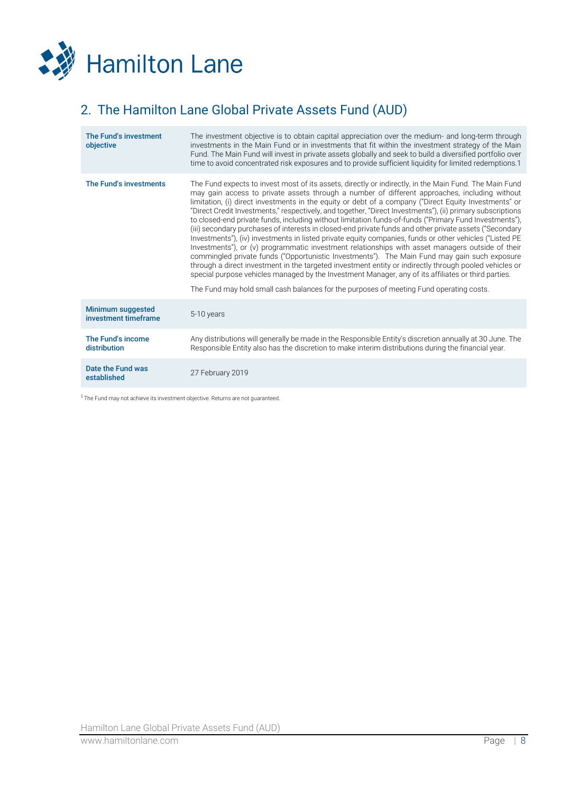

# <span id="page-7-0"></span>2. The Hamilton Lane Global Private Assets Fund (AUD)

| The Fund's investment<br>objective        | The investment objective is to obtain capital appreciation over the medium- and long-term through<br>investments in the Main Fund or in investments that fit within the investment strategy of the Main<br>Fund. The Main Fund will invest in private assets globally and seek to build a diversified portfolio over<br>time to avoid concentrated risk exposures and to provide sufficient liquidity for limited redemptions.1                                                                                                                                                                                                                                                                                                                                                                                                                                                                                                                                                                                                                                                                                                                                                                                                                                                |
|-------------------------------------------|--------------------------------------------------------------------------------------------------------------------------------------------------------------------------------------------------------------------------------------------------------------------------------------------------------------------------------------------------------------------------------------------------------------------------------------------------------------------------------------------------------------------------------------------------------------------------------------------------------------------------------------------------------------------------------------------------------------------------------------------------------------------------------------------------------------------------------------------------------------------------------------------------------------------------------------------------------------------------------------------------------------------------------------------------------------------------------------------------------------------------------------------------------------------------------------------------------------------------------------------------------------------------------|
| The Fund's investments                    | The Fund expects to invest most of its assets, directly or indirectly, in the Main Fund. The Main Fund<br>may gain access to private assets through a number of different approaches, including without<br>limitation, (i) direct investments in the equity or debt of a company ("Direct Equity Investments" or<br>"Direct Credit Investments," respectively, and together, "Direct Investments"), (ii) primary subscriptions<br>to closed-end private funds, including without limitation funds-of-funds ("Primary Fund Investments"),<br>(iii) secondary purchases of interests in closed-end private funds and other private assets ("Secondary<br>Investments"), (iv) investments in listed private equity companies, funds or other vehicles ("Listed PE<br>Investments"), or (v) programmatic investment relationships with asset managers outside of their<br>commingled private funds ("Opportunistic Investments"). The Main Fund may gain such exposure<br>through a direct investment in the targeted investment entity or indirectly through pooled vehicles or<br>special purpose vehicles managed by the Investment Manager, any of its affiliates or third parties.<br>The Fund may hold small cash balances for the purposes of meeting Fund operating costs. |
| Minimum suggested<br>investment timeframe | 5-10 years                                                                                                                                                                                                                                                                                                                                                                                                                                                                                                                                                                                                                                                                                                                                                                                                                                                                                                                                                                                                                                                                                                                                                                                                                                                                     |
| The Fund's income<br>distribution         | Any distributions will generally be made in the Responsible Entity's discretion annually at 30 June. The<br>Responsible Entity also has the discretion to make interim distributions during the financial year.                                                                                                                                                                                                                                                                                                                                                                                                                                                                                                                                                                                                                                                                                                                                                                                                                                                                                                                                                                                                                                                                |
| Date the Fund was<br>established          | 27 February 2019                                                                                                                                                                                                                                                                                                                                                                                                                                                                                                                                                                                                                                                                                                                                                                                                                                                                                                                                                                                                                                                                                                                                                                                                                                                               |

<span id="page-7-1"></span> $1$ The Fund may not achieve its investment objective. Returns are not guaranteed.

Hamilton Lane Global Private Assets Fund (AUD)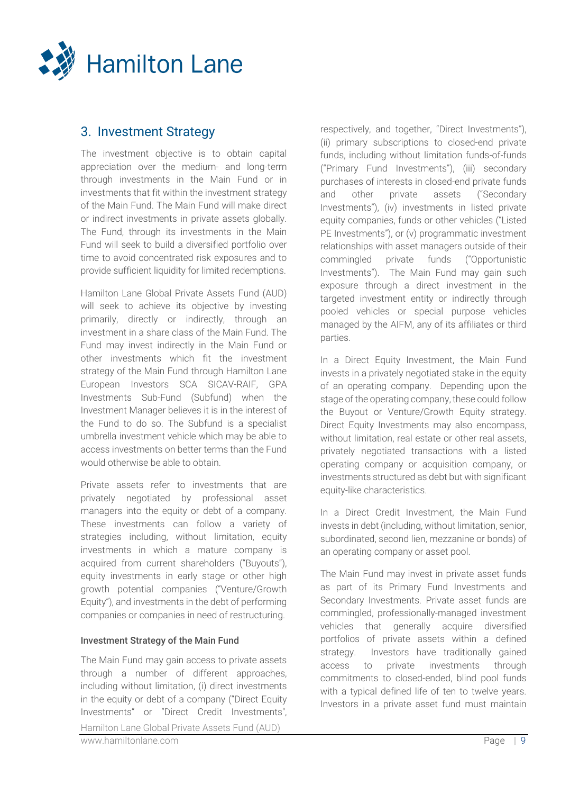

# 3. Investment Strategy

The investment objective is to obtain capital appreciation over the medium- and long-term through investments in the Main Fund or in investments that fit within the investment strategy of the Main Fund. The Main Fund will make direct or indirect investments in private assets globally. The Fund, through its investments in the Main Fund will seek to build a diversified portfolio over time to avoid concentrated risk exposures and to provide sufficient liquidity for limited redemptions.

Hamilton Lane Global Private Assets Fund (AUD) will seek to achieve its objective by investing primarily, directly or indirectly, through an investment in a share class of the Main Fund. The Fund may invest indirectly in the Main Fund or other investments which fit the investment strategy of the Main Fund through Hamilton Lane European Investors SCA SICAV-RAIF, GPA Investments Sub-Fund (Subfund) when the Investment Manager believes it is in the interest of the Fund to do so. The Subfund is a specialist umbrella investment vehicle which may be able to access investments on better terms than the Fund would otherwise be able to obtain.

Private assets refer to investments that are privately negotiated by professional asset managers into the equity or debt of a company. These investments can follow a variety of strategies including, without limitation, equity investments in which a mature company is acquired from current shareholders ("Buyouts"), equity investments in early stage or other high growth potential companies ("Venture/Growth Equity"), and investments in the debt of performing companies or companies in need of restructuring.

## Investment Strategy of the Main Fund

The Main Fund may gain access to private assets through a number of different approaches, including without limitation, (i) direct investments in the equity or debt of a company ("Direct Equity Investments" or "Direct Credit Investments",

respectively, and together, "Direct Investments"), (ii) primary subscriptions to closed-end private funds, including without limitation funds-of-funds ("Primary Fund Investments"), (iii) secondary purchases of interests in closed-end private funds and other private assets ("Secondary Investments"), (iv) investments in listed private equity companies, funds or other vehicles ("Listed PE Investments"), or (v) programmatic investment relationships with asset managers outside of their commingled private funds ("Opportunistic Investments"). The Main Fund may gain such exposure through a direct investment in the targeted investment entity or indirectly through pooled vehicles or special purpose vehicles managed by the AIFM, any of its affiliates or third parties.

In a Direct Equity Investment, the Main Fund invests in a privately negotiated stake in the equity of an operating company. Depending upon the stage of the operating company, these could follow the Buyout or Venture/Growth Equity strategy. Direct Equity Investments may also encompass, without limitation, real estate or other real assets, privately negotiated transactions with a listed operating company or acquisition company, or investments structured as debt but with significant equity-like characteristics.

In a Direct Credit Investment, the Main Fund invests in debt (including, without limitation, senior, subordinated, second lien, mezzanine or bonds) of an operating company or asset pool.

The Main Fund may invest in private asset funds as part of its Primary Fund Investments and Secondary Investments. Private asset funds are commingled, professionally-managed investment vehicles that generally acquire diversified portfolios of private assets within a defined strategy. Investors have traditionally gained access to private investments through commitments to closed-ended, blind pool funds with a typical defined life of ten to twelve years. Investors in a private asset fund must maintain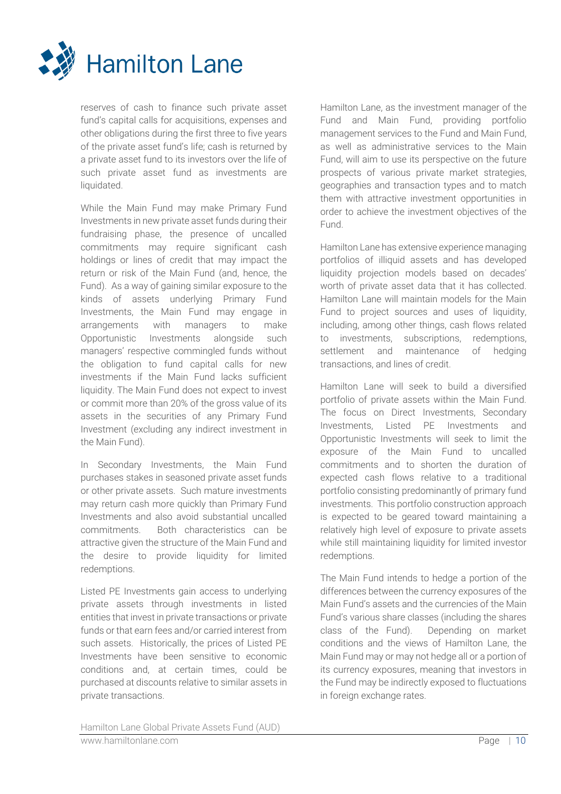

reserves of cash to finance such private asset fund's capital calls for acquisitions, expenses and other obligations during the first three to five years of the private asset fund's life; cash is returned by a private asset fund to its investors over the life of such private asset fund as investments are liquidated.

While the Main Fund may make Primary Fund Investments in new private asset funds during their fundraising phase, the presence of uncalled commitments may require significant cash holdings or lines of credit that may impact the return or risk of the Main Fund (and, hence, the Fund). As a way of gaining similar exposure to the kinds of assets underlying Primary Fund Investments, the Main Fund may engage in arrangements with managers to make Opportunistic Investments alongside such managers' respective commingled funds without the obligation to fund capital calls for new investments if the Main Fund lacks sufficient liquidity. The Main Fund does not expect to invest or commit more than 20% of the gross value of its assets in the securities of any Primary Fund Investment (excluding any indirect investment in the Main Fund).

In Secondary Investments, the Main Fund purchases stakes in seasoned private asset funds or other private assets. Such mature investments may return cash more quickly than Primary Fund Investments and also avoid substantial uncalled commitments. Both characteristics can be attractive given the structure of the Main Fund and the desire to provide liquidity for limited redemptions.

Listed PE Investments gain access to underlying private assets through investments in listed entities that invest in private transactions or private funds or that earn fees and/or carried interest from such assets. Historically, the prices of Listed PE Investments have been sensitive to economic conditions and, at certain times, could be purchased at discounts relative to similar assets in private transactions.

Hamilton Lane, as the investment manager of the Fund and Main Fund, providing portfolio management services to the Fund and Main Fund, as well as administrative services to the Main Fund, will aim to use its perspective on the future prospects of various private market strategies, geographies and transaction types and to match them with attractive investment opportunities in order to achieve the investment objectives of the Fund.

Hamilton Lane has extensive experience managing portfolios of illiquid assets and has developed liquidity projection models based on decades' worth of private asset data that it has collected. Hamilton Lane will maintain models for the Main Fund to project sources and uses of liquidity, including, among other things, cash flows related to investments, subscriptions, redemptions, settlement and maintenance of hedging transactions, and lines of credit.

Hamilton Lane will seek to build a diversified portfolio of private assets within the Main Fund. The focus on Direct Investments, Secondary Investments, Listed PE Investments and Opportunistic Investments will seek to limit the exposure of the Main Fund to uncalled commitments and to shorten the duration of expected cash flows relative to a traditional portfolio consisting predominantly of primary fund investments. This portfolio construction approach is expected to be geared toward maintaining a relatively high level of exposure to private assets while still maintaining liquidity for limited investor redemptions.

The Main Fund intends to hedge a portion of the differences between the currency exposures of the Main Fund's assets and the currencies of the Main Fund's various share classes (including the shares class of the Fund). Depending on market conditions and the views of Hamilton Lane, the Main Fund may or may not hedge all or a portion of its currency exposures, meaning that investors in the Fund may be indirectly exposed to fluctuations in foreign exchange rates.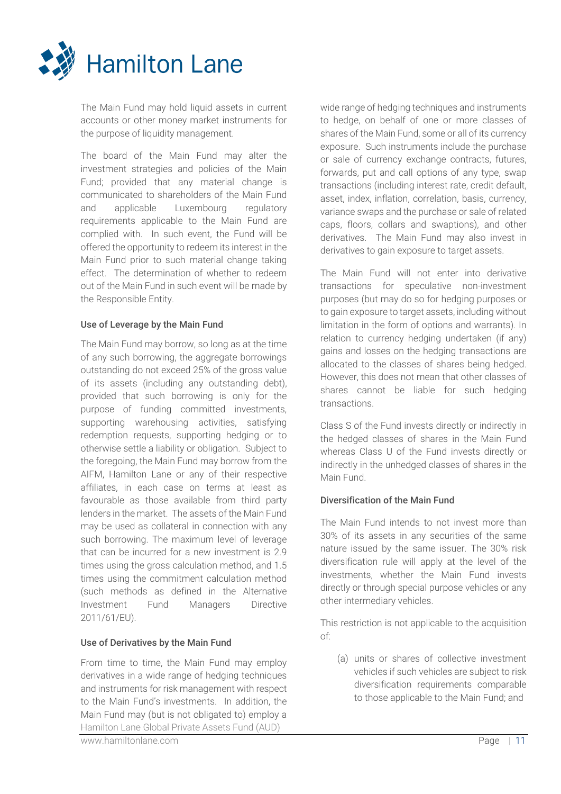

The Main Fund may hold liquid assets in current accounts or other money market instruments for the purpose of liquidity management.

The board of the Main Fund may alter the investment strategies and policies of the Main Fund; provided that any material change is communicated to shareholders of the Main Fund and applicable Luxembourg regulatory requirements applicable to the Main Fund are complied with. In such event, the Fund will be offered the opportunity to redeem its interest in the Main Fund prior to such material change taking effect. The determination of whether to redeem out of the Main Fund in such event will be made by the Responsible Entity.

## Use of Leverage by the Main Fund

The Main Fund may borrow, so long as at the time of any such borrowing, the aggregate borrowings outstanding do not exceed 25% of the gross value of its assets (including any outstanding debt), provided that such borrowing is only for the purpose of funding committed investments, supporting warehousing activities, satisfying redemption requests, supporting hedging or to otherwise settle a liability or obligation. Subject to the foregoing, the Main Fund may borrow from the AIFM, Hamilton Lane or any of their respective affiliates, in each case on terms at least as favourable as those available from third party lenders in the market. The assets of the Main Fund may be used as collateral in connection with any such borrowing. The maximum level of leverage that can be incurred for a new investment is 2.9 times using the gross calculation method, and 1.5 times using the commitment calculation method (such methods as defined in the Alternative Investment Fund Managers Directive 2011/61/EU).

## Use of Derivatives by the Main Fund

Hamilton Lane Global Private Assets Fund (AUD) From time to time, the Main Fund may employ derivatives in a wide range of hedging techniques and instruments for risk management with respect to the Main Fund's investments. In addition, the Main Fund may (but is not obligated to) employ a

wide range of hedging techniques and instruments to hedge, on behalf of one or more classes of shares of the Main Fund, some or all of its currency exposure. Such instruments include the purchase or sale of currency exchange contracts, futures, forwards, put and call options of any type, swap transactions (including interest rate, credit default, asset, index, inflation, correlation, basis, currency, variance swaps and the purchase or sale of related caps, floors, collars and swaptions), and other derivatives. The Main Fund may also invest in derivatives to gain exposure to target assets.

The Main Fund will not enter into derivative transactions for speculative non-investment purposes (but may do so for hedging purposes or to gain exposure to target assets, including without limitation in the form of options and warrants). In relation to currency hedging undertaken (if any) gains and losses on the hedging transactions are allocated to the classes of shares being hedged. However, this does not mean that other classes of shares cannot be liable for such hedging transactions.

Class S of the Fund invests directly or indirectly in the hedged classes of shares in the Main Fund whereas Class U of the Fund invests directly or indirectly in the unhedged classes of shares in the Main Fund.

## Diversification of the Main Fund

The Main Fund intends to not invest more than 30% of its assets in any securities of the same nature issued by the same issuer. The 30% risk diversification rule will apply at the level of the investments, whether the Main Fund invests directly or through special purpose vehicles or any other intermediary vehicles.

This restriction is not applicable to the acquisition of:

(a) units or shares of collective investment vehicles if such vehicles are subject to risk diversification requirements comparable to those applicable to the Main Fund; and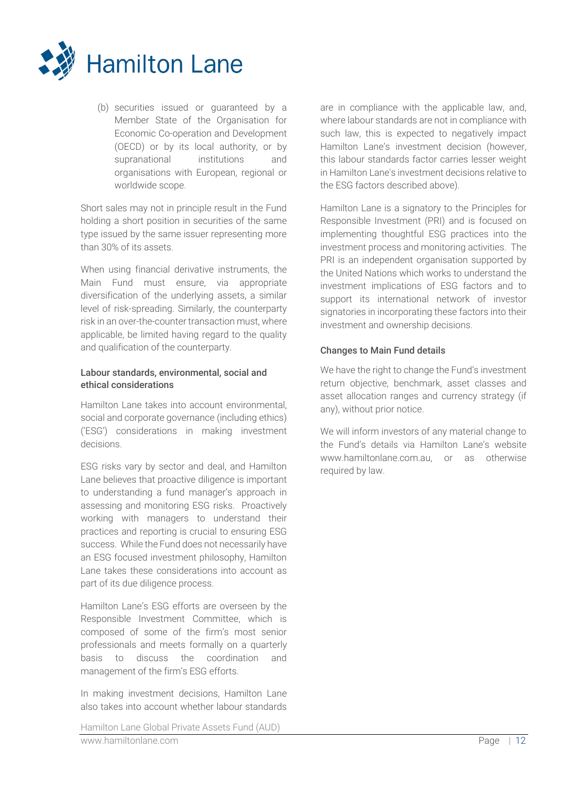

(b) securities issued or guaranteed by a Member State of the Organisation for Economic Co-operation and Development (OECD) or by its local authority, or by supranational institutions and organisations with European, regional or worldwide scope.

Short sales may not in principle result in the Fund holding a short position in securities of the same type issued by the same issuer representing more than 30% of its assets.

When using financial derivative instruments, the Main Fund must ensure, via appropriate diversification of the underlying assets, a similar level of risk-spreading. Similarly, the counterparty risk in an over-the-counter transaction must, where applicable, be limited having regard to the quality and qualification of the counterparty.

## Labour standards, environmental, social and ethical considerations

Hamilton Lane takes into account environmental, social and corporate governance (including ethics) ('ESG') considerations in making investment decisions.

ESG risks vary by sector and deal, and Hamilton Lane believes that proactive diligence is important to understanding a fund manager's approach in assessing and monitoring ESG risks. Proactively working with managers to understand their practices and reporting is crucial to ensuring ESG success. While the Fund does not necessarily have an ESG focused investment philosophy, Hamilton Lane takes these considerations into account as part of its due diligence process.

Hamilton Lane's ESG efforts are overseen by the Responsible Investment Committee, which is composed of some of the firm's most senior professionals and meets formally on a quarterly basis to discuss the coordination and management of the firm's ESG efforts.

In making investment decisions, Hamilton Lane also takes into account whether labour standards

are in compliance with the applicable law, and, where labour standards are not in compliance with such law, this is expected to negatively impact Hamilton Lane's investment decision (however, this labour standards factor carries lesser weight in Hamilton Lane's investment decisions relative to the ESG factors described above).

Hamilton Lane is a signatory to the Principles for Responsible Investment (PRI) and is focused on implementing thoughtful ESG practices into the investment process and monitoring activities. The PRI is an independent organisation supported by the United Nations which works to understand the investment implications of ESG factors and to support its international network of investor signatories in incorporating these factors into their investment and ownership decisions.

## Changes to Main Fund details

We have the right to change the Fund's investment return objective, benchmark, asset classes and asset allocation ranges and currency strategy (if any), without prior notice.

We will inform investors of any material change to the Fund's details via Hamilton Lane's website www.hamiltonlane.com.au, or as otherwise required by law.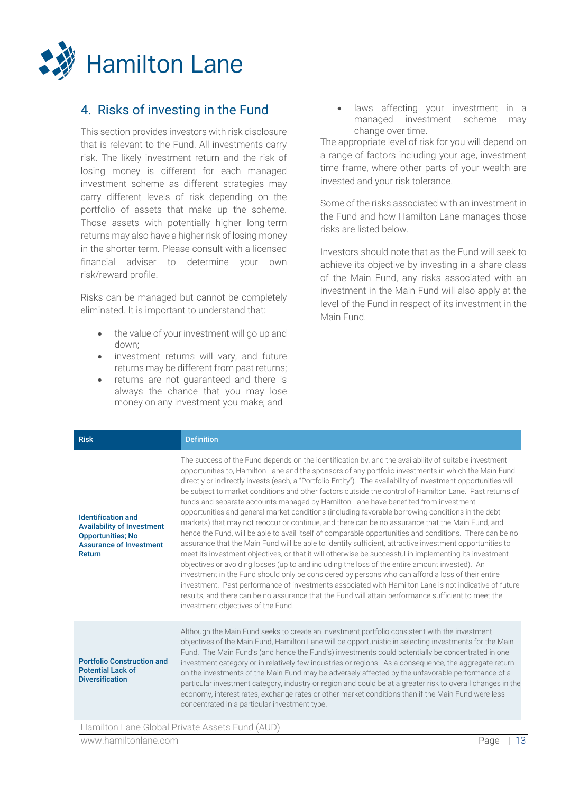

# <span id="page-12-0"></span>4. Risks of investing in the Fund

This section provides investors with risk disclosure that is relevant to the Fund. All investments carry risk. The likely investment return and the risk of losing money is different for each managed investment scheme as different strategies may carry different levels of risk depending on the portfolio of assets that make up the scheme. Those assets with potentially higher long-term returns may also have a higher risk of losing money in the shorter term. Please consult with a licensed financial adviser to determine your own risk/reward profile.

Risks can be managed but cannot be completely eliminated. It is important to understand that:

- the value of your investment will go up and down;
- investment returns will vary, and future returns may be different from past returns;
- returns are not guaranteed and there is always the chance that you may lose money on any investment you make; and

• laws affecting your investment in a managed investment scheme may change over time.

The appropriate level of risk for you will depend on a range of factors including your age, investment time frame, where other parts of your wealth are invested and your risk tolerance.

Some of the risks associated with an investment in the Fund and how Hamilton Lane manages those risks are listed below.

Investors should note that as the Fund will seek to achieve its objective by investing in a share class of the Main Fund, any risks associated with an investment in the Main Fund will also apply at the level of the Fund in respect of its investment in the Main Fund.

| <b>Risk</b>                                                                                                                            | <b>Definition</b>                                                                                                                                                                                                                                                                                                                                                                                                                                                                                                                                                                                                                                                                                                                                                                                                                                                                                                                                                                                                                                                                                                                                                                                                                                                                                                                                                                                                                                                                                                                         |
|----------------------------------------------------------------------------------------------------------------------------------------|-------------------------------------------------------------------------------------------------------------------------------------------------------------------------------------------------------------------------------------------------------------------------------------------------------------------------------------------------------------------------------------------------------------------------------------------------------------------------------------------------------------------------------------------------------------------------------------------------------------------------------------------------------------------------------------------------------------------------------------------------------------------------------------------------------------------------------------------------------------------------------------------------------------------------------------------------------------------------------------------------------------------------------------------------------------------------------------------------------------------------------------------------------------------------------------------------------------------------------------------------------------------------------------------------------------------------------------------------------------------------------------------------------------------------------------------------------------------------------------------------------------------------------------------|
| <b>Identification and</b><br><b>Availability of Investment</b><br><b>Opportunities; No</b><br><b>Assurance of Investment</b><br>Return | The success of the Fund depends on the identification by, and the availability of suitable investment<br>opportunities to, Hamilton Lane and the sponsors of any portfolio investments in which the Main Fund<br>directly or indirectly invests (each, a "Portfolio Entity"). The availability of investment opportunities will<br>be subject to market conditions and other factors outside the control of Hamilton Lane. Past returns of<br>funds and separate accounts managed by Hamilton Lane have benefited from investment<br>opportunities and general market conditions (including favorable borrowing conditions in the debt<br>markets) that may not reoccur or continue, and there can be no assurance that the Main Fund, and<br>hence the Fund, will be able to avail itself of comparable opportunities and conditions. There can be no<br>assurance that the Main Fund will be able to identify sufficient, attractive investment opportunities to<br>meet its investment objectives, or that it will otherwise be successful in implementing its investment<br>objectives or avoiding losses (up to and including the loss of the entire amount invested). An<br>investment in the Fund should only be considered by persons who can afford a loss of their entire<br>investment. Past performance of investments associated with Hamilton Lane is not indicative of future<br>results, and there can be no assurance that the Fund will attain performance sufficient to meet the<br>investment objectives of the Fund. |
| <b>Portfolio Construction and</b><br><b>Potential Lack of</b><br><b>Diversification</b>                                                | Although the Main Fund seeks to create an investment portfolio consistent with the investment<br>objectives of the Main Fund, Hamilton Lane will be opportunistic in selecting investments for the Main<br>Fund. The Main Fund's (and hence the Fund's) investments could potentially be concentrated in one<br>investment category or in relatively few industries or regions. As a consequence, the aggregate return<br>on the investments of the Main Fund may be adversely affected by the unfavorable performance of a<br>particular investment category, industry or region and could be at a greater risk to overall changes in the<br>economy, interest rates, exchange rates or other market conditions than if the Main Fund were less<br>concentrated in a particular investment type.                                                                                                                                                                                                                                                                                                                                                                                                                                                                                                                                                                                                                                                                                                                                         |

Hamilton Lane Global Private Assets Fund (AUD)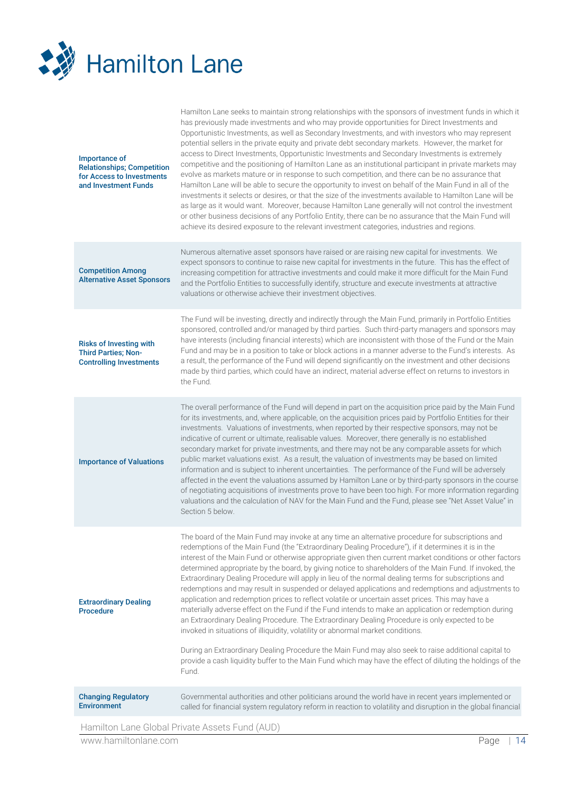

| <b>Changing Regulatory</b><br><b>Environment</b>                                                        | Governmental authorities and other politicians around the world have in recent years implemented or<br>called for financial system regulatory reform in reaction to volatility and disruption in the global financial<br>Hamilton Lang Clobal Private Accete Fund (ALID)                                                                                                                                                                                                                                                                                                                                                                                                                                                                                                                                                                                                                                                                                                                                                                                                                                                                                                                                                                                                    |
|---------------------------------------------------------------------------------------------------------|-----------------------------------------------------------------------------------------------------------------------------------------------------------------------------------------------------------------------------------------------------------------------------------------------------------------------------------------------------------------------------------------------------------------------------------------------------------------------------------------------------------------------------------------------------------------------------------------------------------------------------------------------------------------------------------------------------------------------------------------------------------------------------------------------------------------------------------------------------------------------------------------------------------------------------------------------------------------------------------------------------------------------------------------------------------------------------------------------------------------------------------------------------------------------------------------------------------------------------------------------------------------------------|
|                                                                                                         | During an Extraordinary Dealing Procedure the Main Fund may also seek to raise additional capital to<br>provide a cash liquidity buffer to the Main Fund which may have the effect of diluting the holdings of the<br>Fund.                                                                                                                                                                                                                                                                                                                                                                                                                                                                                                                                                                                                                                                                                                                                                                                                                                                                                                                                                                                                                                                 |
| <b>Extraordinary Dealing</b><br><b>Procedure</b>                                                        | The board of the Main Fund may invoke at any time an alternative procedure for subscriptions and<br>redemptions of the Main Fund (the "Extraordinary Dealing Procedure"), if it determines it is in the<br>interest of the Main Fund or otherwise appropriate given then current market conditions or other factors<br>determined appropriate by the board, by giving notice to shareholders of the Main Fund. If invoked, the<br>Extraordinary Dealing Procedure will apply in lieu of the normal dealing terms for subscriptions and<br>redemptions and may result in suspended or delayed applications and redemptions and adjustments to<br>application and redemption prices to reflect volatile or uncertain asset prices. This may have a<br>materially adverse effect on the Fund if the Fund intends to make an application or redemption during<br>an Extraordinary Dealing Procedure. The Extraordinary Dealing Procedure is only expected to be<br>invoked in situations of illiquidity, volatility or abnormal market conditions.                                                                                                                                                                                                                              |
| <b>Importance of Valuations</b>                                                                         | The overall performance of the Fund will depend in part on the acquisition price paid by the Main Fund<br>for its investments, and, where applicable, on the acquisition prices paid by Portfolio Entities for their<br>investments. Valuations of investments, when reported by their respective sponsors, may not be<br>indicative of current or ultimate, realisable values. Moreover, there generally is no established<br>secondary market for private investments, and there may not be any comparable assets for which<br>public market valuations exist. As a result, the valuation of investments may be based on limited<br>information and is subject to inherent uncertainties. The performance of the Fund will be adversely<br>affected in the event the valuations assumed by Hamilton Lane or by third-party sponsors in the course<br>of negotiating acquisitions of investments prove to have been too high. For more information regarding<br>valuations and the calculation of NAV for the Main Fund and the Fund, please see "Net Asset Value" in<br>Section 5 below.                                                                                                                                                                                  |
| <b>Risks of Investing with</b><br><b>Third Parties; Non-</b><br><b>Controlling Investments</b>          | The Fund will be investing, directly and indirectly through the Main Fund, primarily in Portfolio Entities<br>sponsored, controlled and/or managed by third parties. Such third-party managers and sponsors may<br>have interests (including financial interests) which are inconsistent with those of the Fund or the Main<br>Fund and may be in a position to take or block actions in a manner adverse to the Fund's interests. As<br>a result, the performance of the Fund will depend significantly on the investment and other decisions<br>made by third parties, which could have an indirect, material adverse effect on returns to investors in<br>the Fund.                                                                                                                                                                                                                                                                                                                                                                                                                                                                                                                                                                                                      |
| <b>Competition Among</b><br><b>Alternative Asset Sponsors</b>                                           | Numerous alternative asset sponsors have raised or are raising new capital for investments. We<br>expect sponsors to continue to raise new capital for investments in the future. This has the effect of<br>increasing competition for attractive investments and could make it more difficult for the Main Fund<br>and the Portfolio Entities to successfully identify, structure and execute investments at attractive<br>valuations or otherwise achieve their investment objectives.                                                                                                                                                                                                                                                                                                                                                                                                                                                                                                                                                                                                                                                                                                                                                                                    |
| Importance of<br><b>Relationships; Competition</b><br>for Access to Investments<br>and Investment Funds | Hamilton Lane seeks to maintain strong relationships with the sponsors of investment funds in which it<br>has previously made investments and who may provide opportunities for Direct Investments and<br>Opportunistic Investments, as well as Secondary Investments, and with investors who may represent<br>potential sellers in the private equity and private debt secondary markets. However, the market for<br>access to Direct Investments, Opportunistic Investments and Secondary Investments is extremely<br>competitive and the positioning of Hamilton Lane as an institutional participant in private markets may<br>evolve as markets mature or in response to such competition, and there can be no assurance that<br>Hamilton Lane will be able to secure the opportunity to invest on behalf of the Main Fund in all of the<br>investments it selects or desires, or that the size of the investments available to Hamilton Lane will be<br>as large as it would want. Moreover, because Hamilton Lane generally will not control the investment<br>or other business decisions of any Portfolio Entity, there can be no assurance that the Main Fund will<br>achieve its desired exposure to the relevant investment categories, industries and regions. |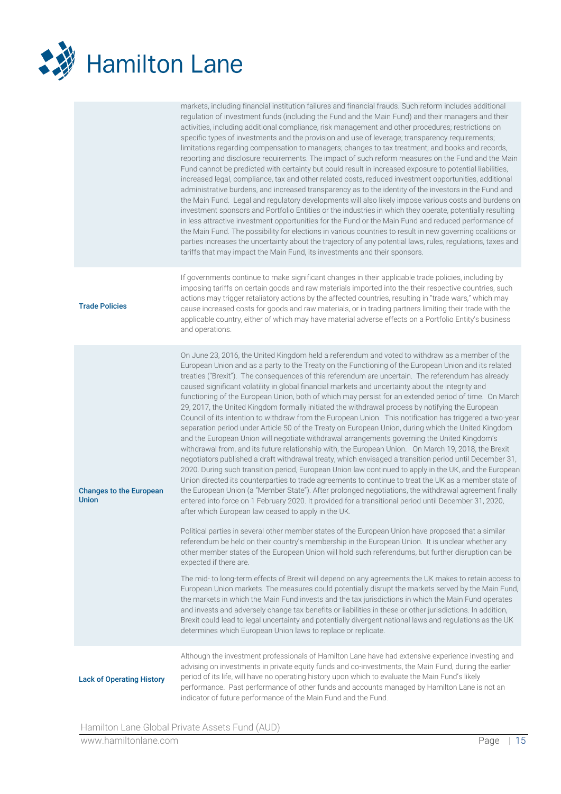

|                                                | markets, including financial institution failures and financial frauds. Such reform includes additional<br>regulation of investment funds (including the Fund and the Main Fund) and their managers and their<br>activities, including additional compliance, risk management and other procedures; restrictions on<br>specific types of investments and the provision and use of leverage; transparency requirements;<br>limitations regarding compensation to managers; changes to tax treatment; and books and records,<br>reporting and disclosure requirements. The impact of such reform measures on the Fund and the Main<br>Fund cannot be predicted with certainty but could result in increased exposure to potential liabilities,<br>increased legal, compliance, tax and other related costs, reduced investment opportunities, additional<br>administrative burdens, and increased transparency as to the identity of the investors in the Fund and<br>the Main Fund. Legal and regulatory developments will also likely impose various costs and burdens on<br>investment sponsors and Portfolio Entities or the industries in which they operate, potentially resulting<br>in less attractive investment opportunities for the Fund or the Main Fund and reduced performance of<br>the Main Fund. The possibility for elections in various countries to result in new governing coalitions or<br>parties increases the uncertainty about the trajectory of any potential laws, rules, regulations, taxes and<br>tariffs that may impact the Main Fund, its investments and their sponsors.                                                                                                                                                                                                                                                                                                                                                                                                                                                                                                                                                                                                                                                                                                                                                                                                                                                                                                                                                                                                                           |
|------------------------------------------------|-------------------------------------------------------------------------------------------------------------------------------------------------------------------------------------------------------------------------------------------------------------------------------------------------------------------------------------------------------------------------------------------------------------------------------------------------------------------------------------------------------------------------------------------------------------------------------------------------------------------------------------------------------------------------------------------------------------------------------------------------------------------------------------------------------------------------------------------------------------------------------------------------------------------------------------------------------------------------------------------------------------------------------------------------------------------------------------------------------------------------------------------------------------------------------------------------------------------------------------------------------------------------------------------------------------------------------------------------------------------------------------------------------------------------------------------------------------------------------------------------------------------------------------------------------------------------------------------------------------------------------------------------------------------------------------------------------------------------------------------------------------------------------------------------------------------------------------------------------------------------------------------------------------------------------------------------------------------------------------------------------------------------------------------------------------------------------------------------------------------------------------------------------------------------------------------------------------------------------------------------------------------------------------------------------------------------------------------------------------------------------------------------------------------------------------------------------------------------------------------------------------------------------------------------------------------------------------------------------------------------------------|
| <b>Trade Policies</b>                          | If governments continue to make significant changes in their applicable trade policies, including by<br>imposing tariffs on certain goods and raw materials imported into the their respective countries, such<br>actions may trigger retaliatory actions by the affected countries, resulting in "trade wars," which may<br>cause increased costs for goods and raw materials, or in trading partners limiting their trade with the<br>applicable country, either of which may have material adverse effects on a Portfolio Entity's business<br>and operations.                                                                                                                                                                                                                                                                                                                                                                                                                                                                                                                                                                                                                                                                                                                                                                                                                                                                                                                                                                                                                                                                                                                                                                                                                                                                                                                                                                                                                                                                                                                                                                                                                                                                                                                                                                                                                                                                                                                                                                                                                                                                   |
| <b>Changes to the European</b><br><b>Union</b> | On June 23, 2016, the United Kingdom held a referendum and voted to withdraw as a member of the<br>European Union and as a party to the Treaty on the Functioning of the European Union and its related<br>treaties ("Brexit"). The consequences of this referendum are uncertain. The referendum has already<br>caused significant volatility in global financial markets and uncertainty about the integrity and<br>functioning of the European Union, both of which may persist for an extended period of time. On March<br>29, 2017, the United Kingdom formally initiated the withdrawal process by notifying the European<br>Council of its intention to withdraw from the European Union. This notification has triggered a two-year<br>separation period under Article 50 of the Treaty on European Union, during which the United Kingdom<br>and the European Union will negotiate withdrawal arrangements governing the United Kingdom's<br>withdrawal from, and its future relationship with, the European Union. On March 19, 2018, the Brexit<br>negotiators published a draft withdrawal treaty, which envisaged a transition period until December 31,<br>2020. During such transition period, European Union law continued to apply in the UK, and the European<br>Union directed its counterparties to trade agreements to continue to treat the UK as a member state of<br>the European Union (a "Member State"). After prolonged negotiations, the withdrawal agreement finally<br>entered into force on 1 February 2020. It provided for a transitional period until December 31, 2020,<br>after which European law ceased to apply in the UK.<br>Political parties in several other member states of the European Union have proposed that a similar<br>referendum be held on their country's membership in the European Union. It is unclear whether any<br>other member states of the European Union will hold such referendums, but further disruption can be<br>expected if there are.<br>The mid- to long-term effects of Brexit will depend on any agreements the UK makes to retain access to<br>European Union markets. The measures could potentially disrupt the markets served by the Main Fund,<br>the markets in which the Main Fund invests and the tax jurisdictions in which the Main Fund operates<br>and invests and adversely change tax benefits or liabilities in these or other jurisdictions. In addition,<br>Brexit could lead to legal uncertainty and potentially divergent national laws and regulations as the UK<br>determines which European Union laws to replace or replicate. |
| <b>Lack of Operating History</b>               | Although the investment professionals of Hamilton Lane have had extensive experience investing and<br>advising on investments in private equity funds and co-investments, the Main Fund, during the earlier<br>period of its life, will have no operating history upon which to evaluate the Main Fund's likely<br>performance. Past performance of other funds and accounts managed by Hamilton Lane is not an<br>indicator of future performance of the Main Fund and the Fund.                                                                                                                                                                                                                                                                                                                                                                                                                                                                                                                                                                                                                                                                                                                                                                                                                                                                                                                                                                                                                                                                                                                                                                                                                                                                                                                                                                                                                                                                                                                                                                                                                                                                                                                                                                                                                                                                                                                                                                                                                                                                                                                                                   |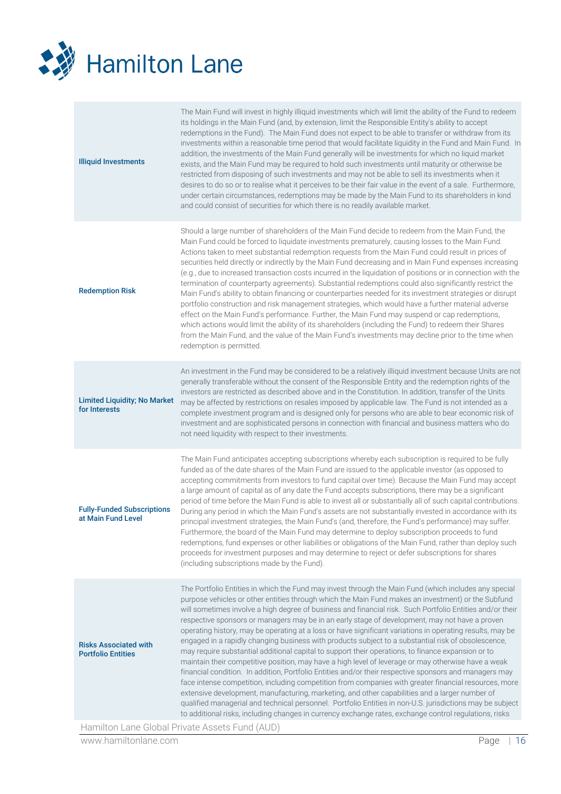

| <b>Illiquid Investments</b>                               | The Main Fund will invest in highly illiquid investments which will limit the ability of the Fund to redeem<br>its holdings in the Main Fund (and, by extension, limit the Responsible Entity's ability to accept<br>redemptions in the Fund). The Main Fund does not expect to be able to transfer or withdraw from its<br>investments within a reasonable time period that would facilitate liquidity in the Fund and Main Fund. In<br>addition, the investments of the Main Fund generally will be investments for which no liquid market<br>exists, and the Main Fund may be required to hold such investments until maturity or otherwise be<br>restricted from disposing of such investments and may not be able to sell its investments when it<br>desires to do so or to realise what it perceives to be their fair value in the event of a sale. Furthermore,<br>under certain circumstances, redemptions may be made by the Main Fund to its shareholders in kind<br>and could consist of securities for which there is no readily available market.                                                                                                                                                                                                                                                                                                                                          |
|-----------------------------------------------------------|---------------------------------------------------------------------------------------------------------------------------------------------------------------------------------------------------------------------------------------------------------------------------------------------------------------------------------------------------------------------------------------------------------------------------------------------------------------------------------------------------------------------------------------------------------------------------------------------------------------------------------------------------------------------------------------------------------------------------------------------------------------------------------------------------------------------------------------------------------------------------------------------------------------------------------------------------------------------------------------------------------------------------------------------------------------------------------------------------------------------------------------------------------------------------------------------------------------------------------------------------------------------------------------------------------------------------------------------------------------------------------------------------------|
| <b>Redemption Risk</b>                                    | Should a large number of shareholders of the Main Fund decide to redeem from the Main Fund, the<br>Main Fund could be forced to liquidate investments prematurely, causing losses to the Main Fund.<br>Actions taken to meet substantial redemption requests from the Main Fund could result in prices of<br>securities held directly or indirectly by the Main Fund decreasing and in Main Fund expenses increasing<br>(e.g., due to increased transaction costs incurred in the liquidation of positions or in connection with the<br>termination of counterparty agreements). Substantial redemptions could also significantly restrict the<br>Main Fund's ability to obtain financing or counterparties needed for its investment strategies or disrupt<br>portfolio construction and risk management strategies, which would have a further material adverse<br>effect on the Main Fund's performance. Further, the Main Fund may suspend or cap redemptions,<br>which actions would limit the ability of its shareholders (including the Fund) to redeem their Shares<br>from the Main Fund, and the value of the Main Fund's investments may decline prior to the time when<br>redemption is permitted.                                                                                                                                                                                          |
| <b>Limited Liquidity; No Market</b><br>for Interests      | An investment in the Fund may be considered to be a relatively illiquid investment because Units are not<br>generally transferable without the consent of the Responsible Entity and the redemption rights of the<br>investors are restricted as described above and in the Constitution. In addition, transfer of the Units<br>may be affected by restrictions on resales imposed by applicable law. The Fund is not intended as a<br>complete investment program and is designed only for persons who are able to bear economic risk of<br>investment and are sophisticated persons in connection with financial and business matters who do<br>not need liquidity with respect to their investments.                                                                                                                                                                                                                                                                                                                                                                                                                                                                                                                                                                                                                                                                                                 |
| <b>Fully-Funded Subscriptions</b><br>at Main Fund Level   | The Main Fund anticipates accepting subscriptions whereby each subscription is required to be fully<br>funded as of the date shares of the Main Fund are issued to the applicable investor (as opposed to<br>accepting commitments from investors to fund capital over time). Because the Main Fund may accept<br>a large amount of capital as of any date the Fund accepts subscriptions, there may be a significant<br>period of time before the Main Fund is able to invest all or substantially all of such capital contributions.<br>During any period in which the Main Fund's assets are not substantially invested in accordance with its<br>principal investment strategies, the Main Fund's (and, therefore, the Fund's performance) may suffer.<br>Furthermore, the board of the Main Fund may determine to deploy subscription proceeds to fund<br>redemptions, fund expenses or other liabilities or obligations of the Main Fund, rather than deploy such<br>proceeds for investment purposes and may determine to reject or defer subscriptions for shares<br>(including subscriptions made by the Fund).                                                                                                                                                                                                                                                                                |
| <b>Risks Associated with</b><br><b>Portfolio Entities</b> | The Portfolio Entities in which the Fund may invest through the Main Fund (which includes any special<br>purpose vehicles or other entities through which the Main Fund makes an investment) or the Subfund<br>will sometimes involve a high degree of business and financial risk. Such Portfolio Entities and/or their<br>respective sponsors or managers may be in an early stage of development, may not have a proven<br>operating history, may be operating at a loss or have significant variations in operating results, may be<br>engaged in a rapidly changing business with products subject to a substantial risk of obsolescence,<br>may require substantial additional capital to support their operations, to finance expansion or to<br>maintain their competitive position, may have a high level of leverage or may otherwise have a weak<br>financial condition. In addition, Portfolio Entities and/or their respective sponsors and managers may<br>face intense competition, including competition from companies with greater financial resources, more<br>extensive development, manufacturing, marketing, and other capabilities and a larger number of<br>qualified managerial and technical personnel. Portfolio Entities in non-U.S. jurisdictions may be subject<br>to additional risks, including changes in currency exchange rates, exchange control regulations, risks |
|                                                           | Hamilton Lane Global Private Assets Fund (AUD)                                                                                                                                                                                                                                                                                                                                                                                                                                                                                                                                                                                                                                                                                                                                                                                                                                                                                                                                                                                                                                                                                                                                                                                                                                                                                                                                                          |

www.hamiltonlane.com Page | 16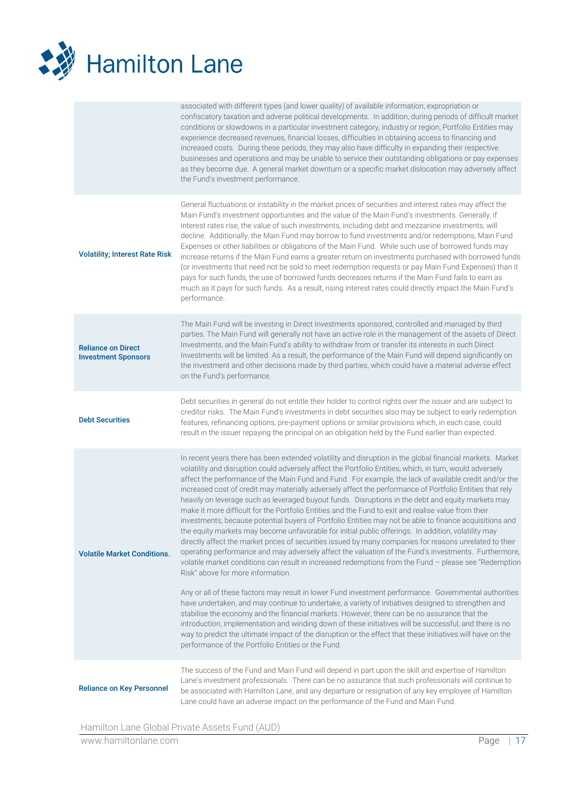

|                                                         | associated with different types (and lower quality) of available information, expropriation or<br>confiscatory taxation and adverse political developments. In addition, during periods of difficult market<br>conditions or slowdowns in a particular investment category, industry or region, Portfolio Entities may<br>experience decreased revenues, financial losses, difficulties in obtaining access to financing and<br>increased costs. During these periods, they may also have difficulty in expanding their respective<br>businesses and operations and may be unable to service their outstanding obligations or pay expenses<br>as they become due. A general market downturn or a specific market dislocation may adversely affect<br>the Fund's investment performance.                                                                                                                                                                                                                                                                                                                                                                                                                                                                                                                                                                                                                                                                                                                                                                                                                                                                                                                                                                                                                                                   |
|---------------------------------------------------------|-------------------------------------------------------------------------------------------------------------------------------------------------------------------------------------------------------------------------------------------------------------------------------------------------------------------------------------------------------------------------------------------------------------------------------------------------------------------------------------------------------------------------------------------------------------------------------------------------------------------------------------------------------------------------------------------------------------------------------------------------------------------------------------------------------------------------------------------------------------------------------------------------------------------------------------------------------------------------------------------------------------------------------------------------------------------------------------------------------------------------------------------------------------------------------------------------------------------------------------------------------------------------------------------------------------------------------------------------------------------------------------------------------------------------------------------------------------------------------------------------------------------------------------------------------------------------------------------------------------------------------------------------------------------------------------------------------------------------------------------------------------------------------------------------------------------------------------------|
| <b>Volatility; Interest Rate Risk</b>                   | General fluctuations or instability in the market prices of securities and interest rates may affect the<br>Main Fund's investment opportunities and the value of the Main Fund's investments. Generally, if<br>interest rates rise, the value of such investments, including debt and mezzanine investments, will<br>decline. Additionally, the Main Fund may borrow to fund investments and/or redemptions, Main Fund<br>Expenses or other liabilities or obligations of the Main Fund. While such use of borrowed funds may<br>increase returns if the Main Fund earns a greater return on investments purchased with borrowed funds<br>(or investments that need not be sold to meet redemption requests or pay Main Fund Expenses) than it<br>pays for such funds, the use of borrowed funds decreases returns if the Main Fund fails to earn as<br>much as it pays for such funds. As a result, rising interest rates could directly impact the Main Fund's<br>performance.                                                                                                                                                                                                                                                                                                                                                                                                                                                                                                                                                                                                                                                                                                                                                                                                                                                         |
| <b>Reliance on Direct</b><br><b>Investment Sponsors</b> | The Main Fund will be investing in Direct Investments sponsored, controlled and managed by third<br>parties. The Main Fund will generally not have an active role in the management of the assets of Direct<br>Investments, and the Main Fund's ability to withdraw from or transfer its interests in such Direct<br>Investments will be limited. As a result, the performance of the Main Fund will depend significantly on<br>the investment and other decisions made by third parties, which could have a material adverse effect<br>on the Fund's performance.                                                                                                                                                                                                                                                                                                                                                                                                                                                                                                                                                                                                                                                                                                                                                                                                                                                                                                                                                                                                                                                                                                                                                                                                                                                                        |
| <b>Debt Securities</b>                                  | Debt securities in general do not entitle their holder to control rights over the issuer and are subject to<br>creditor risks. The Main Fund's investments in debt securities also may be subject to early redemption<br>features, refinancing options, pre-payment options or similar provisions which, in each case, could<br>result in the issuer repaying the principal on an obligation held by the Fund earlier than expected.                                                                                                                                                                                                                                                                                                                                                                                                                                                                                                                                                                                                                                                                                                                                                                                                                                                                                                                                                                                                                                                                                                                                                                                                                                                                                                                                                                                                      |
| <b>Volatile Market Conditions.</b>                      | In recent years there has been extended volatility and disruption in the global financial markets. Market<br>volatility and disruption could adversely affect the Portfolio Entities, which, in turn, would adversely<br>affect the performance of the Main Fund and Fund. For example, the lack of available credit and/or the<br>increased cost of credit may materially adversely affect the performance of Portfolio Entities that rely<br>heavily on leverage such as leveraged buyout funds. Disruptions in the debt and equity markets may<br>make it more difficult for the Portfolio Entities and the Fund to exit and realise value from their<br>investments, because potential buyers of Portfolio Entities may not be able to finance acquisitions and<br>the equity markets may become unfavorable for initial public offerings. In addition, volatility may<br>directly affect the market prices of securities issued by many companies for reasons unrelated to their<br>operating performance and may adversely affect the valuation of the Fund's investments. Furthermore,<br>volatile market conditions can result in increased redemptions from the Fund - please see "Redemption<br>Risk" above for more information.<br>Any or all of these factors may result in lower Fund investment performance. Governmental authorities<br>have undertaken, and may continue to undertake, a variety of initiatives designed to strengthen and<br>stabilise the economy and the financial markets. However, there can be no assurance that the<br>introduction, implementation and winding down of these initiatives will be successful, and there is no<br>way to predict the ultimate impact of the disruption or the effect that these initiatives will have on the<br>performance of the Portfolio Entities or the Fund. |
| <b>Reliance on Key Personnel</b>                        | The success of the Fund and Main Fund will depend in part upon the skill and expertise of Hamilton<br>Lane's investment professionals. There can be no assurance that such professionals will continue to<br>be associated with Hamilton Lane, and any departure or resignation of any key employee of Hamilton<br>Lane could have an adverse impact on the performance of the Fund and Main Fund.                                                                                                                                                                                                                                                                                                                                                                                                                                                                                                                                                                                                                                                                                                                                                                                                                                                                                                                                                                                                                                                                                                                                                                                                                                                                                                                                                                                                                                        |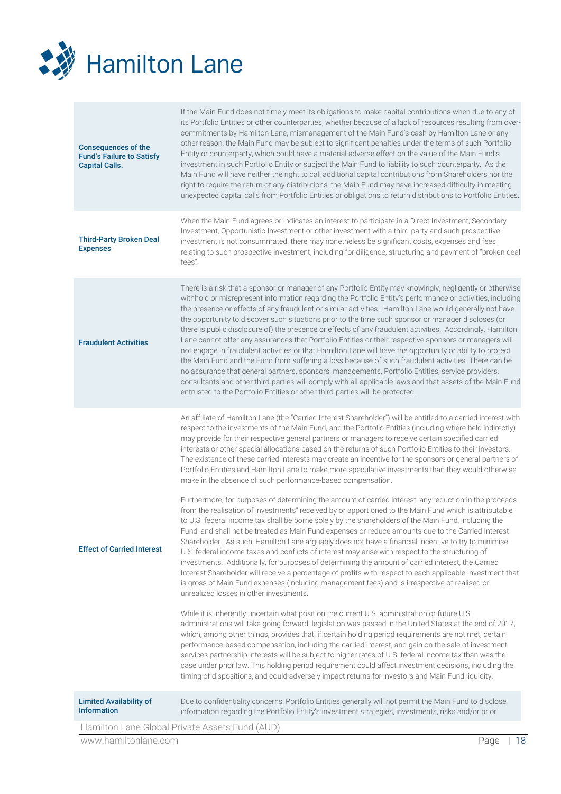

| <b>Limited Availability of</b><br><b>Information</b>                                    | administrations will take going forward, legislation was passed in the United States at the end of 2017,<br>which, among other things, provides that, if certain holding period requirements are not met, certain<br>performance-based compensation, including the carried interest, and gain on the sale of investment<br>services partnership interests will be subject to higher rates of U.S. federal income tax than was the<br>case under prior law. This holding period requirement could affect investment decisions, including the<br>timing of dispositions, and could adversely impact returns for investors and Main Fund liquidity.<br>Due to confidentiality concerns, Portfolio Entities generally will not permit the Main Fund to disclose<br>information regarding the Portfolio Entity's investment strategies, investments, risks and/or prior                                                                                                                                                                                                                                                                                                                                                                                                                                                                                                                                                                                                                                                                                                                                                                                                                                                                                                                                                                             |
|-----------------------------------------------------------------------------------------|------------------------------------------------------------------------------------------------------------------------------------------------------------------------------------------------------------------------------------------------------------------------------------------------------------------------------------------------------------------------------------------------------------------------------------------------------------------------------------------------------------------------------------------------------------------------------------------------------------------------------------------------------------------------------------------------------------------------------------------------------------------------------------------------------------------------------------------------------------------------------------------------------------------------------------------------------------------------------------------------------------------------------------------------------------------------------------------------------------------------------------------------------------------------------------------------------------------------------------------------------------------------------------------------------------------------------------------------------------------------------------------------------------------------------------------------------------------------------------------------------------------------------------------------------------------------------------------------------------------------------------------------------------------------------------------------------------------------------------------------------------------------------------------------------------------------------------------------|
| <b>Effect of Carried Interest</b>                                                       | An affiliate of Hamilton Lane (the "Carried Interest Shareholder") will be entitled to a carried interest with<br>respect to the investments of the Main Fund, and the Portfolio Entities (including where held indirectly)<br>may provide for their respective general partners or managers to receive certain specified carried<br>interests or other special allocations based on the returns of such Portfolio Entities to their investors.<br>The existence of these carried interests may create an incentive for the sponsors or general partners of<br>Portfolio Entities and Hamilton Lane to make more speculative investments than they would otherwise<br>make in the absence of such performance-based compensation.<br>Furthermore, for purposes of determining the amount of carried interest, any reduction in the proceeds<br>from the realisation of investments" received by or apportioned to the Main Fund which is attributable<br>to U.S. federal income tax shall be borne solely by the shareholders of the Main Fund, including the<br>Fund, and shall not be treated as Main Fund expenses or reduce amounts due to the Carried Interest<br>Shareholder. As such, Hamilton Lane arguably does not have a financial incentive to try to minimise<br>U.S. federal income taxes and conflicts of interest may arise with respect to the structuring of<br>investments. Additionally, for purposes of determining the amount of carried interest, the Carried<br>Interest Shareholder will receive a percentage of profits with respect to each applicable Investment that<br>is gross of Main Fund expenses (including management fees) and is irrespective of realised or<br>unrealized losses in other investments.<br>While it is inherently uncertain what position the current U.S. administration or future U.S. |
| <b>Fraudulent Activities</b>                                                            | There is a risk that a sponsor or manager of any Portfolio Entity may knowingly, negligently or otherwise<br>withhold or misrepresent information regarding the Portfolio Entity's performance or activities, including<br>the presence or effects of any fraudulent or similar activities. Hamilton Lane would generally not have<br>the opportunity to discover such situations prior to the time such sponsor or manager discloses (or<br>there is public disclosure of) the presence or effects of any fraudulent activities. Accordingly, Hamilton<br>Lane cannot offer any assurances that Portfolio Entities or their respective sponsors or managers will<br>not engage in fraudulent activities or that Hamilton Lane will have the opportunity or ability to protect<br>the Main Fund and the Fund from suffering a loss because of such fraudulent activities. There can be<br>no assurance that general partners, sponsors, managements, Portfolio Entities, service providers,<br>consultants and other third-parties will comply with all applicable laws and that assets of the Main Fund<br>entrusted to the Portfolio Entities or other third-parties will be protected.                                                                                                                                                                                                                                                                                                                                                                                                                                                                                                                                                                                                                                                      |
| <b>Third-Party Broken Deal</b><br><b>Expenses</b>                                       | When the Main Fund agrees or indicates an interest to participate in a Direct Investment, Secondary<br>Investment, Opportunistic Investment or other investment with a third-party and such prospective<br>investment is not consummated, there may nonetheless be significant costs, expenses and fees<br>relating to such prospective investment, including for diligence, structuring and payment of "broken deal<br>fees".                                                                                                                                                                                                                                                                                                                                                                                                                                                                                                                                                                                                                                                                                                                                                                                                                                                                                                                                                                                                                                                                                                                                                                                                                                                                                                                                                                                                                 |
| <b>Consequences of the</b><br><b>Fund's Failure to Satisfy</b><br><b>Capital Calls.</b> | If the Main Fund does not timely meet its obligations to make capital contributions when due to any of<br>its Portfolio Entities or other counterparties, whether because of a lack of resources resulting from over-<br>commitments by Hamilton Lane, mismanagement of the Main Fund's cash by Hamilton Lane or any<br>other reason, the Main Fund may be subject to significant penalties under the terms of such Portfolio<br>Entity or counterparty, which could have a material adverse effect on the value of the Main Fund's<br>investment in such Portfolio Entity or subject the Main Fund to liability to such counterparty. As the<br>Main Fund will have neither the right to call additional capital contributions from Shareholders nor the<br>right to require the return of any distributions, the Main Fund may have increased difficulty in meeting<br>unexpected capital calls from Portfolio Entities or obligations to return distributions to Portfolio Entities.                                                                                                                                                                                                                                                                                                                                                                                                                                                                                                                                                                                                                                                                                                                                                                                                                                                        |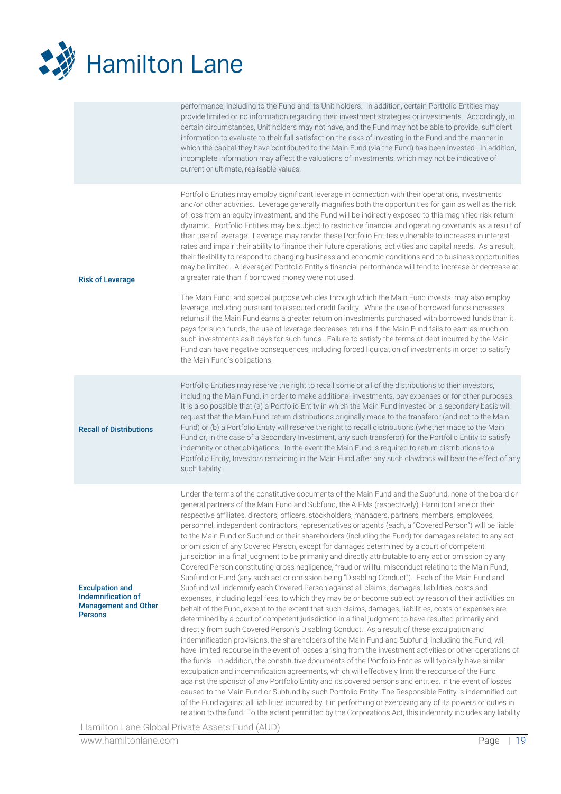

|                                                                                               | performance, including to the Fund and its Unit holders. In addition, certain Portfolio Entities may<br>provide limited or no information regarding their investment strategies or investments. Accordingly, in<br>certain circumstances, Unit holders may not have, and the Fund may not be able to provide, sufficient<br>information to evaluate to their full satisfaction the risks of investing in the Fund and the manner in<br>which the capital they have contributed to the Main Fund (via the Fund) has been invested. In addition,<br>incomplete information may affect the valuations of investments, which may not be indicative of<br>current or ultimate, realisable values.                                                                                                                                                                                                                                                                                                                                                                                                                                                                                                                                                                                                                                                                                                                                                                                                                                                                                                                                                                                                                                                                                                                                                                                                                                                                                                                                                                                                                                                                                                                                                                                                                                                                                 |
|-----------------------------------------------------------------------------------------------|------------------------------------------------------------------------------------------------------------------------------------------------------------------------------------------------------------------------------------------------------------------------------------------------------------------------------------------------------------------------------------------------------------------------------------------------------------------------------------------------------------------------------------------------------------------------------------------------------------------------------------------------------------------------------------------------------------------------------------------------------------------------------------------------------------------------------------------------------------------------------------------------------------------------------------------------------------------------------------------------------------------------------------------------------------------------------------------------------------------------------------------------------------------------------------------------------------------------------------------------------------------------------------------------------------------------------------------------------------------------------------------------------------------------------------------------------------------------------------------------------------------------------------------------------------------------------------------------------------------------------------------------------------------------------------------------------------------------------------------------------------------------------------------------------------------------------------------------------------------------------------------------------------------------------------------------------------------------------------------------------------------------------------------------------------------------------------------------------------------------------------------------------------------------------------------------------------------------------------------------------------------------------------------------------------------------------------------------------------------------------|
| <b>Risk of Leverage</b>                                                                       | Portfolio Entities may employ significant leverage in connection with their operations, investments<br>and/or other activities. Leverage generally magnifies both the opportunities for gain as well as the risk<br>of loss from an equity investment, and the Fund will be indirectly exposed to this magnified risk-return<br>dynamic. Portfolio Entities may be subject to restrictive financial and operating covenants as a result of<br>their use of leverage. Leverage may render these Portfolio Entities vulnerable to increases in interest<br>rates and impair their ability to finance their future operations, activities and capital needs. As a result,<br>their flexibility to respond to changing business and economic conditions and to business opportunities<br>may be limited. A leveraged Portfolio Entity's financial performance will tend to increase or decrease at<br>a greater rate than if borrowed money were not used.                                                                                                                                                                                                                                                                                                                                                                                                                                                                                                                                                                                                                                                                                                                                                                                                                                                                                                                                                                                                                                                                                                                                                                                                                                                                                                                                                                                                                       |
|                                                                                               | The Main Fund, and special purpose vehicles through which the Main Fund invests, may also employ<br>leverage, including pursuant to a secured credit facility. While the use of borrowed funds increases<br>returns if the Main Fund earns a greater return on investments purchased with borrowed funds than it<br>pays for such funds, the use of leverage decreases returns if the Main Fund fails to earn as much on<br>such investments as it pays for such funds. Failure to satisfy the terms of debt incurred by the Main<br>Fund can have negative consequences, including forced liquidation of investments in order to satisfy<br>the Main Fund's obligations.                                                                                                                                                                                                                                                                                                                                                                                                                                                                                                                                                                                                                                                                                                                                                                                                                                                                                                                                                                                                                                                                                                                                                                                                                                                                                                                                                                                                                                                                                                                                                                                                                                                                                                    |
| <b>Recall of Distributions</b>                                                                | Portfolio Entities may reserve the right to recall some or all of the distributions to their investors,<br>including the Main Fund, in order to make additional investments, pay expenses or for other purposes.<br>It is also possible that (a) a Portfolio Entity in which the Main Fund invested on a secondary basis will<br>request that the Main Fund return distributions originally made to the transferor (and not to the Main<br>Fund) or (b) a Portfolio Entity will reserve the right to recall distributions (whether made to the Main<br>Fund or, in the case of a Secondary Investment, any such transferor) for the Portfolio Entity to satisfy<br>indemnity or other obligations. In the event the Main Fund is required to return distributions to a<br>Portfolio Entity, Investors remaining in the Main Fund after any such clawback will bear the effect of any<br>such liability.                                                                                                                                                                                                                                                                                                                                                                                                                                                                                                                                                                                                                                                                                                                                                                                                                                                                                                                                                                                                                                                                                                                                                                                                                                                                                                                                                                                                                                                                      |
| <b>Exculpation and</b><br>Indemnification of<br><b>Management and Other</b><br><b>Persons</b> | Under the terms of the constitutive documents of the Main Fund and the Subfund, none of the board or<br>general partners of the Main Fund and Subfund, the AIFMs (respectively), Hamilton Lane or their<br>respective affiliates, directors, officers, stockholders, managers, partners, members, employees,<br>personnel, independent contractors, representatives or agents (each, a "Covered Person") will be liable<br>to the Main Fund or Subfund or their shareholders (including the Fund) for damages related to any act<br>or omission of any Covered Person, except for damages determined by a court of competent<br>jurisdiction in a final judgment to be primarily and directly attributable to any act or omission by any<br>Covered Person constituting gross negligence, fraud or willful misconduct relating to the Main Fund,<br>Subfund or Fund (any such act or omission being "Disabling Conduct"). Each of the Main Fund and<br>Subfund will indemnify each Covered Person against all claims, damages, liabilities, costs and<br>expenses, including legal fees, to which they may be or become subject by reason of their activities on<br>behalf of the Fund, except to the extent that such claims, damages, liabilities, costs or expenses are<br>determined by a court of competent jurisdiction in a final judgment to have resulted primarily and<br>directly from such Covered Person's Disabling Conduct. As a result of these exculpation and<br>indemnification provisions, the shareholders of the Main Fund and Subfund, including the Fund, will<br>have limited recourse in the event of losses arising from the investment activities or other operations of<br>the funds. In addition, the constitutive documents of the Portfolio Entities will typically have similar<br>exculpation and indemnification agreements, which will effectively limit the recourse of the Fund<br>against the sponsor of any Portfolio Entity and its covered persons and entities, in the event of losses<br>caused to the Main Fund or Subfund by such Portfolio Entity. The Responsible Entity is indemnified out<br>of the Fund against all liabilities incurred by it in performing or exercising any of its powers or duties in<br>relation to the fund. To the extent permitted by the Corporations Act, this indemnity includes any liability |

Hamilton Lane Global Private Assets Fund (AUD)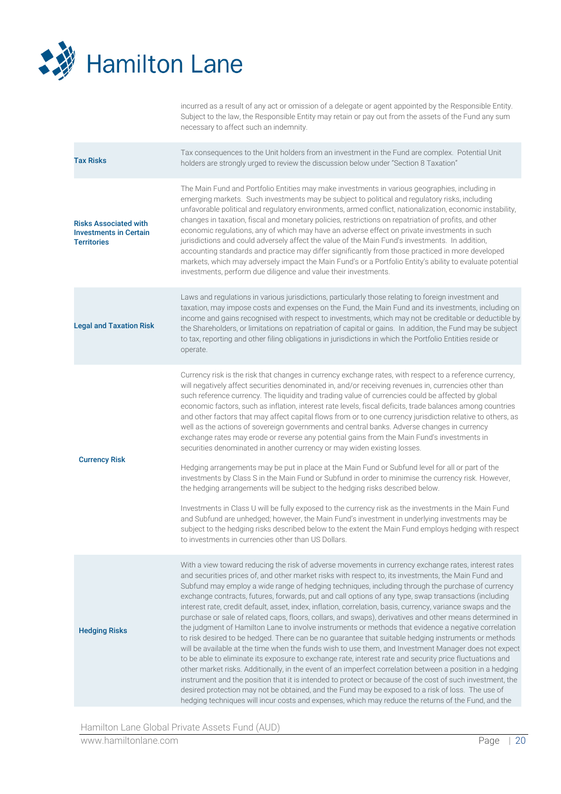

incurred as a result of any act or omission of a delegate or agent appointed by the Responsible Entity. Subject to the law, the Responsible Entity may retain or pay out from the assets of the Fund any sum necessary to affect such an indemnity.

| <b>Tax Risks</b>                                                                    | Tax consequences to the Unit holders from an investment in the Fund are complex. Potential Unit<br>holders are strongly urged to review the discussion below under "Section 8 Taxation"                                                                                                                                                                                                                                                                                                                                                                                                                                                                                                                                                                                                                                                                                                                                                                                                                                                                                                                                                                                                                                                                                                                                                                                                                                                                                                                                            |  |
|-------------------------------------------------------------------------------------|------------------------------------------------------------------------------------------------------------------------------------------------------------------------------------------------------------------------------------------------------------------------------------------------------------------------------------------------------------------------------------------------------------------------------------------------------------------------------------------------------------------------------------------------------------------------------------------------------------------------------------------------------------------------------------------------------------------------------------------------------------------------------------------------------------------------------------------------------------------------------------------------------------------------------------------------------------------------------------------------------------------------------------------------------------------------------------------------------------------------------------------------------------------------------------------------------------------------------------------------------------------------------------------------------------------------------------------------------------------------------------------------------------------------------------------------------------------------------------------------------------------------------------|--|
| <b>Risks Associated with</b><br><b>Investments in Certain</b><br><b>Territories</b> | The Main Fund and Portfolio Entities may make investments in various geographies, including in<br>emerging markets. Such investments may be subject to political and regulatory risks, including<br>unfavorable political and regulatory environments, armed conflict, nationalization, economic instability,<br>changes in taxation, fiscal and monetary policies, restrictions on repatriation of profits, and other<br>economic regulations, any of which may have an adverse effect on private investments in such<br>jurisdictions and could adversely affect the value of the Main Fund's investments. In addition,<br>accounting standards and practice may differ significantly from those practiced in more developed<br>markets, which may adversely impact the Main Fund's or a Portfolio Entity's ability to evaluate potential<br>investments, perform due diligence and value their investments.                                                                                                                                                                                                                                                                                                                                                                                                                                                                                                                                                                                                                     |  |
| <b>Legal and Taxation Risk</b>                                                      | Laws and regulations in various jurisdictions, particularly those relating to foreign investment and<br>taxation, may impose costs and expenses on the Fund, the Main Fund and its investments, including on<br>income and gains recognised with respect to investments, which may not be creditable or deductible by<br>the Shareholders, or limitations on repatriation of capital or gains. In addition, the Fund may be subject<br>to tax, reporting and other filing obligations in jurisdictions in which the Portfolio Entities reside or<br>operate.                                                                                                                                                                                                                                                                                                                                                                                                                                                                                                                                                                                                                                                                                                                                                                                                                                                                                                                                                                       |  |
| <b>Currency Risk</b>                                                                | Currency risk is the risk that changes in currency exchange rates, with respect to a reference currency,<br>will negatively affect securities denominated in, and/or receiving revenues in, currencies other than<br>such reference currency. The liquidity and trading value of currencies could be affected by global<br>economic factors, such as inflation, interest rate levels, fiscal deficits, trade balances among countries<br>and other factors that may affect capital flows from or to one currency jurisdiction relative to others, as<br>well as the actions of sovereign governments and central banks. Adverse changes in currency<br>exchange rates may erode or reverse any potential gains from the Main Fund's investments in<br>securities denominated in another currency or may widen existing losses.<br>Hedging arrangements may be put in place at the Main Fund or Subfund level for all or part of the<br>investments by Class S in the Main Fund or Subfund in order to minimise the currency risk. However,<br>the hedging arrangements will be subject to the hedging risks described below.<br>Investments in Class U will be fully exposed to the currency risk as the investments in the Main Fund<br>and Subfund are unhedged; however, the Main Fund's investment in underlying investments may be<br>subject to the hedging risks described below to the extent the Main Fund employs hedging with respect<br>to investments in currencies other than US Dollars.                            |  |
| <b>Hedging Risks</b>                                                                | With a view toward reducing the risk of adverse movements in currency exchange rates, interest rates<br>and securities prices of, and other market risks with respect to, its investments, the Main Fund and<br>Subfund may employ a wide range of hedging techniques, including through the purchase of currency<br>exchange contracts, futures, forwards, put and call options of any type, swap transactions (including<br>interest rate, credit default, asset, index, inflation, correlation, basis, currency, variance swaps and the<br>purchase or sale of related caps, floors, collars, and swaps), derivatives and other means determined in<br>the judgment of Hamilton Lane to involve instruments or methods that evidence a negative correlation<br>to risk desired to be hedged. There can be no guarantee that suitable hedging instruments or methods<br>will be available at the time when the funds wish to use them, and Investment Manager does not expect<br>to be able to eliminate its exposure to exchange rate, interest rate and security price fluctuations and<br>other market risks. Additionally, in the event of an imperfect correlation between a position in a hedging<br>instrument and the position that it is intended to protect or because of the cost of such investment, the<br>desired protection may not be obtained, and the Fund may be exposed to a risk of loss. The use of<br>hedging techniques will incur costs and expenses, which may reduce the returns of the Fund, and the |  |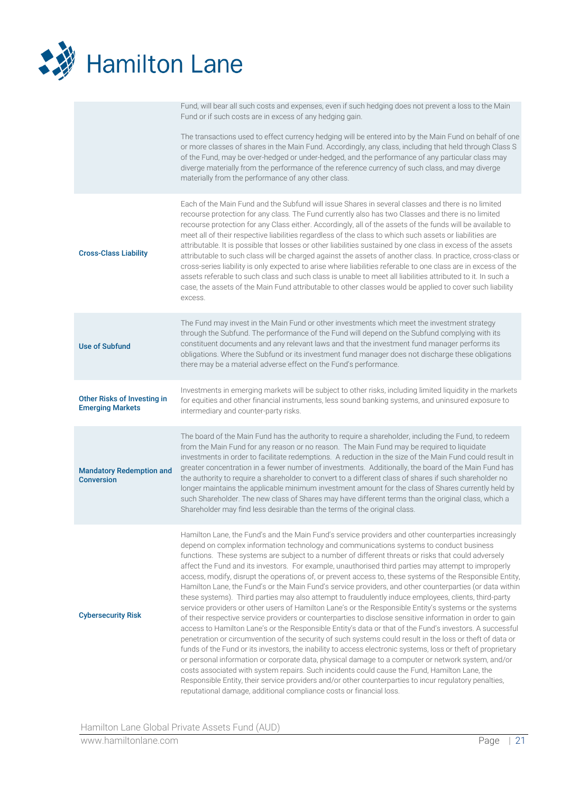

| Fund, will bear all such costs and expenses, even if such hedging does not prevent a loss to the Main   |
|---------------------------------------------------------------------------------------------------------|
| Fund or if such costs are in excess of any hedging gain.                                                |
| The transactions used to effect currency hedging will be entered into by the Main Fund on behalf of one |
| or more elecces of charge in the Main Fund, Associately, any close, including that hold through Close S |

or more classes of shares in the Main Fund. Accordingly, any class, including that held through Class S of the Fund, may be over-hedged or under-hedged, and the performance of any particular class may diverge materially from the performance of the reference currency of such class, and may diverge materially from the performance of any other class.

| <b>Cross-Class Liability</b>                                  | Each of the Main Fund and the Subfund will issue Shares in several classes and there is no limited<br>recourse protection for any class. The Fund currently also has two Classes and there is no limited<br>recourse protection for any Class either. Accordingly, all of the assets of the funds will be available to<br>meet all of their respective liabilities regardless of the class to which such assets or liabilities are<br>attributable. It is possible that losses or other liabilities sustained by one class in excess of the assets<br>attributable to such class will be charged against the assets of another class. In practice, cross-class or<br>cross-series liability is only expected to arise where liabilities referable to one class are in excess of the<br>assets referable to such class and such class is unable to meet all liabilities attributed to it. In such a<br>case, the assets of the Main Fund attributable to other classes would be applied to cover such liability<br>excess.                                                                                                                                                                                                                                                                                                                                                                                                                                                                                                                                                                                                                                                                                  |
|---------------------------------------------------------------|------------------------------------------------------------------------------------------------------------------------------------------------------------------------------------------------------------------------------------------------------------------------------------------------------------------------------------------------------------------------------------------------------------------------------------------------------------------------------------------------------------------------------------------------------------------------------------------------------------------------------------------------------------------------------------------------------------------------------------------------------------------------------------------------------------------------------------------------------------------------------------------------------------------------------------------------------------------------------------------------------------------------------------------------------------------------------------------------------------------------------------------------------------------------------------------------------------------------------------------------------------------------------------------------------------------------------------------------------------------------------------------------------------------------------------------------------------------------------------------------------------------------------------------------------------------------------------------------------------------------------------------------------------------------------------------------------------|
| <b>Use of Subfund</b>                                         | The Fund may invest in the Main Fund or other investments which meet the investment strategy<br>through the Subfund. The performance of the Fund will depend on the Subfund complying with its<br>constituent documents and any relevant laws and that the investment fund manager performs its<br>obligations. Where the Subfund or its investment fund manager does not discharge these obligations<br>there may be a material adverse effect on the Fund's performance.                                                                                                                                                                                                                                                                                                                                                                                                                                                                                                                                                                                                                                                                                                                                                                                                                                                                                                                                                                                                                                                                                                                                                                                                                                 |
| <b>Other Risks of Investing in</b><br><b>Emerging Markets</b> | Investments in emerging markets will be subject to other risks, including limited liquidity in the markets<br>for equities and other financial instruments, less sound banking systems, and uninsured exposure to<br>intermediary and counter-party risks.                                                                                                                                                                                                                                                                                                                                                                                                                                                                                                                                                                                                                                                                                                                                                                                                                                                                                                                                                                                                                                                                                                                                                                                                                                                                                                                                                                                                                                                 |
| <b>Mandatory Redemption and</b><br><b>Conversion</b>          | The board of the Main Fund has the authority to require a shareholder, including the Fund, to redeem<br>from the Main Fund for any reason or no reason. The Main Fund may be required to liquidate<br>investments in order to facilitate redemptions. A reduction in the size of the Main Fund could result in<br>greater concentration in a fewer number of investments. Additionally, the board of the Main Fund has<br>the authority to require a shareholder to convert to a different class of shares if such shareholder no<br>longer maintains the applicable minimum investment amount for the class of Shares currently held by<br>such Shareholder. The new class of Shares may have different terms than the original class, which a<br>Shareholder may find less desirable than the terms of the original class.                                                                                                                                                                                                                                                                                                                                                                                                                                                                                                                                                                                                                                                                                                                                                                                                                                                                               |
| <b>Cybersecurity Risk</b>                                     | Hamilton Lane, the Fund's and the Main Fund's service providers and other counterparties increasingly<br>depend on complex information technology and communications systems to conduct business<br>functions. These systems are subject to a number of different threats or risks that could adversely<br>affect the Fund and its investors. For example, unauthorised third parties may attempt to improperly<br>access, modify, disrupt the operations of, or prevent access to, these systems of the Responsible Entity,<br>Hamilton Lane, the Fund's or the Main Fund's service providers, and other counterparties (or data within<br>these systems). Third parties may also attempt to fraudulently induce employees, clients, third-party<br>service providers or other users of Hamilton Lane's or the Responsible Entity's systems or the systems<br>of their respective service providers or counterparties to disclose sensitive information in order to gain<br>access to Hamilton Lane's or the Responsible Entity's data or that of the Fund's investors. A successful<br>penetration or circumvention of the security of such systems could result in the loss or theft of data or<br>funds of the Fund or its investors, the inability to access electronic systems, loss or theft of proprietary<br>or personal information or corporate data, physical damage to a computer or network system, and/or<br>costs associated with system repairs. Such incidents could cause the Fund, Hamilton Lane, the<br>Responsible Entity, their service providers and/or other counterparties to incur regulatory penalties,<br>reputational damage, additional compliance costs or financial loss. |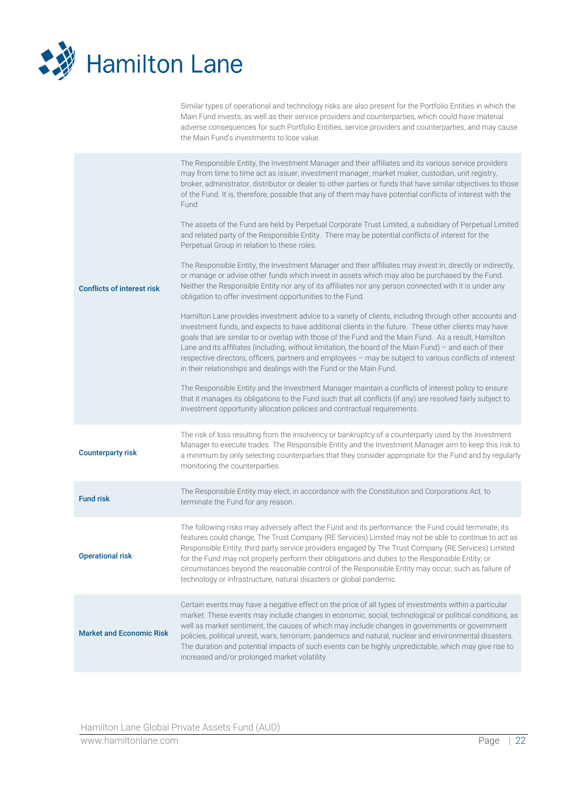

Similar types of operational and technology risks are also present for the Portfolio Entities in which the Main Fund invests, as well as their service providers and counterparties, which could have material adverse consequences for such Portfolio Entities, service providers and counterparties, and may cause the Main Fund's investments to lose value.

| <b>Conflicts of interest risk</b> | The Responsible Entity, the Investment Manager and their affiliates and its various service providers<br>may from time to time act as issuer, investment manager, market maker, custodian, unit registry,<br>broker, administrator, distributor or dealer to other parties or funds that have similar objectives to those<br>of the Fund. It is, therefore, possible that any of them may have potential conflicts of interest with the<br>Fund.<br>The assets of the Fund are held by Perpetual Corporate Trust Limited, a subsidiary of Perpetual Limited<br>and related party of the Responsible Entity. There may be potential conflicts of interest for the<br>Perpetual Group in relation to these roles.<br>The Responsible Entity, the Investment Manager and their affiliates may invest in, directly or indirectly,<br>or manage or advise other funds which invest in assets which may also be purchased by the Fund.<br>Neither the Responsible Entity nor any of its affiliates nor any person connected with it is under any<br>obligation to offer investment opportunities to the Fund.<br>Hamilton Lane provides investment advice to a variety of clients, including through other accounts and<br>investment funds, and expects to have additional clients in the future. These other clients may have<br>goals that are similar to or overlap with those of the Fund and the Main Fund. As a result, Hamilton<br>Lane and its affiliates (including, without limitation, the board of the Main Fund) - and each of their<br>respective directors, officers, partners and employees - may be subject to various conflicts of interest<br>in their relationships and dealings with the Fund or the Main Fund.<br>The Responsible Entity and the Investment Manager maintain a conflicts of interest policy to ensure<br>that it manages its obligations to the Fund such that all conflicts (if any) are resolved fairly subject to<br>investment opportunity allocation policies and contractual requirements. |
|-----------------------------------|-----------------------------------------------------------------------------------------------------------------------------------------------------------------------------------------------------------------------------------------------------------------------------------------------------------------------------------------------------------------------------------------------------------------------------------------------------------------------------------------------------------------------------------------------------------------------------------------------------------------------------------------------------------------------------------------------------------------------------------------------------------------------------------------------------------------------------------------------------------------------------------------------------------------------------------------------------------------------------------------------------------------------------------------------------------------------------------------------------------------------------------------------------------------------------------------------------------------------------------------------------------------------------------------------------------------------------------------------------------------------------------------------------------------------------------------------------------------------------------------------------------------------------------------------------------------------------------------------------------------------------------------------------------------------------------------------------------------------------------------------------------------------------------------------------------------------------------------------------------------------------------------------------------------------------------------------------------------------------------------------------------------------------------|
| <b>Counterparty risk</b>          | The risk of loss resulting from the insolvency or bankruptcy of a counterparty used by the Investment<br>Manager to execute trades. The Responsible Entity and the Investment Manager aim to keep this risk to<br>a minimum by only selecting counterparties that they consider appropriate for the Fund and by regularly<br>monitoring the counterparties.                                                                                                                                                                                                                                                                                                                                                                                                                                                                                                                                                                                                                                                                                                                                                                                                                                                                                                                                                                                                                                                                                                                                                                                                                                                                                                                                                                                                                                                                                                                                                                                                                                                                       |
| <b>Fund risk</b>                  | The Responsible Entity may elect, in accordance with the Constitution and Corporations Act, to<br>terminate the Fund for any reason.                                                                                                                                                                                                                                                                                                                                                                                                                                                                                                                                                                                                                                                                                                                                                                                                                                                                                                                                                                                                                                                                                                                                                                                                                                                                                                                                                                                                                                                                                                                                                                                                                                                                                                                                                                                                                                                                                              |
| <b>Operational risk</b>           | The following risks may adversely affect the Fund and its performance: the Fund could terminate, its<br>features could change, The Trust Company (RE Services) Limited may not be able to continue to act as<br>Responsible Entity; third party service providers engaged by The Trust Company (RE Services) Limited<br>for the Fund may not properly perform their obligations and duties to the Responsible Entity; or<br>circumstances beyond the reasonable control of the Responsible Entity may occur, such as failure of<br>technology or infrastructure, natural disasters or global pandemic.                                                                                                                                                                                                                                                                                                                                                                                                                                                                                                                                                                                                                                                                                                                                                                                                                                                                                                                                                                                                                                                                                                                                                                                                                                                                                                                                                                                                                            |
| <b>Market and Economic Risk</b>   | Certain events may have a negative effect on the price of all types of investments within a particular<br>market. These events may include changes in economic, social, technological or political conditions, as<br>well as market sentiment, the causes of which may include changes in governments or government<br>policies, political unrest, wars, terrorism, pandemics and natural, nuclear and environmental disasters.<br>The duration and potential impacts of such events can be highly unpredictable, which may give rise to<br>increased and/or prolonged market volatility.                                                                                                                                                                                                                                                                                                                                                                                                                                                                                                                                                                                                                                                                                                                                                                                                                                                                                                                                                                                                                                                                                                                                                                                                                                                                                                                                                                                                                                         |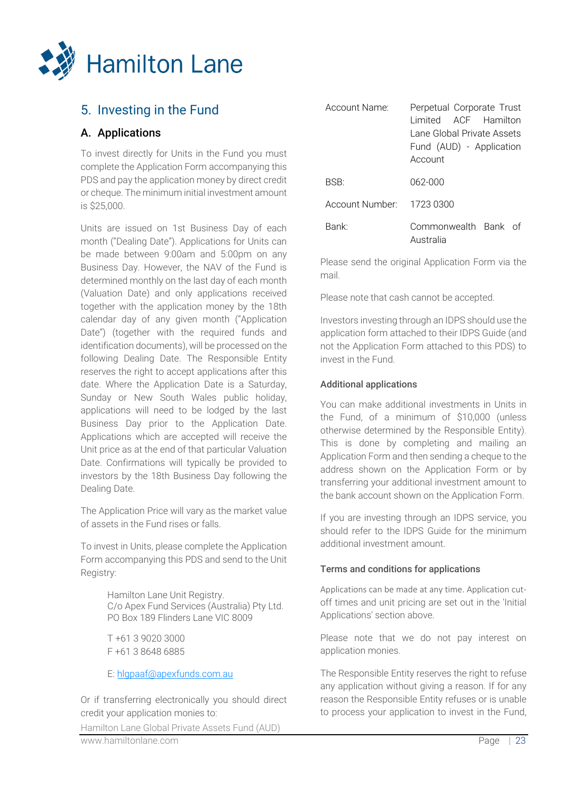

# <span id="page-22-0"></span>5. Investing in the Fund

## <span id="page-22-1"></span>A. Applications

To invest directly for Units in the Fund you must complete the Application Form accompanying this PDS and pay the application money by direct credit or cheque. The minimum initial investment amount is \$25,000.

Units are issued on 1st Business Day of each month ("Dealing Date"). Applications for Units can be made between 9:00am and 5:00pm on any Business Day. However, the NAV of the Fund is determined monthly on the last day of each month (Valuation Date) and only applications received together with the application money by the 18th calendar day of any given month ("Application Date") (together with the required funds and identification documents), will be processed on the following Dealing Date. The Responsible Entity reserves the right to accept applications after this date. Where the Application Date is a Saturday, Sunday or New South Wales public holiday, applications will need to be lodged by the last Business Day prior to the Application Date. Applications which are accepted will receive the Unit price as at the end of that particular Valuation Date. Confirmations will typically be provided to investors by the 18th Business Day following the Dealing Date.

The Application Price will vary as the market value of assets in the Fund rises or falls.

To invest in Units, please complete the Application Form accompanying this PDS and send to the Unit Registry:

> Hamilton Lane Unit Registry. C/o Apex Fund Services (Australia) Pty Ltd. PO Box 189 Flinders Lane VIC 8009

T +61 3 9020 3000 F +61 3 8648 6885

E: [hlgpaaf@apexfunds.com.au](mailto:hlgpaaf@apexfunds.com.au)

Or if transferring electronically you should direct credit your application monies to:

Hamilton Lane Global Private Assets Fund (AUD)

| Account Name:     | Perpetual Corporate Trust<br>Limited ACF Hamilton<br>Lane Global Private Assets<br>Fund (AUD) - Application<br>Account |
|-------------------|------------------------------------------------------------------------------------------------------------------------|
| BSB:              | 062-000                                                                                                                |
| Account Number:   | - 1723 0300                                                                                                            |
| Bank <sup>.</sup> | Commonwealth Bank of<br>Australia                                                                                      |

Please send the original Application Form via the mail.

Please note that cash cannot be accepted.

Investors investing through an IDPS should use the application form attached to their IDPS Guide (and not the Application Form attached to this PDS) to invest in the Fund.

## Additional applications

You can make additional investments in Units in the Fund, of a minimum of \$10,000 (unless otherwise determined by the Responsible Entity). This is done by completing and mailing an Application Form and then sending a cheque to the address shown on the Application Form or by transferring your additional investment amount to the bank account shown on the Application Form.

If you are investing through an IDPS service, you should refer to the IDPS Guide for the minimum additional investment amount.

## Terms and conditions for applications

Applications can be made at any time. Application cutoff times and unit pricing are set out in the 'Initial Applications' section above.

Please note that we do not pay interest on application monies.

The Responsible Entity reserves the right to refuse any application without giving a reason. If for any reason the Responsible Entity refuses or is unable to process your application to invest in the Fund,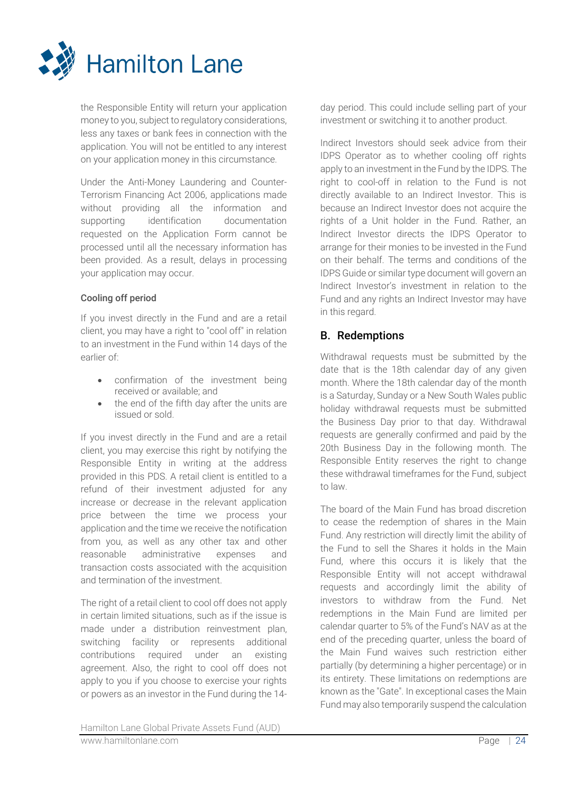

the Responsible Entity will return your application money to you, subject to regulatory considerations, less any taxes or bank fees in connection with the application. You will not be entitled to any interest on your application money in this circumstance.

Under the Anti-Money Laundering and Counter-Terrorism Financing Act 2006, applications made without providing all the information and supporting identification documentation requested on the Application Form cannot be processed until all the necessary information has been provided. As a result, delays in processing your application may occur.

## Cooling off period

If you invest directly in the Fund and are a retail client, you may have a right to "cool off" in relation to an investment in the Fund within 14 days of the earlier of:

- confirmation of the investment being received or available; and
- the end of the fifth day after the units are issued or sold.

If you invest directly in the Fund and are a retail client, you may exercise this right by notifying the Responsible Entity in writing at the address provided in this PDS. A retail client is entitled to a refund of their investment adjusted for any increase or decrease in the relevant application price between the time we process your application and the time we receive the notification from you, as well as any other tax and other reasonable administrative expenses and transaction costs associated with the acquisition and termination of the investment.

The right of a retail client to cool off does not apply in certain limited situations, such as if the issue is made under a distribution reinvestment plan, switching facility or represents additional contributions required under an existing agreement. Also, the right to cool off does not apply to you if you choose to exercise your rights or powers as an investor in the Fund during the 14-

day period. This could include selling part of your investment or switching it to another product.

Indirect Investors should seek advice from their IDPS Operator as to whether cooling off rights apply to an investment in the Fund by the IDPS. The right to cool-off in relation to the Fund is not directly available to an Indirect Investor. This is because an Indirect Investor does not acquire the rights of a Unit holder in the Fund. Rather, an Indirect Investor directs the IDPS Operator to arrange for their monies to be invested in the Fund on their behalf. The terms and conditions of the IDPS Guide or similar type document will govern an Indirect Investor's investment in relation to the Fund and any rights an Indirect Investor may have in this regard.

## <span id="page-23-0"></span>B. Redemptions

Withdrawal requests must be submitted by the date that is the 18th calendar day of any given month. Where the 18th calendar day of the month is a Saturday, Sunday or a New South Wales public holiday withdrawal requests must be submitted the Business Day prior to that day. Withdrawal requests are generally confirmed and paid by the 20th Business Day in the following month. The Responsible Entity reserves the right to change these withdrawal timeframes for the Fund, subject to law.

The board of the Main Fund has broad discretion to cease the redemption of shares in the Main Fund. Any restriction will directly limit the ability of the Fund to sell the Shares it holds in the Main Fund, where this occurs it is likely that the Responsible Entity will not accept withdrawal requests and accordingly limit the ability of investors to withdraw from the Fund. Net redemptions in the Main Fund are limited per calendar quarter to 5% of the Fund's NAV as at the end of the preceding quarter, unless the board of the Main Fund waives such restriction either partially (by determining a higher percentage) or in its entirety. These limitations on redemptions are known as the "Gate". In exceptional cases the Main Fund may also temporarily suspend the calculation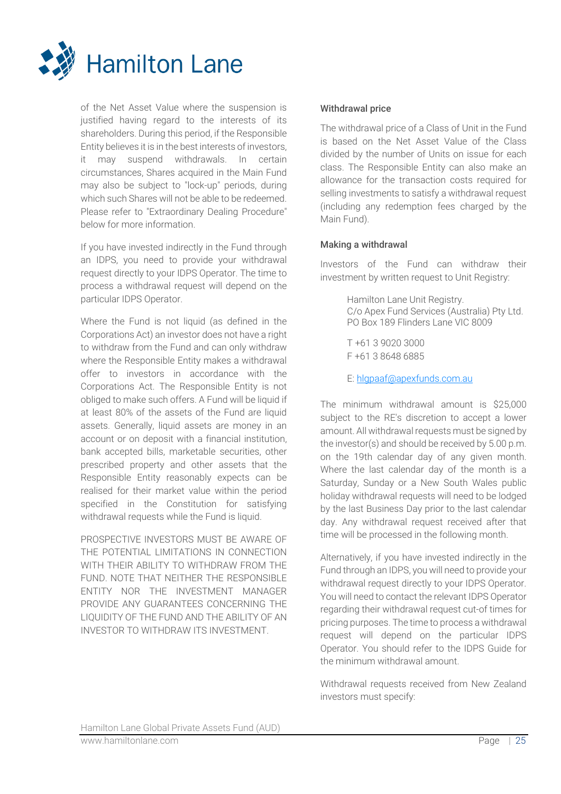

of the Net Asset Value where the suspension is justified having regard to the interests of its shareholders. During this period, if the Responsible Entity believes it is in the best interests of investors, it may suspend withdrawals. In certain circumstances, Shares acquired in the Main Fund may also be subject to "lock-up" periods, during which such Shares will not be able to be redeemed. Please refer to "Extraordinary Dealing Procedure" below for more information.

If you have invested indirectly in the Fund through an IDPS, you need to provide your withdrawal request directly to your IDPS Operator. The time to process a withdrawal request will depend on the particular IDPS Operator.

Where the Fund is not liquid (as defined in the Corporations Act) an investor does not have a right to withdraw from the Fund and can only withdraw where the Responsible Entity makes a withdrawal offer to investors in accordance with the Corporations Act. The Responsible Entity is not obliged to make such offers. A Fund will be liquid if at least 80% of the assets of the Fund are liquid assets. Generally, liquid assets are money in an account or on deposit with a financial institution, bank accepted bills, marketable securities, other prescribed property and other assets that the Responsible Entity reasonably expects can be realised for their market value within the period specified in the Constitution for satisfying withdrawal requests while the Fund is liquid.

PROSPECTIVE INVESTORS MUST BE AWARE OF THE POTENTIAL LIMITATIONS IN CONNECTION WITH THEIR ABILITY TO WITHDRAW FROM THE FUND. NOTE THAT NEITHER THE RESPONSIBLE ENTITY NOR THE INVESTMENT MANAGER PROVIDE ANY GUARANTEES CONCERNING THE LIQUIDITY OF THE FUND AND THE ABILITY OF AN INVESTOR TO WITHDRAW ITS INVESTMENT.

## Withdrawal price

The withdrawal price of a Class of Unit in the Fund is based on the Net Asset Value of the Class divided by the number of Units on issue for each class. The Responsible Entity can also make an allowance for the transaction costs required for selling investments to satisfy a withdrawal request (including any redemption fees charged by the Main Fund).

## Making a withdrawal

Investors of the Fund can withdraw their investment by written request to Unit Registry:

> Hamilton Lane Unit Registry. C/o Apex Fund Services (Australia) Pty Ltd. PO Box 189 Flinders Lane VIC 8009

T +61 3 9020 3000 F +61 3 8648 6885

E: [hlgpaaf@apexfunds.com.au](mailto:hlgpaaf@apexfunds.com.au)

The minimum withdrawal amount is \$25,000 subject to the RE's discretion to accept a lower amount. All withdrawal requests must be signed by the investor(s) and should be received by 5.00 p.m. on the 19th calendar day of any given month. Where the last calendar day of the month is a Saturday, Sunday or a New South Wales public holiday withdrawal requests will need to be lodged by the last Business Day prior to the last calendar day. Any withdrawal request received after that time will be processed in the following month.

Alternatively, if you have invested indirectly in the Fund through an IDPS, you will need to provide your withdrawal request directly to your IDPS Operator. You will need to contact the relevant IDPS Operator regarding their withdrawal request cut-of times for pricing purposes. The time to process a withdrawal request will depend on the particular IDPS Operator. You should refer to the IDPS Guide for the minimum withdrawal amount.

Withdrawal requests received from New Zealand investors must specify: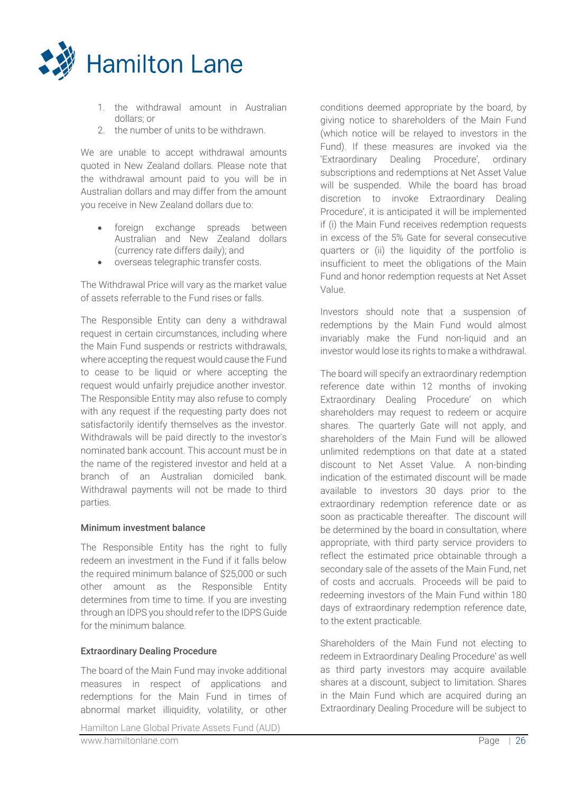

- 1. the withdrawal amount in Australian dollars; or
- 2. the number of units to be withdrawn.

We are unable to accept withdrawal amounts quoted in New Zealand dollars. Please note that the withdrawal amount paid to you will be in Australian dollars and may differ from the amount you receive in New Zealand dollars due to:

- foreign exchange spreads between Australian and New Zealand dollars (currency rate differs daily); and
- overseas telegraphic transfer costs.

The Withdrawal Price will vary as the market value of assets referrable to the Fund rises or falls.

The Responsible Entity can deny a withdrawal request in certain circumstances, including where the Main Fund suspends or restricts withdrawals, where accepting the request would cause the Fund to cease to be liquid or where accepting the request would unfairly prejudice another investor. The Responsible Entity may also refuse to comply with any request if the requesting party does not satisfactorily identify themselves as the investor. Withdrawals will be paid directly to the investor's nominated bank account. This account must be in the name of the registered investor and held at a branch of an Australian domiciled bank. Withdrawal payments will not be made to third parties.

## Minimum investment balance

The Responsible Entity has the right to fully redeem an investment in the Fund if it falls below the required minimum balance of \$25,000 or such other amount as the Responsible Entity determines from time to time. If you are investing through an IDPS you should refer to the IDPS Guide for the minimum balance.

## Extraordinary Dealing Procedure

The board of the Main Fund may invoke additional measures in respect of applications and redemptions for the Main Fund in times of abnormal market illiquidity, volatility, or other

conditions deemed appropriate by the board, by giving notice to shareholders of the Main Fund (which notice will be relayed to investors in the Fund). If these measures are invoked via the 'Extraordinary Dealing Procedure', ordinary subscriptions and redemptions at Net Asset Value will be suspended. While the board has broad discretion to invoke Extraordinary Dealing Procedure', it is anticipated it will be implemented if (i) the Main Fund receives redemption requests in excess of the 5% Gate for several consecutive quarters or (ii) the liquidity of the portfolio is insufficient to meet the obligations of the Main Fund and honor redemption requests at Net Asset Value.

Investors should note that a suspension of redemptions by the Main Fund would almost invariably make the Fund non-liquid and an investor would lose its rights to make a withdrawal.

The board will specify an extraordinary redemption reference date within 12 months of invoking Extraordinary Dealing Procedure' on which shareholders may request to redeem or acquire shares. The quarterly Gate will not apply, and shareholders of the Main Fund will be allowed unlimited redemptions on that date at a stated discount to Net Asset Value. A non-binding indication of the estimated discount will be made available to investors 30 days prior to the extraordinary redemption reference date or as soon as practicable thereafter. The discount will be determined by the board in consultation, where appropriate, with third party service providers to reflect the estimated price obtainable through a secondary sale of the assets of the Main Fund, net of costs and accruals. Proceeds will be paid to redeeming investors of the Main Fund within 180 days of extraordinary redemption reference date, to the extent practicable.

Shareholders of the Main Fund not electing to redeem in Extraordinary Dealing Procedure' as well as third party investors may acquire available shares at a discount, subject to limitation. Shares in the Main Fund which are acquired during an Extraordinary Dealing Procedure will be subject to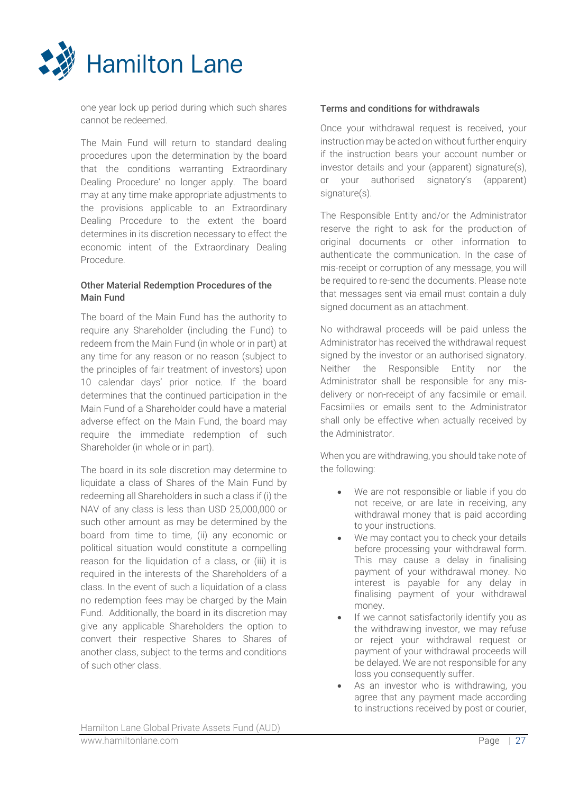

one year lock up period during which such shares cannot be redeemed.

The Main Fund will return to standard dealing procedures upon the determination by the board that the conditions warranting Extraordinary Dealing Procedure' no longer apply. The board may at any time make appropriate adjustments to the provisions applicable to an Extraordinary Dealing Procedure to the extent the board determines in its discretion necessary to effect the economic intent of the Extraordinary Dealing Procedure.

## Other Material Redemption Procedures of the Main Fund

The board of the Main Fund has the authority to require any Shareholder (including the Fund) to redeem from the Main Fund (in whole or in part) at any time for any reason or no reason (subject to the principles of fair treatment of investors) upon 10 calendar days' prior notice. If the board determines that the continued participation in the Main Fund of a Shareholder could have a material adverse effect on the Main Fund, the board may require the immediate redemption of such Shareholder (in whole or in part).

The board in its sole discretion may determine to liquidate a class of Shares of the Main Fund by redeeming all Shareholders in such a class if (i) the NAV of any class is less than USD 25,000,000 or such other amount as may be determined by the board from time to time, (ii) any economic or political situation would constitute a compelling reason for the liquidation of a class, or (iii) it is required in the interests of the Shareholders of a class. In the event of such a liquidation of a class no redemption fees may be charged by the Main Fund. Additionally, the board in its discretion may give any applicable Shareholders the option to convert their respective Shares to Shares of another class, subject to the terms and conditions of such other class.

## Terms and conditions for withdrawals

Once your withdrawal request is received, your instruction may be acted on without further enquiry if the instruction bears your account number or investor details and your (apparent) signature(s), or your authorised signatory's (apparent) signature(s).

The Responsible Entity and/or the Administrator reserve the right to ask for the production of original documents or other information to authenticate the communication. In the case of mis-receipt or corruption of any message, you will be required to re-send the documents. Please note that messages sent via email must contain a duly signed document as an attachment.

No withdrawal proceeds will be paid unless the Administrator has received the withdrawal request signed by the investor or an authorised signatory. Neither the Responsible Entity nor the Administrator shall be responsible for any misdelivery or non-receipt of any facsimile or email. Facsimiles or emails sent to the Administrator shall only be effective when actually received by the Administrator.

When you are withdrawing, you should take note of the following:

- We are not responsible or liable if you do not receive, or are late in receiving, any withdrawal money that is paid according to your instructions.
- We may contact you to check your details before processing your withdrawal form. This may cause a delay in finalising payment of your withdrawal money. No interest is payable for any delay in finalising payment of your withdrawal money.
- If we cannot satisfactorily identify you as the withdrawing investor, we may refuse or reject your withdrawal request or payment of your withdrawal proceeds will be delayed. We are not responsible for any loss you consequently suffer.
- As an investor who is withdrawing, you agree that any payment made according to instructions received by post or courier,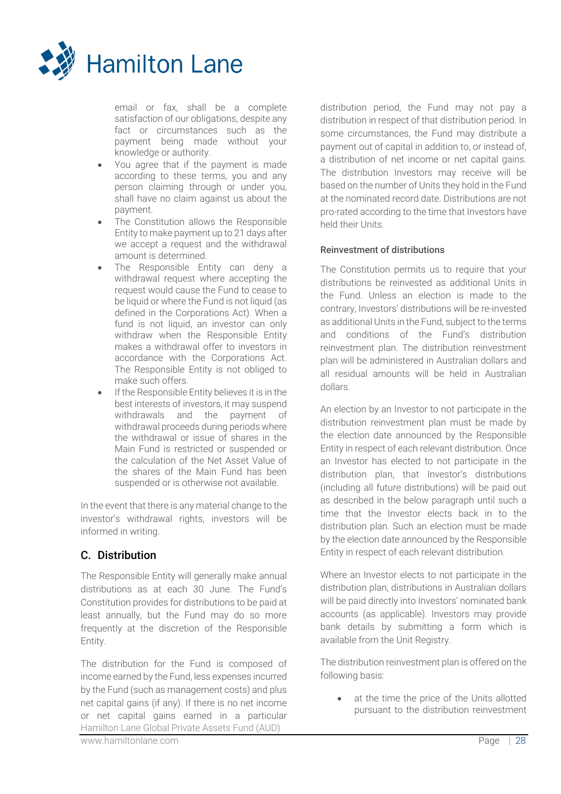

email or fax, shall be a complete satisfaction of our obligations, despite any fact or circumstances such as the payment being made without your knowledge or authority.

- You agree that if the payment is made according to these terms, you and any person claiming through or under you, shall have no claim against us about the payment.
- The Constitution allows the Responsible Entity to make payment up to 21 days after we accept a request and the withdrawal amount is determined.
- The Responsible Entity can deny a withdrawal request where accepting the request would cause the Fund to cease to be liquid or where the Fund is not liquid (as defined in the Corporations Act). When a fund is not liquid, an investor can only withdraw when the Responsible Entity makes a withdrawal offer to investors in accordance with the Corporations Act. The Responsible Entity is not obliged to make such offers.
- If the Responsible Entity believes it is in the best interests of investors, it may suspend withdrawals and the payment of withdrawal proceeds during periods where the withdrawal or issue of shares in the Main Fund is restricted or suspended or the calculation of the Net Asset Value of the shares of the Main Fund has been suspended or is otherwise not available.

In the event that there is any material change to the investor's withdrawal rights, investors will be informed in writing.

## <span id="page-27-0"></span>C. Distribution

The Responsible Entity will generally make annual distributions as at each 30 June. The Fund's Constitution provides for distributions to be paid at least annually, but the Fund may do so more frequently at the discretion of the Responsible Entity.

Hamilton Lane Global Private Assets Fund (AUD) The distribution for the Fund is composed of income earned by the Fund, less expenses incurred by the Fund (such as management costs) and plus net capital gains (if any). If there is no net income or net capital gains earned in a particular

distribution period, the Fund may not pay a distribution in respect of that distribution period. In some circumstances, the Fund may distribute a payment out of capital in addition to, or instead of, a distribution of net income or net capital gains. The distribution Investors may receive will be based on the number of Units they hold in the Fund at the nominated record date. Distributions are not pro-rated according to the time that Investors have held their Units.

## Reinvestment of distributions

The Constitution permits us to require that your distributions be reinvested as additional Units in the Fund. Unless an election is made to the contrary, Investors' distributions will be re-invested as additional Units in the Fund, subject to the terms and conditions of the Fund's distribution reinvestment plan. The distribution reinvestment plan will be administered in Australian dollars and all residual amounts will be held in Australian dollars.

An election by an Investor to not participate in the distribution reinvestment plan must be made by the election date announced by the Responsible Entity in respect of each relevant distribution. Once an Investor has elected to not participate in the distribution plan, that Investor's distributions (including all future distributions) will be paid out as described in the below paragraph until such a time that the Investor elects back in to the distribution plan. Such an election must be made by the election date announced by the Responsible Entity in respect of each relevant distribution.

Where an Investor elects to not participate in the distribution plan, distributions in Australian dollars will be paid directly into Investors' nominated bank accounts (as applicable). Investors may provide bank details by submitting a form which is available from the Unit Registry.

The distribution reinvestment plan is offered on the following basis:

at the time the price of the Units allotted pursuant to the distribution reinvestment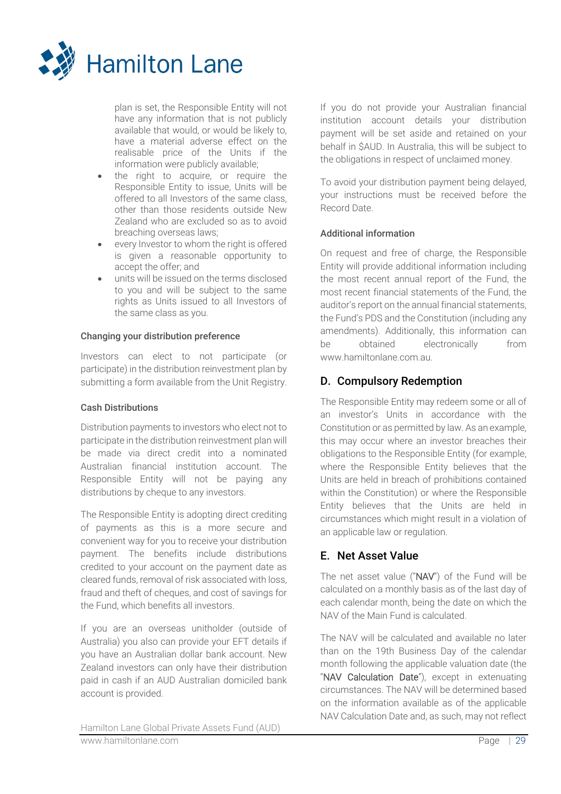

plan is set, the Responsible Entity will not have any information that is not publicly available that would, or would be likely to, have a material adverse effect on the realisable price of the Units if the information were publicly available;

- the right to acquire, or require the Responsible Entity to issue, Units will be offered to all Investors of the same class, other than those residents outside New Zealand who are excluded so as to avoid breaching overseas laws;
- every Investor to whom the right is offered is given a reasonable opportunity to accept the offer; and
- units will be issued on the terms disclosed to you and will be subject to the same rights as Units issued to all Investors of the same class as you.

## Changing your distribution preference

Investors can elect to not participate (or participate) in the distribution reinvestment plan by submitting a form available from the Unit Registry.

## Cash Distributions

Distribution payments to investors who elect not to participate in the distribution reinvestment plan will be made via direct credit into a nominated Australian financial institution account. The Responsible Entity will not be paying any distributions by cheque to any investors.

The Responsible Entity is adopting direct crediting of payments as this is a more secure and convenient way for you to receive your distribution payment. The benefits include distributions credited to your account on the payment date as cleared funds, removal of risk associated with loss, fraud and theft of cheques, and cost of savings for the Fund, which benefits all investors.

If you are an overseas unitholder (outside of Australia) you also can provide your EFT details if you have an Australian dollar bank account. New Zealand investors can only have their distribution paid in cash if an AUD Australian domiciled bank account is provided.

If you do not provide your Australian financial institution account details your distribution payment will be set aside and retained on your behalf in \$AUD. In Australia, this will be subject to the obligations in respect of unclaimed money.

To avoid your distribution payment being delayed, your instructions must be received before the Record Date.

## Additional information

On request and free of charge, the Responsible Entity will provide additional information including the most recent annual report of the Fund, the most recent financial statements of the Fund, the auditor's report on the annual financial statements, the Fund's PDS and the Constitution (including any amendments). Additionally, this information can be obtained electronically from www.hamiltonlane.com.au.

## D. Compulsory Redemption

The Responsible Entity may redeem some or all of an investor's Units in accordance with the Constitution or as permitted by law. As an example, this may occur where an investor breaches their obligations to the Responsible Entity (for example, where the Responsible Entity believes that the Units are held in breach of prohibitions contained within the Constitution) or where the Responsible Entity believes that the Units are held in circumstances which might result in a violation of an applicable law or regulation.

## E. Net Asset Value

The net asset value ("NAV") of the Fund will be calculated on a monthly basis as of the last day of each calendar month, being the date on which the NAV of the Main Fund is calculated.

The NAV will be calculated and available no later than on the 19th Business Day of the calendar month following the applicable valuation date (the "NAV Calculation Date"), except in extenuating circumstances. The NAV will be determined based on the information available as of the applicable NAV Calculation Date and, as such, may not reflect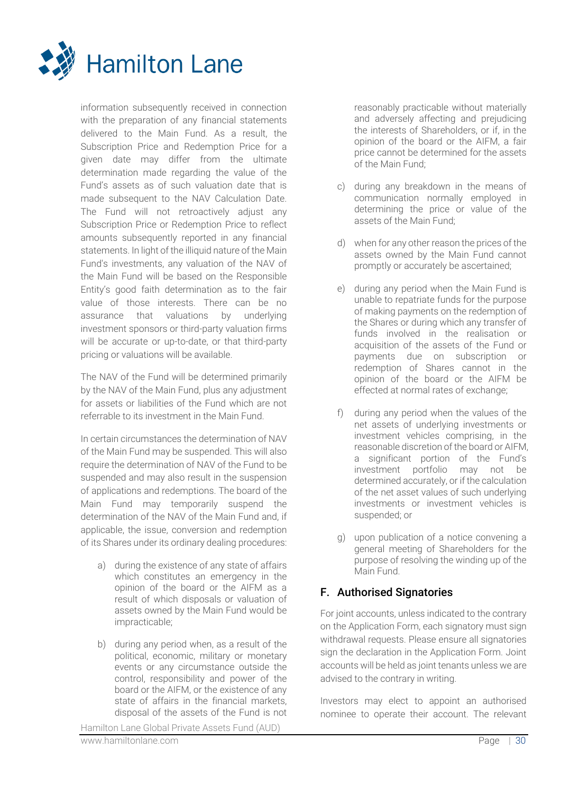

information subsequently received in connection with the preparation of any financial statements delivered to the Main Fund. As a result, the Subscription Price and Redemption Price for a given date may differ from the ultimate determination made regarding the value of the Fund's assets as of such valuation date that is made subsequent to the NAV Calculation Date. The Fund will not retroactively adjust any Subscription Price or Redemption Price to reflect amounts subsequently reported in any financial statements. In light of the illiquid nature of the Main Fund's investments, any valuation of the NAV of the Main Fund will be based on the Responsible Entity's good faith determination as to the fair value of those interests. There can be no assurance that valuations by underlying investment sponsors or third-party valuation firms will be accurate or up-to-date, or that third-party pricing or valuations will be available.

The NAV of the Fund will be determined primarily by the NAV of the Main Fund, plus any adjustment for assets or liabilities of the Fund which are not referrable to its investment in the Main Fund.

In certain circumstances the determination of NAV of the Main Fund may be suspended. This will also require the determination of NAV of the Fund to be suspended and may also result in the suspension of applications and redemptions. The board of the Main Fund may temporarily suspend the determination of the NAV of the Main Fund and, if applicable, the issue, conversion and redemption of its Shares under its ordinary dealing procedures:

- a) during the existence of any state of affairs which constitutes an emergency in the opinion of the board or the AIFM as a result of which disposals or valuation of assets owned by the Main Fund would be impracticable;
- b) during any period when, as a result of the political, economic, military or monetary events or any circumstance outside the control, responsibility and power of the board or the AIFM, or the existence of any state of affairs in the financial markets, disposal of the assets of the Fund is not

Hamilton Lane Global Private Assets Fund (AUD)

reasonably practicable without materially and adversely affecting and prejudicing the interests of Shareholders, or if, in the opinion of the board or the AIFM, a fair price cannot be determined for the assets of the Main Fund;

- c) during any breakdown in the means of communication normally employed in determining the price or value of the assets of the Main Fund;
- d) when for any other reason the prices of the assets owned by the Main Fund cannot promptly or accurately be ascertained;
- e) during any period when the Main Fund is unable to repatriate funds for the purpose of making payments on the redemption of the Shares or during which any transfer of funds involved in the realisation or acquisition of the assets of the Fund or payments due on subscription or redemption of Shares cannot in the opinion of the board or the AIFM be effected at normal rates of exchange;
- f) during any period when the values of the net assets of underlying investments or investment vehicles comprising, in the reasonable discretion of the board or AIFM, a significant portion of the Fund's investment portfolio may not be determined accurately, or if the calculation of the net asset values of such underlying investments or investment vehicles is suspended; or
- g) upon publication of a notice convening a general meeting of Shareholders for the purpose of resolving the winding up of the Main Fund.

## F. Authorised Signatories

For joint accounts, unless indicated to the contrary on the Application Form, each signatory must sign withdrawal requests. Please ensure all signatories sign the declaration in the Application Form. Joint accounts will be held as joint tenants unless we are advised to the contrary in writing.

Investors may elect to appoint an authorised nominee to operate their account. The relevant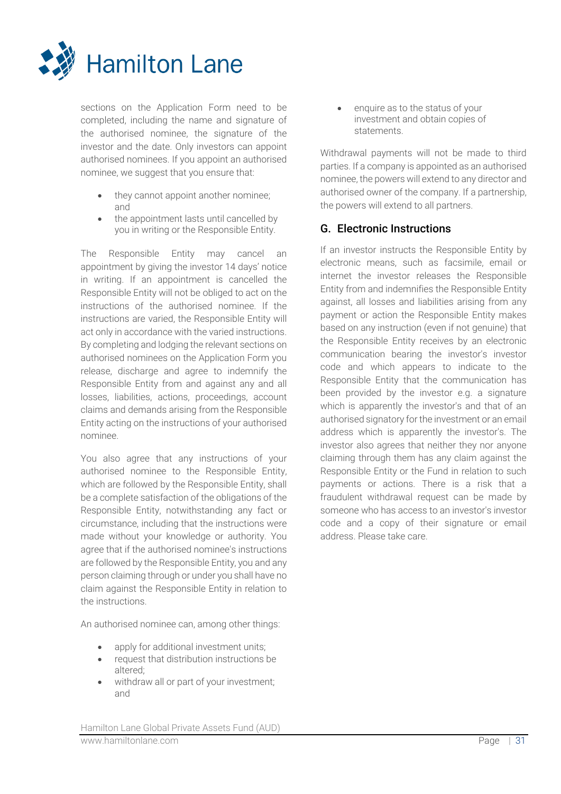

sections on the Application Form need to be completed, including the name and signature of the authorised nominee, the signature of the investor and the date. Only investors can appoint authorised nominees. If you appoint an authorised nominee, we suggest that you ensure that:

- they cannot appoint another nominee; and
- the appointment lasts until cancelled by you in writing or the Responsible Entity.

The Responsible Entity may cancel an appointment by giving the investor 14 days' notice in writing. If an appointment is cancelled the Responsible Entity will not be obliged to act on the instructions of the authorised nominee. If the instructions are varied, the Responsible Entity will act only in accordance with the varied instructions. By completing and lodging the relevant sections on authorised nominees on the Application Form you release, discharge and agree to indemnify the Responsible Entity from and against any and all losses, liabilities, actions, proceedings, account claims and demands arising from the Responsible Entity acting on the instructions of your authorised nominee.

You also agree that any instructions of your authorised nominee to the Responsible Entity, which are followed by the Responsible Entity, shall be a complete satisfaction of the obligations of the Responsible Entity, notwithstanding any fact or circumstance, including that the instructions were made without your knowledge or authority. You agree that if the authorised nominee's instructions are followed by the Responsible Entity, you and any person claiming through or under you shall have no claim against the Responsible Entity in relation to the instructions.

An authorised nominee can, among other things:

- apply for additional investment units;
- request that distribution instructions be altered;
- withdraw all or part of your investment; and

• enquire as to the status of your investment and obtain copies of statements.

Withdrawal payments will not be made to third parties. If a company is appointed as an authorised nominee, the powers will extend to any director and authorised owner of the company. If a partnership, the powers will extend to all partners.

## G. Electronic Instructions

If an investor instructs the Responsible Entity by electronic means, such as facsimile, email or internet the investor releases the Responsible Entity from and indemnifies the Responsible Entity against, all losses and liabilities arising from any payment or action the Responsible Entity makes based on any instruction (even if not genuine) that the Responsible Entity receives by an electronic communication bearing the investor's investor code and which appears to indicate to the Responsible Entity that the communication has been provided by the investor e.g. a signature which is apparently the investor's and that of an authorised signatory for the investment or an email address which is apparently the investor's. The investor also agrees that neither they nor anyone claiming through them has any claim against the Responsible Entity or the Fund in relation to such payments or actions. There is a risk that a fraudulent withdrawal request can be made by someone who has access to an investor's investor code and a copy of their signature or email address. Please take care.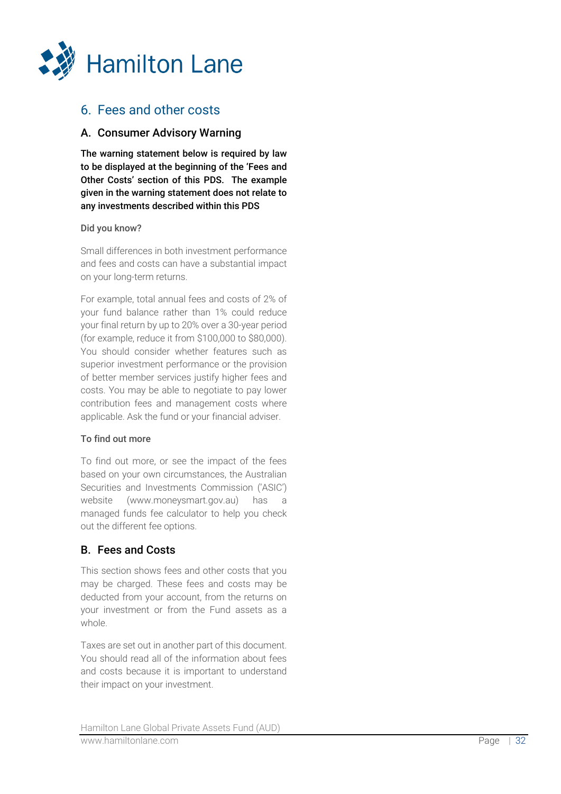

# 6. Fees and other costs

## A. Consumer Advisory Warning

The warning statement below is required by law to be displayed at the beginning of the 'Fees and Other Costs' section of this PDS. The example given in the warning statement does not relate to any investments described within this PDS

## Did you know?

Small differences in both investment performance and fees and costs can have a substantial impact on your long -term returns.

For example, total annual fees and costs of 2% of your fund balance rather than 1% could reduce your final return by up to 20% over a 30 -year period (for example, reduce it from \$100,000 to \$80,000). You should consider whether features such as superior investment performance or the provision of better member services justify higher fees and costs. You may be able to negotiate to pay lower contribution fees and management costs where applicable. Ask the fund or your financial adviser.

## To find out more

To find out more, or see the impact of the fees based on your own circumstances, the Australian Securities and Investments Commission ('ASIC') website (www.moneysmart.gov.au) has a managed funds fee calculator to help you check out the different fee options.

## B. Fees and Costs

This section shows fees and other costs that you may be charged. These fees and costs may be deducted from your account, from the returns on your investment or from the Fund assets as a whole.

Taxes are set out in another part of this document. You should read all of the information about fees and costs because it is important to understand their impact on your investment.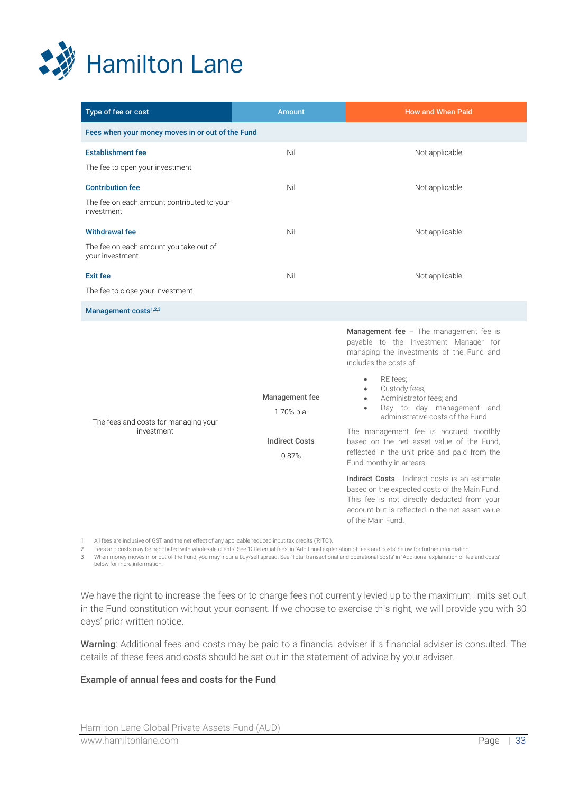

| Type of fee or cost                                                                 | <b>Amount</b>                                                  | How and When Paid                                                                                                                                                                                                                                                                                                                                                                                                                                                                                                                                                                                                                                                                                                               |
|-------------------------------------------------------------------------------------|----------------------------------------------------------------|---------------------------------------------------------------------------------------------------------------------------------------------------------------------------------------------------------------------------------------------------------------------------------------------------------------------------------------------------------------------------------------------------------------------------------------------------------------------------------------------------------------------------------------------------------------------------------------------------------------------------------------------------------------------------------------------------------------------------------|
| Fees when your money moves in or out of the Fund                                    |                                                                |                                                                                                                                                                                                                                                                                                                                                                                                                                                                                                                                                                                                                                                                                                                                 |
| <b>Establishment fee</b><br>The fee to open your investment                         | Nil                                                            | Not applicable                                                                                                                                                                                                                                                                                                                                                                                                                                                                                                                                                                                                                                                                                                                  |
| <b>Contribution fee</b><br>The fee on each amount contributed to your<br>investment | Nil                                                            | Not applicable                                                                                                                                                                                                                                                                                                                                                                                                                                                                                                                                                                                                                                                                                                                  |
| <b>Withdrawal fee</b><br>The fee on each amount you take out of<br>your investment  | Nil                                                            | Not applicable                                                                                                                                                                                                                                                                                                                                                                                                                                                                                                                                                                                                                                                                                                                  |
| <b>Exit fee</b><br>The fee to close your investment                                 | Nil                                                            | Not applicable                                                                                                                                                                                                                                                                                                                                                                                                                                                                                                                                                                                                                                                                                                                  |
| Management costs <sup>1,2,3</sup>                                                   |                                                                |                                                                                                                                                                                                                                                                                                                                                                                                                                                                                                                                                                                                                                                                                                                                 |
| The fees and costs for managing your<br>investment                                  | Management fee<br>1.70% p.a.<br><b>Indirect Costs</b><br>0.87% | Management fee - The management fee is<br>payable to the Investment Manager for<br>managing the investments of the Fund and<br>includes the costs of:<br>RE fees:<br>$\bullet$<br>Custody fees,<br>$\bullet$<br>Administrator fees; and<br>$\bullet$<br>Day to day management and<br>$\bullet$<br>administrative costs of the Fund<br>The management fee is accrued monthly<br>based on the net asset value of the Fund,<br>reflected in the unit price and paid from the<br>Fund monthly in arrears.<br>Indirect Costs - Indirect costs is an estimate<br>based on the expected costs of the Main Fund.<br>This fee is not directly deducted from your<br>account but is reflected in the net asset value<br>of the Main Fund. |

1. All fees are inclusive of GST and the net effect of any applicable reduced input tax credits ('RITC').

2. Fees and costs may be negotiated with wholesale clients. See 'Differential fees' in 'Additional explanation of fees and costs' below for further information.

3. When money moves in or out of the Fund, you may incur a buy/sell spread. See 'Total transactional and operational costs' in 'Additional explanation of fee and costs' below for more information.

We have the right to increase the fees or to charge fees not currently levied up to the maximum limits set out in the Fund constitution without your consent. If we choose to exercise this right, we will provide you with 30 days' prior written notice.

Warning: Additional fees and costs may be paid to a financial adviser if a financial adviser is consulted. The details of these fees and costs should be set out in the statement of advice by your adviser.

#### Example of annual fees and costs for the Fund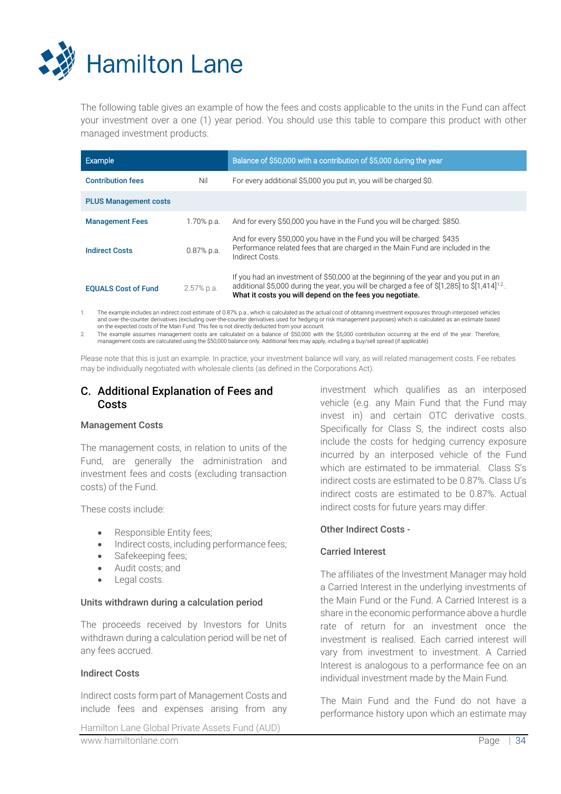

The following table gives an example of how the fees and costs applicable to the units in the Fund can affect your investment over a one (1) year period. You should use this table to compare this product with other managed investment products.

| Example                      |              | Balance of \$50,000 with a contribution of \$5,000 during the year                                                                                                                                                                                          |
|------------------------------|--------------|-------------------------------------------------------------------------------------------------------------------------------------------------------------------------------------------------------------------------------------------------------------|
| <b>Contribution fees</b>     | Nil          | For every additional \$5,000 you put in, you will be charged \$0.                                                                                                                                                                                           |
| <b>PLUS Management costs</b> |              |                                                                                                                                                                                                                                                             |
| <b>Management Fees</b>       | 1.70% p.a.   | And for every \$50,000 you have in the Fund you will be charged: \$850.                                                                                                                                                                                     |
| <b>Indirect Costs</b>        | $0.87%$ p.a. | And for every \$50,000 you have in the Fund you will be charged: \$435<br>Performance related fees that are charged in the Main Fund are included in the<br>Indirect Costs.                                                                                 |
| <b>EQUALS Cost of Fund</b>   | 2.57% p.a.   | If you had an investment of \$50,000 at the beginning of the year and you put in an<br>additional \$5,000 during the year, you will be charged a fee of \$[1,285] to \$[1,414] <sup>1.2</sup> .<br>What it costs you will depend on the fees you negotiate. |

The example includes an indirect cost estimate of 0.87% p.a., which is calculated as the actual cost of obtaining investment exposures through interposed vehicles and over-the-counter derivatives (excluding over-the-counter derivatives used for hedging or risk management purposes) which is calculated as an estimate based<br>on the expected costs of the Main Fund. This fee is not direct

The example assumes management costs are calculated on a balance of \$50,000 with the \$5,000 contribution occurring at the end of the year. Therefore,<br>The standagement costs are calculated using the \$50,000 balance only. Ad

Please note that this is just an example. In practice, your investment balance will vary, as will related management costs. Fee rebates may be individually negotiated with wholesale clients (as defined in the Corporations Act).

## C. Additional Explanation of Fees and Costs

#### Management Costs

The management costs, in relation to units of the Fund, are generally the administration and investment fees and costs (excluding transaction costs) of the Fund.

These costs include:

- Responsible Entity fees;
- Indirect costs, including performance fees:
- Safekeeping fees;
- Audit costs; and
- Legal costs.

#### Units withdrawn during a calculation period

The proceeds received by Investors for Units withdrawn during a calculation period will be net of any fees accrued.

#### Indirect Costs

Indirect costs form part of Management Costs and include fees and expenses arising from any

investment which qualifies as an interposed vehicle (e.g. any Main Fund that the Fund may invest in) and certain OTC derivative costs. Specifically for Class S, the indirect costs also include the costs for hedging currency exposure incurred by an interposed vehicle of the Fund which are estimated to be immaterial. Class S's indirect costs are estimated to be 0.87%. Class U's indirect costs are estimated to be 0.87%. Actual indirect costs for future years may differ.

#### Other Indirect Costs -

## Carried Interest

The affiliates of the Investment Manager may hold a Carried Interest in the underlying investments of the Main Fund or the Fund. A Carried Interest is a share in the economic performance above a hurdle rate of return for an investment once the investment is realised. Each carried interest will vary from investment to investment. A Carried Interest is analogous to a performance fee on an individual investment made by the Main Fund.

The Main Fund and the Fund do not have a performance history upon which an estimate may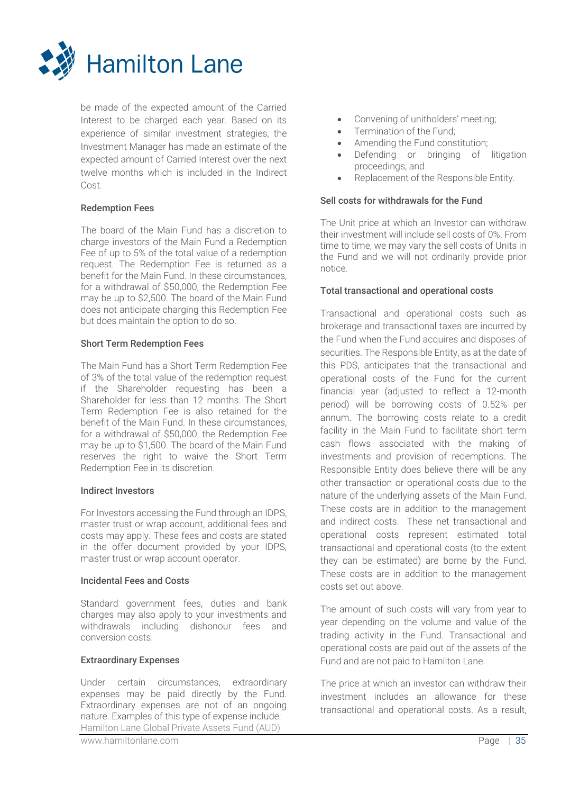

be made of the expected amount of the Carried Interest to be charged each year. Based on its experience of similar investment strategies, the Investment Manager has made an estimate of the expected amount of Carried Interest over the next twelve months which is included in the Indirect Cost.

## Redemption Fees

The board of the Main Fund has a discretion to charge investors of the Main Fund a Redemption Fee of up to 5% of the total value of a redemption request. The Redemption Fee is returned as a benefit for the Main Fund. In these circumstances, for a withdrawal of \$50,000, the Redemption Fee may be up to \$2,500. The board of the Main Fund does not anticipate charging this Redemption Fee but does maintain the option to do so.

#### Short Term Redemption Fees

The Main Fund has a Short Term Redemption Fee of 3% of the total value of the redemption request if the Shareholder requesting has been a Shareholder for less than 12 months. The Short Term Redemption Fee is also retained for the benefit of the Main Fund. In these circumstances, for a withdrawal of \$50,000, the Redemption Fee may be up to \$1,500. The board of the Main Fund reserves the right to waive the Short Term Redemption Fee in its discretion.

#### Indirect Investors

For Investors accessing the Fund through an IDPS, master trust or wrap account, additional fees and costs may apply. These fees and costs are stated in the offer document provided by your IDPS, master trust or wrap account operator.

## Incidental Fees and Costs

Standard government fees, duties and bank charges may also apply to your investments and withdrawals including dishonour fees and conversion costs.

## Extraordinary Expenses

Hamilton Lane Global Private Assets Fund (AUD) Under certain circumstances, extraordinary expenses may be paid directly by the Fund. Extraordinary expenses are not of an ongoing nature. Examples of this type of expense include:

- Convening of unitholders' meeting;
- Termination of the Fund:
- Amending the Fund constitution;
- Defending or bringing of litigation proceedings; and
- Replacement of the Responsible Entity.

## Sell costs for withdrawals for the Fund

The Unit price at which an Investor can withdraw their investment will include sell costs of 0%. From time to time, we may vary the sell costs of Units in the Fund and we will not ordinarily provide prior notice.

## Total transactional and operational costs

Transactional and operational costs such as brokerage and transactional taxes are incurred by the Fund when the Fund acquires and disposes of securities. The Responsible Entity, as at the date of this PDS, anticipates that the transactional and operational costs of the Fund for the current financial year (adjusted to reflect a 12-month period) will be borrowing costs of 0.52% per annum. The borrowing costs relate to a credit facility in the Main Fund to facilitate short term cash flows associated with the making of investments and provision of redemptions. The Responsible Entity does believe there will be any other transaction or operational costs due to the nature of the underlying assets of the Main Fund. These costs are in addition to the management and indirect costs. These net transactional and operational costs represent estimated total transactional and operational costs (to the extent they can be estimated) are borne by the Fund. These costs are in addition to the management costs set out above.

The amount of such costs will vary from year to year depending on the volume and value of the trading activity in the Fund. Transactional and operational costs are paid out of the assets of the Fund and are not paid to Hamilton Lane.

The price at which an investor can withdraw their investment includes an allowance for these transactional and operational costs. As a result,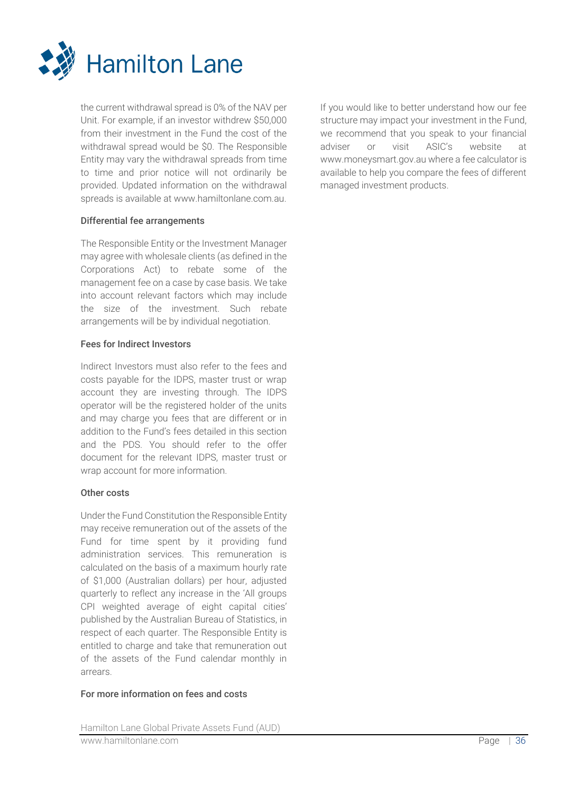

the current withdrawal spread is 0% of the NAV per Unit. For example, if an investor withdrew \$50,000 from their investment in the Fund the cost of the withdrawal spread would be \$0. The Responsible Entity may vary the withdrawal spreads from time to time and prior notice will not ordinarily be provided. Updated information on the withdrawal spreads is available at www.hamiltonlane.com.au.

## Differential fee arrangements

The Responsible Entity or the Investment Manager may agree with wholesale clients (as defined in the Corporations Act) to rebate some of the management fee on a case by case basis. We take into account relevant factors which may include the size of the investment. Such rebate arrangements will be by individual negotiation.

#### Fees for Indirect Investors

Indirect Investors must also refer to the fees and costs payable for the IDPS, master trust or wrap account they are investing through. The IDPS operator will be the registered holder of the units and may charge you fees that are different or in addition to the Fund's fees detailed in this section and the PDS. You should refer to the offer document for the relevant IDPS, master trust or wrap account for more information.

#### Other costs

Under the Fund Constitution the Responsible Entity may receive remuneration out of the assets of the Fund for time spent by it providing fund administration services. This remuneration is calculated on the basis of a maximum hourly rate of \$1,000 (Australian dollars) per hour, adjusted quarterly to reflect any increase in the 'All groups CPI weighted average of eight capital cities' published by the Australian Bureau of Statistics, in respect of each quarter. The Responsible Entity is entitled to charge and take that remuneration out of the assets of the Fund calendar monthly in arrears.

## For more information on fees and costs

If you would like to better understand how our fee structure may impact your investment in the Fund, we recommend that you speak to your financial adviser or visit ASIC's website at www.moneysmart.gov.au where a fee calculator is available to help you compare the fees of different managed investment products.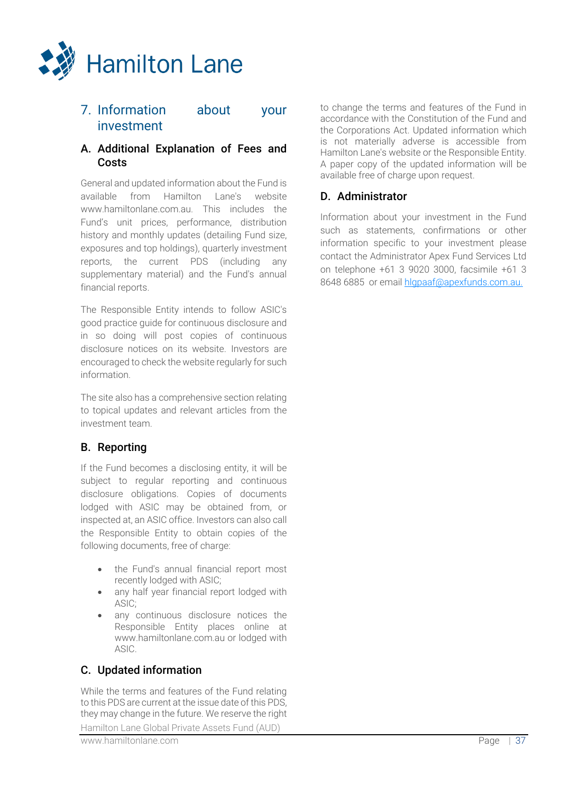

## 7. Information about your investment

## A. Additional Explanation of Fees and **Costs**

General and updated information about the Fund is available from Hamilton Lane's website www.hamiltonlane.com.au. This includes the Fund's unit prices, performance, distribution history and monthly updates (detailing Fund size, exposures and top holdings), quarterly investment reports, the current PDS (including any supplementary material) and the Fund's annual financial reports.

The Responsible Entity intends to follow ASIC's good practice guide for continuous disclosure and in so doing will post copies of continuous disclosure notices on its website. Investors are encouraged to check the website regularly for such information.

The site also has a comprehensive section relating to topical updates and relevant articles from the investment team.

## B. Reporting

If the Fund becomes a disclosing entity, it will be subject to regular reporting and continuous disclosure obligations. Copies of documents lodged with ASIC may be obtained from, or inspected at, an ASIC office. Investors can also call the Responsible Entity to obtain copies of the following documents, free of charge:

- the Fund's annual financial report most recently lodged with ASIC;
- any half year financial report lodged with ASIC;
- any continuous disclosure notices the Responsible Entity places online at www.hamiltonlane.com.au or lodged with ASIC.

## C. Updated information

While the terms and features of the Fund relating to this PDS are current at the issue date of this PDS, they may change in the future. We reserve the right

Hamilton Lane Global Private Assets Fund (AUD)

to change the terms and features of the Fund in accordance with the Constitution of the Fund and the Corporations Act. Updated information which is not materially adverse is accessible from Hamilton Lane's website or the Responsible Entity. A paper copy of the updated information will be available free of charge upon request.

## D. Administrator

Information about your investment in the Fund such as statements, confirmations or other information specific to your investment please contact the Administrator Apex Fund Services Ltd on telephone +61 3 9020 3000, facsimile +61 3 8648 6885 or email [hlgpaaf@apexfunds.com.au.](mailto:hlgpaaf@apexfunds.com.au)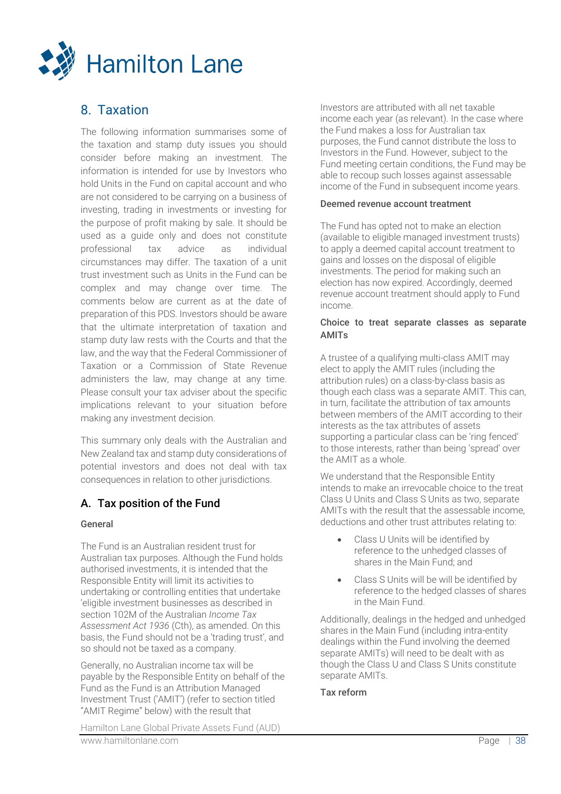

# 8. Taxation

The following information summarises some of the taxation and stamp duty issues you should consider before making an investment. The information is intended for use by Investors who hold Units in the Fund on capital account and who are not considered to be carrying on a business of investing, trading in investments or investing for the purpose of profit making by sale. It should be used as a guide only and does not constitute professional tax advice as individual circumstances may differ. The taxation of a unit trust investment such as Units in the Fund can be complex and may change over time. The comments below are current as at the date of preparation of this PDS. Investors should be aware that the ultimate interpretation of taxation and stamp duty law rests with the Courts and that the law, and the way that the Federal Commissioner of Taxation or a Commission of State Revenue administers the law, may change at any time. Please consult your tax adviser about the specific implications relevant to your situation before making any investment decision.

This summary only deals with the Australian and New Zealand tax and stamp duty considerations of potential investors and does not deal with tax consequences in relation to other jurisdictions.

## A. Tax position of the Fund

#### General

The Fund is an Australian resident trust for Australian tax purposes. Although the Fund holds authorised investments, it is intended that the Responsible Entity will limit its activities to undertaking or controlling entities that undertake 'eligible investment businesses as described in section 102M of the Australian *Income Tax Assessment Act 1936* (Cth), as amended. On this basis, the Fund should not be a 'trading trust', and so should not be taxed as a company.

Generally, no Australian income tax will be payable by the Responsible Entity on behalf of the Fund as the Fund is an Attribution Managed Investment Trust ('AMIT') (refer to section titled "AMIT Regime" below) with the result that

Hamilton Lane Global Private Assets Fund (AUD) www.hamiltonlane.com Page | 38

Investors are attributed with all net taxable income each year (as relevant). In the case where the Fund makes a loss for Australian tax purposes, the Fund cannot distribute the loss to Investors in the Fund. However, subject to the Fund meeting certain conditions, the Fund may be able to recoup such losses against assessable income of the Fund in subsequent income years.

#### Deemed revenue account treatment

The Fund has opted not to make an election (available to eligible managed investment trusts) to apply a deemed capital account treatment to gains and losses on the disposal of eligible investments. The period for making such an election has now expired. Accordingly, deemed revenue account treatment should apply to Fund income.

## Choice to treat separate classes as separate AMITs

A trustee of a qualifying multi-class AMIT may elect to apply the AMIT rules (including the attribution rules) on a class-by-class basis as though each class was a separate AMIT. This can, in turn, facilitate the attribution of tax amounts between members of the AMIT according to their interests as the tax attributes of assets supporting a particular class can be 'ring fenced' to those interests, rather than being 'spread' over the AMIT as a whole.

We understand that the Responsible Entity intends to make an irrevocable choice to the treat Class U Units and Class S Units as two, separate AMITs with the result that the assessable income, deductions and other trust attributes relating to:

- Class U Units will be identified by reference to the unhedged classes of shares in the Main Fund; and
- Class S Units will be will be identified by reference to the hedged classes of shares in the Main Fund.

Additionally, dealings in the hedged and unhedged shares in the Main Fund (including intra-entity dealings within the Fund involving the deemed separate AMITs) will need to be dealt with as though the Class U and Class S Units constitute separate AMIT<sub>s</sub>.

## Tax reform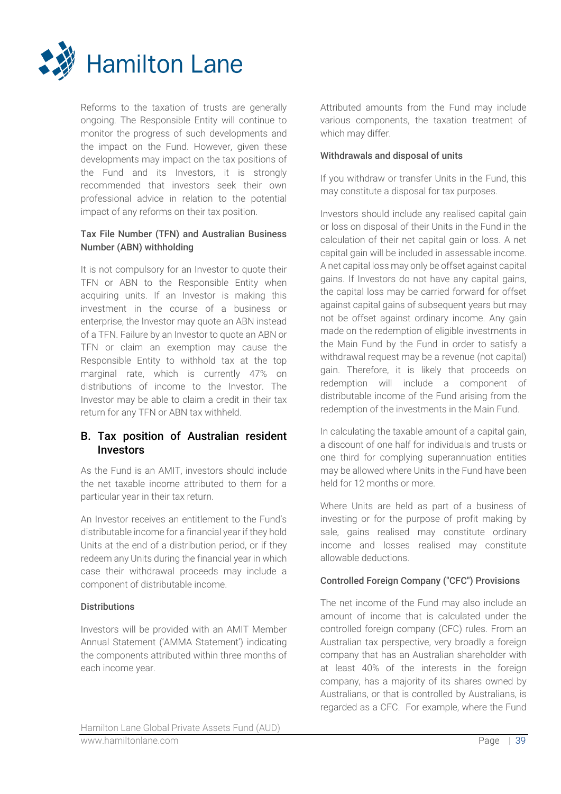

Reforms to the taxation of trusts are generally ongoing. The Responsible Entity will continue to monitor the progress of such developments and the impact on the Fund. However, given these developments may impact on the tax positions of the Fund and its Investors, it is strongly recommended that investors seek their own professional advice in relation to the potential impact of any reforms on their tax position.

## Tax File Number (TFN) and Australian Business Number (ABN) withholding

It is not compulsory for an Investor to quote their TFN or ABN to the Responsible Entity when acquiring units. If an Investor is making this investment in the course of a business or enterprise, the Investor may quote an ABN instead of a TFN. Failure by an Investor to quote an ABN or TFN or claim an exemption may cause the Responsible Entity to withhold tax at the top marginal rate, which is currently 47% on distributions of income to the Investor. The Investor may be able to claim a credit in their tax return for any TFN or ABN tax withheld.

## B. Tax position of Australian resident Investors

As the Fund is an AMIT, investors should include the net taxable income attributed to them for a particular year in their tax return.

An Investor receives an entitlement to the Fund's distributable income for a financial year if they hold Units at the end of a distribution period, or if they redeem any Units during the financial year in which case their withdrawal proceeds may include a component of distributable income.

## **Distributions**

Investors will be provided with an AMIT Member Annual Statement ('AMMA Statement') indicating the components attributed within three months of each income year.

Attributed amounts from the Fund may include various components, the taxation treatment of which may differ.

## Withdrawals and disposal of units

If you withdraw or transfer Units in the Fund, this may constitute a disposal for tax purposes.

Investors should include any realised capital gain or loss on disposal of their Units in the Fund in the calculation of their net capital gain or loss. A net capital gain will be included in assessable income. A net capital loss may only be offset against capital gains. If Investors do not have any capital gains, the capital loss may be carried forward for offset against capital gains of subsequent years but may not be offset against ordinary income. Any gain made on the redemption of eligible investments in the Main Fund by the Fund in order to satisfy a withdrawal request may be a revenue (not capital) gain. Therefore, it is likely that proceeds on redemption will include a component of distributable income of the Fund arising from the redemption of the investments in the Main Fund.

In calculating the taxable amount of a capital gain, a discount of one half for individuals and trusts or one third for complying superannuation entities may be allowed where Units in the Fund have been held for 12 months or more.

Where Units are held as part of a business of investing or for the purpose of profit making by sale, gains realised may constitute ordinary income and losses realised may constitute allowable deductions.

## Controlled Foreign Company ("CFC") Provisions

The net income of the Fund may also include an amount of income that is calculated under the controlled foreign company (CFC) rules. From an Australian tax perspective, very broadly a foreign company that has an Australian shareholder with at least 40% of the interests in the foreign company, has a majority of its shares owned by Australians, or that is controlled by Australians, is regarded as a CFC. For example, where the Fund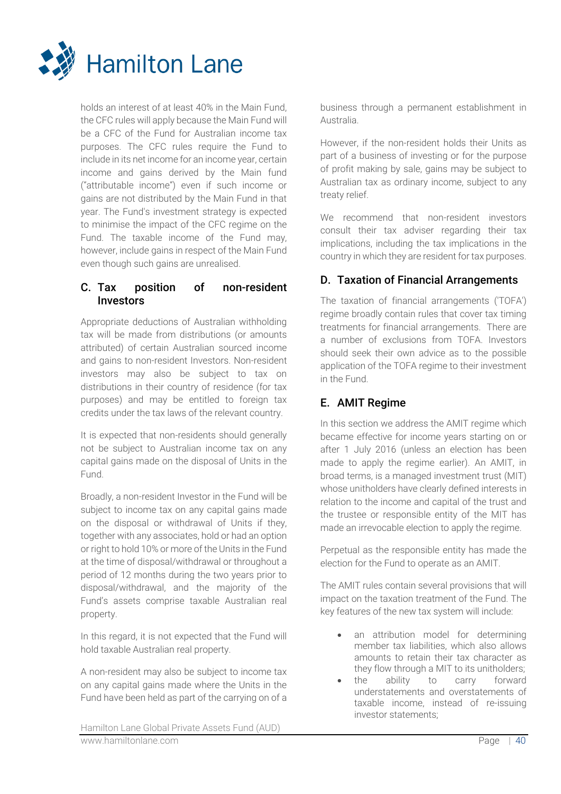

holds an interest of at least 40% in the Main Fund, the CFC rules will apply because the Main Fund will be a CFC of the Fund for Australian income tax purposes. The CFC rules require the Fund to include in its net income for an income year, certain income and gains derived by the Main fund ("attributable income") even if such income or gains are not distributed by the Main Fund in that year. The Fund's investment strategy is expected to minimise the impact of the CFC regime on the Fund. The taxable income of the Fund may, however, include gains in respect of the Main Fund even though such gains are unrealised.

## C. Tax position of non-resident Investors

Appropriate deductions of Australian withholding tax will be made from distributions (or amounts attributed) of certain Australian sourced income and gains to non-resident Investors. Non-resident investors may also be subject to tax on distributions in their country of residence (for tax purposes) and may be entitled to foreign tax credits under the tax laws of the relevant country.

It is expected that non-residents should generally not be subject to Australian income tax on any capital gains made on the disposal of Units in the Fund.

Broadly, a non-resident Investor in the Fund will be subject to income tax on any capital gains made on the disposal or withdrawal of Units if they, together with any associates, hold or had an option or right to hold 10% or more of the Units in the Fund at the time of disposal/withdrawal or throughout a period of 12 months during the two years prior to disposal/withdrawal, and the majority of the Fund's assets comprise taxable Australian real property.

In this regard, it is not expected that the Fund will hold taxable Australian real property.

A non-resident may also be subject to income tax on any capital gains made where the Units in the Fund have been held as part of the carrying on of a business through a permanent establishment in Australia.

However, if the non-resident holds their Units as part of a business of investing or for the purpose of profit making by sale, gains may be subject to Australian tax as ordinary income, subject to any treaty relief.

We recommend that non-resident investors consult their tax adviser regarding their tax implications, including the tax implications in the country in which they are resident for tax purposes.

## D. Taxation of Financial Arrangements

The taxation of financial arrangements ('TOFA') regime broadly contain rules that cover tax timing treatments for financial arrangements. There are a number of exclusions from TOFA. Investors should seek their own advice as to the possible application of the TOFA regime to their investment in the Fund.

## E. AMIT Regime

In this section we address the AMIT regime which became effective for income years starting on or after 1 July 2016 (unless an election has been made to apply the regime earlier). An AMIT, in broad terms, is a managed investment trust (MIT) whose unitholders have clearly defined interests in relation to the income and capital of the trust and the trustee or responsible entity of the MIT has made an irrevocable election to apply the regime.

Perpetual as the responsible entity has made the election for the Fund to operate as an AMIT.

The AMIT rules contain several provisions that will impact on the taxation treatment of the Fund. The key features of the new tax system will include:

- an attribution model for determining member tax liabilities, which also allows amounts to retain their tax character as they flow through a MIT to its unitholders;
- the ability to carry forward understatements and overstatements of taxable income, instead of re-issuing investor statements;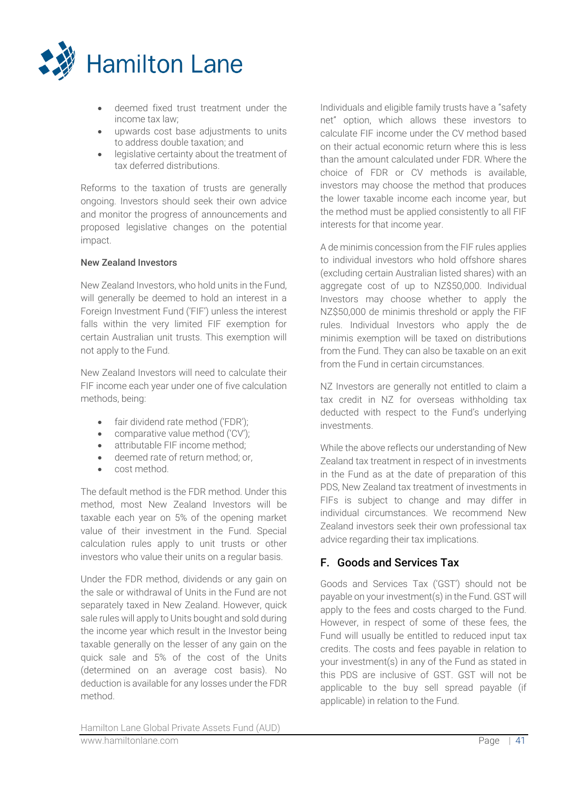

- deemed fixed trust treatment under the income tax law;
- upwards cost base adjustments to units to address double taxation; and
- legislative certainty about the treatment of tax deferred distributions.

Reforms to the taxation of trusts are generally ongoing. Investors should seek their own advice and monitor the progress of announcements and proposed legislative changes on the potential impact.

## New Zealand Investors

New Zealand Investors, who hold units in the Fund, will generally be deemed to hold an interest in a Foreign Investment Fund ('FIF') unless the interest falls within the very limited FIF exemption for certain Australian unit trusts. This exemption will not apply to the Fund.

New Zealand Investors will need to calculate their FIF income each year under one of five calculation methods, being:

- fair dividend rate method ('FDR');
- comparative value method ('CV');
- attributable FIF income method;
- deemed rate of return method; or,
- cost method.

The default method is the FDR method. Under this method, most New Zealand Investors will be taxable each year on 5% of the opening market value of their investment in the Fund. Special calculation rules apply to unit trusts or other investors who value their units on a regular basis.

Under the FDR method, dividends or any gain on the sale or withdrawal of Units in the Fund are not separately taxed in New Zealand. However, quick sale rules will apply to Units bought and sold during the income year which result in the Investor being taxable generally on the lesser of any gain on the quick sale and 5% of the cost of the Units (determined on an average cost basis). No deduction is available for any losses under the FDR method.

Individuals and eligible family trusts have a "safety net" option, which allows these investors to calculate FIF income under the CV method based on their actual economic return where this is less than the amount calculated under FDR. Where the choice of FDR or CV methods is available, investors may choose the method that produces the lower taxable income each income year, but the method must be applied consistently to all FIF interests for that income year.

A de minimis concession from the FIF rules applies to individual investors who hold offshore shares (excluding certain Australian listed shares) with an aggregate cost of up to NZ\$50,000. Individual Investors may choose whether to apply the NZ\$50,000 de minimis threshold or apply the FIF rules. Individual Investors who apply the de minimis exemption will be taxed on distributions from the Fund. They can also be taxable on an exit from the Fund in certain circumstances.

NZ Investors are generally not entitled to claim a tax credit in NZ for overseas withholding tax deducted with respect to the Fund's underlying investments.

While the above reflects our understanding of New Zealand tax treatment in respect of in investments in the Fund as at the date of preparation of this PDS, New Zealand tax treatment of investments in FIFs is subject to change and may differ in individual circumstances. We recommend New Zealand investors seek their own professional tax advice regarding their tax implications.

## F. Goods and Services Tax

Goods and Services Tax ('GST') should not be payable on your investment(s) in the Fund. GST will apply to the fees and costs charged to the Fund. However, in respect of some of these fees, the Fund will usually be entitled to reduced input tax credits. The costs and fees payable in relation to your investment(s) in any of the Fund as stated in this PDS are inclusive of GST. GST will not be applicable to the buy sell spread payable (if applicable) in relation to the Fund.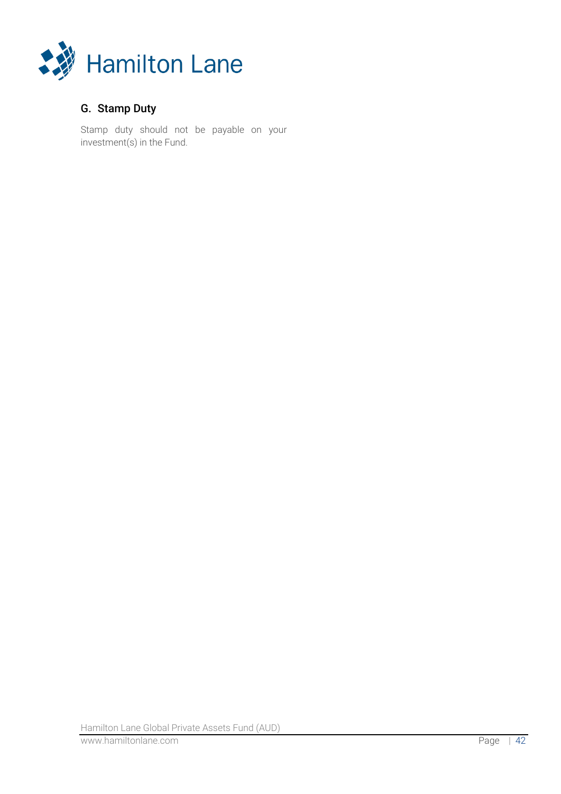

## G. Stamp Duty

Stamp duty should not be payable on your investment(s) in the Fund.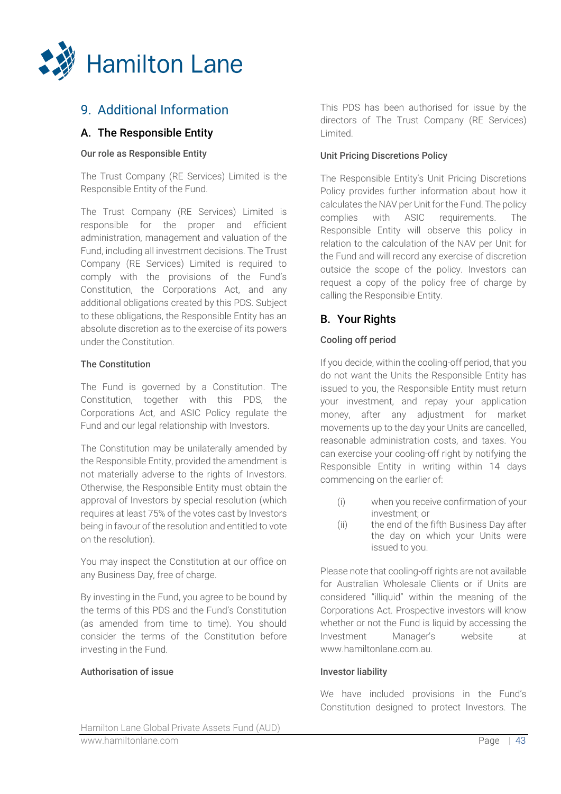

# 9. Additional Information

## A. The Responsible Entity

## Our role as Responsible Entity

The Trust Company (RE Services) Limited is the Responsible Entity of the Fund.

The Trust Company (RE Services) Limited is responsible for the proper and efficient administration, management and valuation of the Fund, including all investment decisions. The Trust Company (RE Services) Limited is required to comply with the provisions of the Fund's Constitution, the Corporations Act, and any additional obligations created by this PDS. Subject to these obligations, the Responsible Entity has an absolute discretion as to the exercise of its powers under the Constitution.

## The Constitution

The Fund is governed by a Constitution. The Constitution, together with this PDS, the Corporations Act, and ASIC Policy regulate the Fund and our legal relationship with Investors.

The Constitution may be unilaterally amended by the Responsible Entity, provided the amendment is not materially adverse to the rights of Investors. Otherwise, the Responsible Entity must obtain the approval of Investors by special resolution (which requires at least 75% of the votes cast by Investors being in favour of the resolution and entitled to vote on the resolution).

You may inspect the Constitution at our office on any Business Day, free of charge.

By investing in the Fund, you agree to be bound by the terms of this PDS and the Fund's Constitution (as amended from time to time). You should consider the terms of the Constitution before investing in the Fund.

#### Authorisation of issue

This PDS has been authorised for issue by the directors of The Trust Company (RE Services) Limited.

## Unit Pricing Discretions Policy

The Responsible Entity's Unit Pricing Discretions Policy provides further information about how it calculates the NAV per Unit for the Fund. The policy complies with ASIC requirements. The Responsible Entity will observe this policy in relation to the calculation of the NAV per Unit for the Fund and will record any exercise of discretion outside the scope of the policy. Investors can request a copy of the policy free of charge by calling the Responsible Entity.

## B. Your Rights

## Cooling off period

If you decide, within the cooling-off period, that you do not want the Units the Responsible Entity has issued to you, the Responsible Entity must return your investment, and repay your application money, after any adjustment for market movements up to the day your Units are cancelled, reasonable administration costs, and taxes. You can exercise your cooling-off right by notifying the Responsible Entity in writing within 14 days commencing on the earlier of:

- (i) when you receive confirmation of your investment; or
- (ii) the end of the fifth Business Day after the day on which your Units were issued to you.

Please note that cooling-off rights are not available for Australian Wholesale Clients or if Units are considered "illiquid" within the meaning of the Corporations Act. Prospective investors will know whether or not the Fund is liquid by accessing the Investment Manager's website at www.hamiltonlane.com.au.

#### Investor liability

We have included provisions in the Fund's Constitution designed to protect Investors. The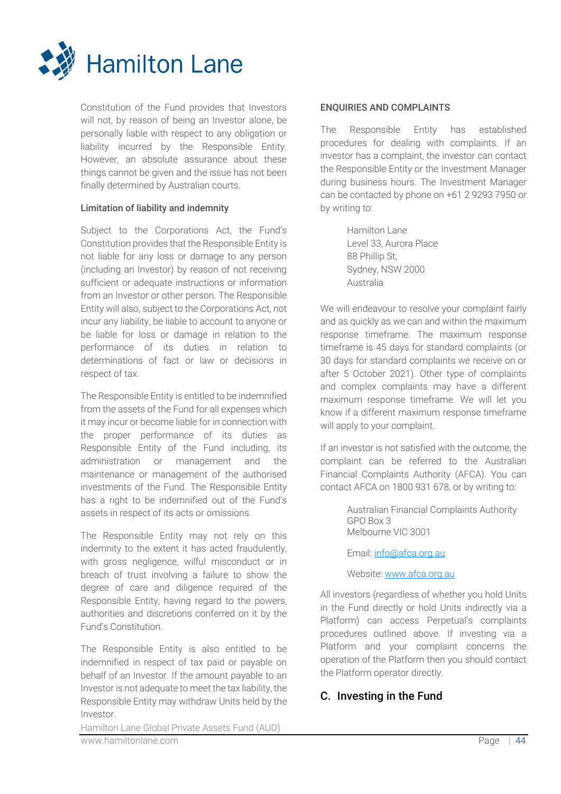

Constitution of the Fund provides that Investors will not, by reason of being an Investor alone, be personally liable with respect to any obligation or liability incurred by the Responsible Entity. However, an absolute assurance about these things cannot be given and the issue has not been finally determined by Australian courts.

## Limitation of liability and indemnity

Subject to the Corporations Act, the Fund's Constitution provides that the Responsible Entity is not liable for any loss or damage to any person (including an Investor) by reason of not receiving sufficient or adequate instructions or information from an Investor or other person. The Responsible Entity will also, subject to the Corporations Act, not incur any liability, be liable to account to anyone or be liable for loss or damage in relation to the performance of its duties in relation to determinations of fact or law or decisions in respect of tax.

The Responsible Entity is entitled to be indemnified from the assets of the Fund for all expenses which it may incur or become liable for in connection with the proper performance of its duties as Responsible Entity of the Fund including, its administration or management and the maintenance or management of the authorised investments of the Fund. The Responsible Entity has a right to be indemnified out of the Fund's assets in respect of its acts or omissions.

The Responsible Entity may not rely on this indemnity to the extent it has acted fraudulently, with gross negligence, wilful misconduct or in breach of trust involving a failure to show the degree of care and diligence required of the Responsible Entity, having regard to the powers, authorities and discretions conferred on it by the Fund's Constitution.

The Responsible Entity is also entitled to be indemnified in respect of tax paid or payable on behalf of an Investor. If the amount payable to an Investor is not adequate to meet the tax liability, the Responsible Entity may withdraw Units held by the Investor.

## ENQUIRIES AND COMPLAINTS

The Responsible Entity has established procedures for dealing with complaints. If an investor has a complaint, the investor can contact the Responsible Entity or the Investment Manager during business hours. The Investment Manager can be contacted by phone on +61 2 9293 7950 or by writing to:

> Hamilton Lane Level 33, Aurora Place 88 Phillip St, Sydney, NSW 2000 Australia

We will endeavour to resolve your complaint fairly and as quickly as we can and within the maximum response timeframe. The maximum response timeframe is 45 days for standard complaints (or 30 days for standard complaints we receive on or after 5 October 2021). Other type of complaints and complex complaints may have a different maximum response timeframe. We will let you know if a different maximum response timeframe will apply to your complaint.

If an investor is not satisfied with the outcome, the complaint can be referred to the Australian Financial Complaints Authority (AFCA). You can contact AFCA on 1800 931 678, or by writing to:

> Australian Financial Complaints Authority GPO Box 3 Melbourne VIC 3001

Email: [info@afca.org.au](mailto:info@afca.org.au)

Website[: www.afca.org.au](http://www.afca.org.au/)

All investors (regardless of whether you hold Units in the Fund directly or hold Units indirectly via a Platform) can access Perpetual's complaints procedures outlined above. If investing via a Platform and your complaint concerns the operation of the Platform then you should contact the Platform operator directly.

## C. Investing in the Fund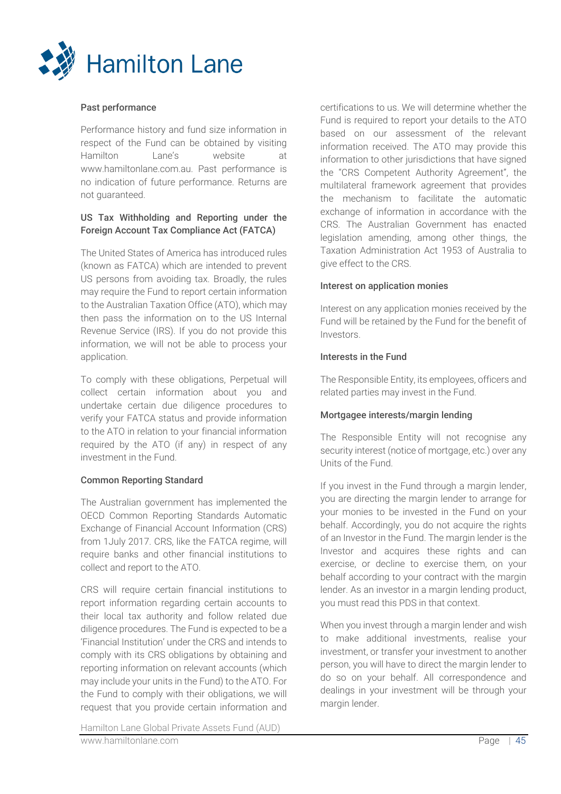

## Past performance

Performance history and fund size information in respect of the Fund can be obtained by visiting Hamilton Lane's website at www.hamiltonlane.com.au. Past performance is no indication of future performance. Returns are not guaranteed.

## US Tax Withholding and Reporting under the Foreign Account Tax Compliance Act (FATCA)

The United States of America has introduced rules (known as FATCA) which are intended to prevent US persons from avoiding tax. Broadly, the rules may require the Fund to report certain information to the Australian Taxation Office (ATO), which may then pass the information on to the US Internal Revenue Service (IRS). If you do not provide this information, we will not be able to process your application.

To comply with these obligations, Perpetual will collect certain information about you and undertake certain due diligence procedures to verify your FATCA status and provide information to the ATO in relation to your financial information required by the ATO (if any) in respect of any investment in the Fund.

## Common Reporting Standard

The Australian government has implemented the OECD Common Reporting Standards Automatic Exchange of Financial Account Information (CRS) from 1July 2017. CRS, like the FATCA regime, will require banks and other financial institutions to collect and report to the ATO.

CRS will require certain financial institutions to report information regarding certain accounts to their local tax authority and follow related due diligence procedures. The Fund is expected to be a 'Financial Institution' under the CRS and intends to comply with its CRS obligations by obtaining and reporting information on relevant accounts (which may include your units in the Fund) to the ATO. For the Fund to comply with their obligations, we will request that you provide certain information and

certifications to us. We will determine whether the Fund is required to report your details to the ATO based on our assessment of the relevant information received. The ATO may provide this information to other jurisdictions that have signed the "CRS Competent Authority Agreement", the multilateral framework agreement that provides the mechanism to facilitate the automatic exchange of information in accordance with the CRS. The Australian Government has enacted legislation amending, among other things, the Taxation Administration Act 1953 of Australia to give effect to the CRS.

#### Interest on application monies

Interest on any application monies received by the Fund will be retained by the Fund for the benefit of Investors.

## Interests in the Fund

The Responsible Entity, its employees, officers and related parties may invest in the Fund.

## Mortgagee interests/margin lending

The Responsible Entity will not recognise any security interest (notice of mortgage, etc.) over any Units of the Fund.

If you invest in the Fund through a margin lender, you are directing the margin lender to arrange for your monies to be invested in the Fund on your behalf. Accordingly, you do not acquire the rights of an Investor in the Fund. The margin lender is the Investor and acquires these rights and can exercise, or decline to exercise them, on your behalf according to your contract with the margin lender. As an investor in a margin lending product, you must read this PDS in that context.

When you invest through a margin lender and wish to make additional investments, realise your investment, or transfer your investment to another person, you will have to direct the margin lender to do so on your behalf. All correspondence and dealings in your investment will be through your margin lender.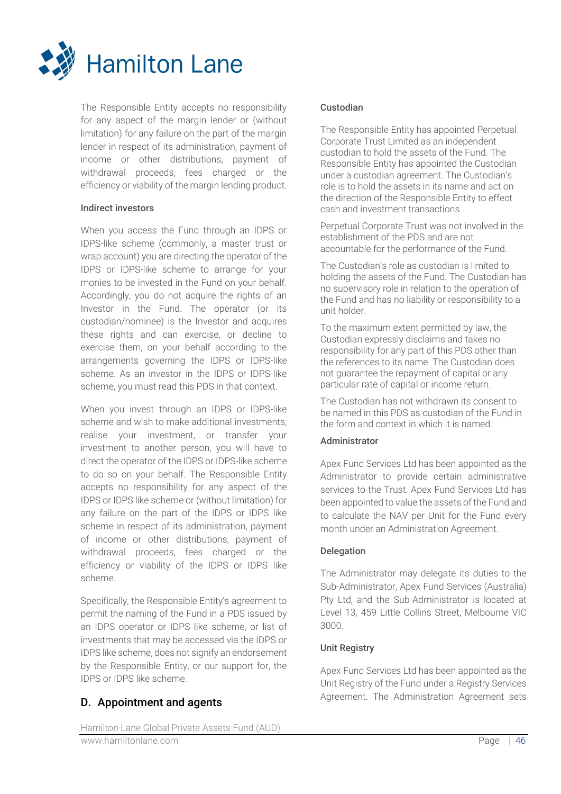

The Responsible Entity accepts no responsibility for any aspect of the margin lender or (without limitation) for any failure on the part of the margin lender in respect of its administration, payment of income or other distributions, payment of withdrawal proceeds, fees charged or the efficiency or viability of the margin lending product.

## Indirect investors

When you access the Fund through an IDPS or IDPS-like scheme (commonly, a master trust or wrap account) you are directing the operator of the IDPS or IDPS-like scheme to arrange for your monies to be invested in the Fund on your behalf. Accordingly, you do not acquire the rights of an Investor in the Fund. The operator (or its custodian/nominee) is the Investor and acquires these rights and can exercise, or decline to exercise them, on your behalf according to the arrangements governing the IDPS or IDPS-like scheme. As an investor in the IDPS or IDPS-like scheme, you must read this PDS in that context.

When you invest through an IDPS or IDPS-like scheme and wish to make additional investments, realise your investment, or transfer your investment to another person, you will have to direct the operator of the IDPS or IDPS-like scheme to do so on your behalf. The Responsible Entity accepts no responsibility for any aspect of the IDPS or IDPS like scheme or (without limitation) for any failure on the part of the IDPS or IDPS like scheme in respect of its administration, payment of income or other distributions, payment of withdrawal proceeds, fees charged or the efficiency or viability of the IDPS or IDPS like scheme.

Specifically, the Responsible Entity's agreement to permit the naming of the Fund in a PDS issued by an IDPS operator or IDPS like scheme, or list of investments that may be accessed via the IDPS or IDPS like scheme, does not signify an endorsement by the Responsible Entity, or our support for, the IDPS or IDPS like scheme.

## D. Appointment and agents

## Custodian

The Responsible Entity has appointed Perpetual Corporate Trust Limited as an independent custodian to hold the assets of the Fund. The Responsible Entity has appointed the Custodian under a custodian agreement. The Custodian's role is to hold the assets in its name and act on the direction of the Responsible Entity to effect cash and investment transactions.

Perpetual Corporate Trust was not involved in the establishment of the PDS and are not accountable for the performance of the Fund.

The Custodian's role as custodian is limited to holding the assets of the Fund. The Custodian has no supervisory role in relation to the operation of the Fund and has no liability or responsibility to a unit holder.

To the maximum extent permitted by law, the Custodian expressly disclaims and takes no responsibility for any part of this PDS other than the references to its name. The Custodian does not guarantee the repayment of capital or any particular rate of capital or income return.

The Custodian has not withdrawn its consent to be named in this PDS as custodian of the Fund in the form and context in which it is named.

## Administrator

Apex Fund Services Ltd has been appointed as the Administrator to provide certain administrative services to the Trust. Apex Fund Services Ltd has been appointed to value the assets of the Fund and to calculate the NAV per Unit for the Fund every month under an Administration Agreement.

## Delegation

The Administrator may delegate its duties to the Sub-Administrator, Apex Fund Services (Australia) Pty Ltd, and the Sub-Administrator is located at Level 13, 459 Little Collins Street, Melbourne VIC 3000.

#### Unit Registry

Apex Fund Services Ltd has been appointed as the Unit Registry of the Fund under a Registry Services Agreement. The Administration Agreement sets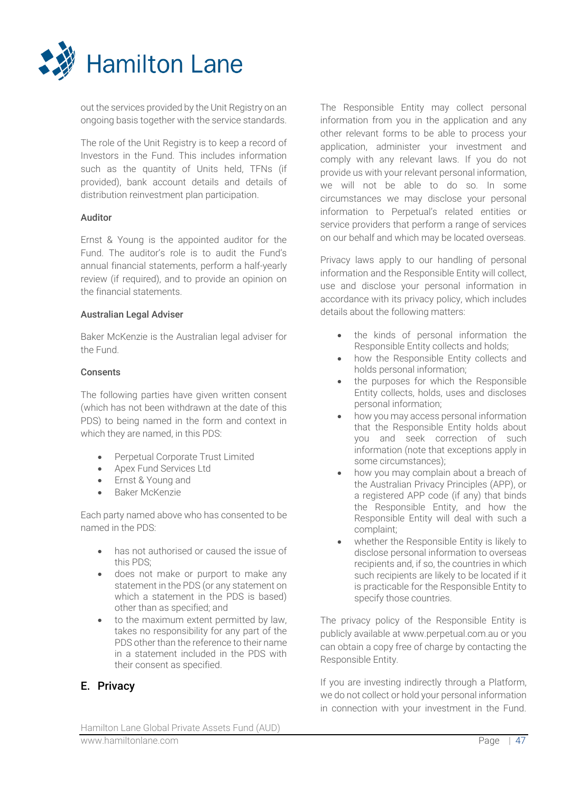

out the services provided by the Unit Registry on an ongoing basis together with the service standards.

The role of the Unit Registry is to keep a record of Investors in the Fund. This includes information such as the quantity of Units held, TFNs (if provided), bank account details and details of distribution reinvestment plan participation.

## Auditor

Ernst & Young is the appointed auditor for the Fund. The auditor's role is to audit the Fund's annual financial statements, perform a half-yearly review (if required), and to provide an opinion on the financial statements.

## Australian Legal Adviser

Baker McKenzie is the Australian legal adviser for the Fund.

## **Consents**

The following parties have given written consent (which has not been withdrawn at the date of this PDS) to being named in the form and context in which they are named, in this PDS:

- Perpetual Corporate Trust Limited
- Apex Fund Services Ltd
- Ernst & Young and
- Baker McKenzie

Each party named above who has consented to be named in the PDS:

- has not authorised or caused the issue of this PDS;
- does not make or purport to make any statement in the PDS (or any statement on which a statement in the PDS is based) other than as specified; and
- to the maximum extent permitted by law, takes no responsibility for any part of the PDS other than the reference to their name in a statement included in the PDS with their consent as specified.

## E. Privacy

The Responsible Entity may collect personal information from you in the application and any other relevant forms to be able to process your application, administer your investment and comply with any relevant laws. If you do not provide us with your relevant personal information, we will not be able to do so. In some circumstances we may disclose your personal information to Perpetual's related entities or service providers that perform a range of services on our behalf and which may be located overseas.

Privacy laws apply to our handling of personal information and the Responsible Entity will collect, use and disclose your personal information in accordance with its privacy policy, which includes details about the following matters:

- the kinds of personal information the Responsible Entity collects and holds;
- how the Responsible Entity collects and holds personal information;
- the purposes for which the Responsible Entity collects, holds, uses and discloses personal information;
- how you may access personal information that the Responsible Entity holds about you and seek correction of such information (note that exceptions apply in some circumstances);
- how you may complain about a breach of the Australian Privacy Principles (APP), or a registered APP code (if any) that binds the Responsible Entity, and how the Responsible Entity will deal with such a complaint;
- whether the Responsible Entity is likely to disclose personal information to overseas recipients and, if so, the countries in which such recipients are likely to be located if it is practicable for the Responsible Entity to specify those countries.

The privacy policy of the Responsible Entity is publicly available at www.perpetual.com.au or you can obtain a copy free of charge by contacting the Responsible Entity.

If you are investing indirectly through a Platform, we do not collect or hold your personal information in connection with your investment in the Fund.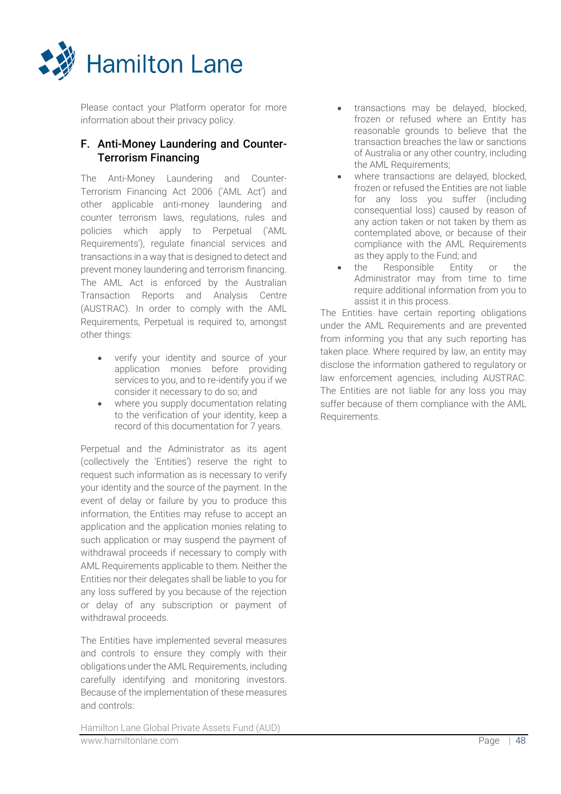

Please contact your Platform operator for more information about their privacy policy.

## F. Anti-Money Laundering and Counter-Terrorism Financing

The Anti-Money Laundering and Counter-Terrorism Financing Act 2006 ('AML Act') and other applicable anti-money laundering and counter terrorism laws, regulations, rules and policies which apply to Perpetual ('AML Requirements'), regulate financial services and transactions in a way that is designed to detect and prevent money laundering and terrorism financing. The AML Act is enforced by the Australian Transaction Reports and Analysis Centre (AUSTRAC). In order to comply with the AML Requirements, Perpetual is required to, amongst other things:

- verify your identity and source of your application monies before providing services to you, and to re-identify you if we consider it necessary to do so; and
- where you supply documentation relating to the verification of your identity, keep a record of this documentation for 7 years.

Perpetual and the Administrator as its agent (collectively the 'Entities') reserve the right to request such information as is necessary to verify your identity and the source of the payment. In the event of delay or failure by you to produce this information, the Entities may refuse to accept an application and the application monies relating to such application or may suspend the payment of withdrawal proceeds if necessary to comply with AML Requirements applicable to them. Neither the Entities nor their delegates shall be liable to you for any loss suffered by you because of the rejection or delay of any subscription or payment of withdrawal proceeds.

The Entities have implemented several measures and controls to ensure they comply with their obligations under the AML Requirements, including carefully identifying and monitoring investors. Because of the implementation of these measures and controls:

Hamilton Lane Global Private Assets Fund (AUD) www.hamiltonlane.com Page | 48

- transactions may be delayed, blocked, frozen or refused where an Entity has reasonable grounds to believe that the transaction breaches the law or sanctions of Australia or any other country, including the AML Requirements;
- where transactions are delayed, blocked, frozen or refused the Entities are not liable for any loss you suffer (including consequential loss) caused by reason of any action taken or not taken by them as contemplated above, or because of their compliance with the AML Requirements as they apply to the Fund; and
- the Responsible Entity or the Administrator may from time to time require additional information from you to assist it in this process.

The Entities have certain reporting obligations under the AML Requirements and are prevented from informing you that any such reporting has taken place. Where required by law, an entity may disclose the information gathered to regulatory or law enforcement agencies, including AUSTRAC. The Entities are not liable for any loss you may suffer because of them compliance with the AML Requirements.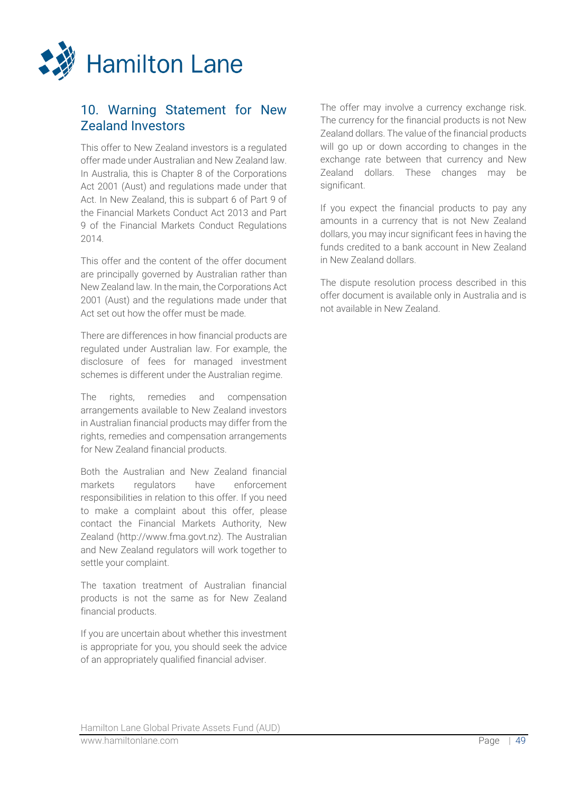

## 10. Warning Statement for New Zealand Investors

This offer to New Zealand investors is a regulated offer made under Australian and New Zealand law. In Australia, this is Chapter 8 of the Corporations Act 2001 (Aust) and regulations made under that Act. In New Zealand, this is subpart 6 of Part 9 of the Financial Markets Conduct Act 2013 and Part 9 of the Financial Markets Conduct Regulations 2014.

This offer and the content of the offer document are principally governed by Australian rather than New Zealand law. In the main, the Corporations Act 2001 (Aust) and the regulations made under that Act set out how the offer must be made.

There are differences in how financial products are regulated under Australian law. For example, the disclosure of fees for managed investment schemes is different under the Australian regime.

The rights, remedies and compensation arrangements available to New Zealand investors in Australian financial products may differ from the rights, remedies and compensation arrangements for New Zealand financial products.

Both the Australian and New Zealand financial markets regulators have enforcement responsibilities in relation to this offer. If you need to make a complaint about this offer, please contact the Financial Markets Authority, New Zealand (http://www.fma.govt.nz). The Australian and New Zealand regulators will work together to settle your complaint.

The taxation treatment of Australian financial products is not the same as for New Zealand financial products.

If you are uncertain about whether this investment is appropriate for you, you should seek the advice of an appropriately qualified financial adviser.

The offer may involve a currency exchange risk. The currency for the financial products is not New Zealand dollars. The value of the financial products will go up or down according to changes in the exchange rate between that currency and New Zealand dollars. These changes may be significant.

If you expect the financial products to pay any amounts in a currency that is not New Zealand dollars, you may incur significant fees in having the funds credited to a bank account in New Zealand in New Zealand dollars.

The dispute resolution process described in this offer document is available only in Australia and is not available in New Zealand.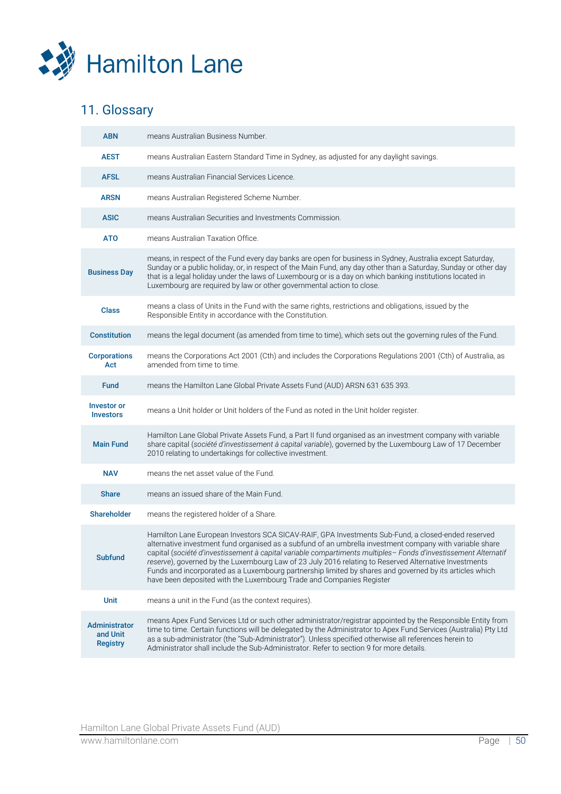

# 11. Glossary

| <b>ABN</b>                                          | means Australian Business Number.                                                                                                                                                                                                                                                                                                                                                                                                                                                                                                                                                                                             |
|-----------------------------------------------------|-------------------------------------------------------------------------------------------------------------------------------------------------------------------------------------------------------------------------------------------------------------------------------------------------------------------------------------------------------------------------------------------------------------------------------------------------------------------------------------------------------------------------------------------------------------------------------------------------------------------------------|
| <b>AEST</b>                                         | means Australian Eastern Standard Time in Sydney, as adjusted for any daylight savings.                                                                                                                                                                                                                                                                                                                                                                                                                                                                                                                                       |
| <b>AFSL</b>                                         | means Australian Financial Services Licence.                                                                                                                                                                                                                                                                                                                                                                                                                                                                                                                                                                                  |
| <b>ARSN</b>                                         | means Australian Registered Scheme Number.                                                                                                                                                                                                                                                                                                                                                                                                                                                                                                                                                                                    |
| <b>ASIC</b>                                         | means Australian Securities and Investments Commission.                                                                                                                                                                                                                                                                                                                                                                                                                                                                                                                                                                       |
| <b>ATO</b>                                          | means Australian Taxation Office.                                                                                                                                                                                                                                                                                                                                                                                                                                                                                                                                                                                             |
| <b>Business Day</b>                                 | means, in respect of the Fund every day banks are open for business in Sydney, Australia except Saturday,<br>Sunday or a public holiday, or, in respect of the Main Fund, any day other than a Saturday, Sunday or other day<br>that is a legal holiday under the laws of Luxembourg or is a day on which banking institutions located in<br>Luxembourg are required by law or other governmental action to close.                                                                                                                                                                                                            |
| <b>Class</b>                                        | means a class of Units in the Fund with the same rights, restrictions and obligations, issued by the<br>Responsible Entity in accordance with the Constitution.                                                                                                                                                                                                                                                                                                                                                                                                                                                               |
| <b>Constitution</b>                                 | means the legal document (as amended from time to time), which sets out the governing rules of the Fund.                                                                                                                                                                                                                                                                                                                                                                                                                                                                                                                      |
| <b>Corporations</b><br>Act                          | means the Corporations Act 2001 (Cth) and includes the Corporations Regulations 2001 (Cth) of Australia, as<br>amended from time to time.                                                                                                                                                                                                                                                                                                                                                                                                                                                                                     |
| <b>Fund</b>                                         | means the Hamilton Lane Global Private Assets Fund (AUD) ARSN 631 635 393.                                                                                                                                                                                                                                                                                                                                                                                                                                                                                                                                                    |
| <b>Investor or</b><br><b>Investors</b>              | means a Unit holder or Unit holders of the Fund as noted in the Unit holder register.                                                                                                                                                                                                                                                                                                                                                                                                                                                                                                                                         |
| <b>Main Fund</b>                                    | Hamilton Lane Global Private Assets Fund, a Part II fund organised as an investment company with variable<br>share capital (société d'investissement à capital variable), governed by the Luxembourg Law of 17 December<br>2010 relating to undertakings for collective investment.                                                                                                                                                                                                                                                                                                                                           |
| <b>NAV</b>                                          | means the net asset value of the Fund.                                                                                                                                                                                                                                                                                                                                                                                                                                                                                                                                                                                        |
| <b>Share</b>                                        | means an issued share of the Main Fund.                                                                                                                                                                                                                                                                                                                                                                                                                                                                                                                                                                                       |
| <b>Shareholder</b>                                  | means the registered holder of a Share.                                                                                                                                                                                                                                                                                                                                                                                                                                                                                                                                                                                       |
| <b>Subfund</b>                                      | Hamilton Lane European Investors SCA SICAV-RAIF, GPA Investments Sub-Fund, a closed-ended reserved<br>alternative investment fund organised as a subfund of an umbrella investment company with variable share<br>capital (société d'investissement à capital variable compartiments multiples- Fonds d'investissement Alternatif<br>reserve), governed by the Luxembourg Law of 23 July 2016 relating to Reserved Alternative Investments<br>Funds and incorporated as a Luxembourg partnership limited by shares and governed by its articles which<br>have been deposited with the Luxembourg Trade and Companies Register |
| <b>Unit</b>                                         | means a unit in the Fund (as the context requires).                                                                                                                                                                                                                                                                                                                                                                                                                                                                                                                                                                           |
| <b>Administrator</b><br>and Unit<br><b>Registry</b> | means Apex Fund Services Ltd or such other administrator/registrar appointed by the Responsible Entity from<br>time to time. Certain functions will be delegated by the Administrator to Apex Fund Services (Australia) Pty Ltd<br>as a sub-administrator (the "Sub-Administrator"). Unless specified otherwise all references herein to<br>Administrator shall include the Sub-Administrator. Refer to section 9 for more details.                                                                                                                                                                                           |